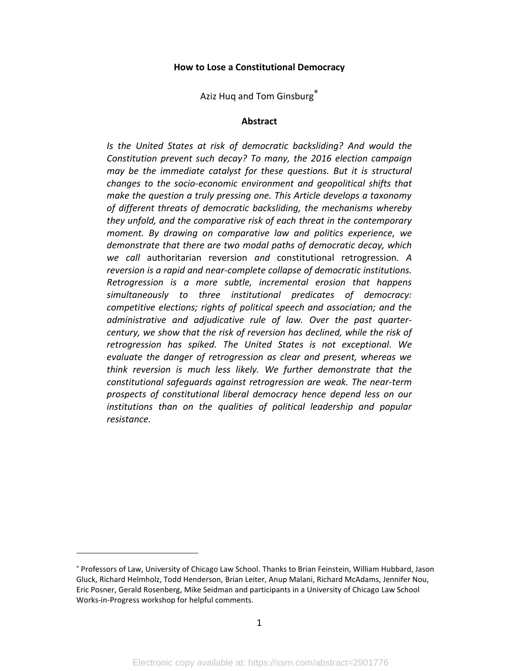#### **How to Lose a Constitutional Democracy**

Aziz Huq and Tom Ginsburg

### **Abstract**

*Is the United States at risk of democratic backsliding? And would the Constitution prevent such decay? To many, the 2016 election campaign may be the immediate catalyst for these questions. But it is structural changes to the socio-economic environment and geopolitical shifts that make the question a truly pressing one. This Article develops a taxonomy of different threats of democratic backsliding, the mechanisms whereby they unfold, and the comparative risk of each threat in the contemporary moment. By drawing on comparative law and politics experience, we demonstrate that there are two modal paths of democratic decay, which we call* authoritarian reversion *and* constitutional retrogression*. A reversion is a rapid and near-complete collapse of democratic institutions. Retrogression is a more subtle, incremental erosion that happens simultaneously to three institutional predicates of democracy: competitive elections; rights of political speech and association; and the administrative and adjudicative rule of law. Over the past quartercentury, we show that the risk of reversion has declined, while the risk of retrogression has spiked. The United States is not exceptional. We evaluate the danger of retrogression as clear and present, whereas we think reversion is much less likely. We further demonstrate that the constitutional safeguards against retrogression are weak. The near-term prospects of constitutional liberal democracy hence depend less on our institutions than on the qualities of political leadership and popular resistance.*

<sup>\*</sup> Professors of Law, University of Chicago Law School. Thanks to Brian Feinstein, William Hubbard, Jason Gluck, Richard Helmholz, Todd Henderson, Brian Leiter, Anup Malani, Richard McAdams, Jennifer Nou, Eric Posner, Gerald Rosenberg, Mike Seidman and participants in a University of Chicago Law School Works-in-Progress workshop for helpful comments.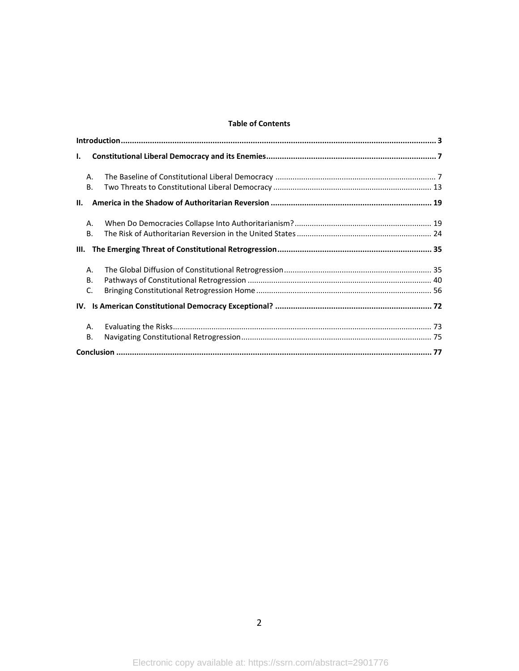### **Table of Contents**

| Ι.  |           |  |  |  |  |  |  |
|-----|-----------|--|--|--|--|--|--|
|     | Α.        |  |  |  |  |  |  |
|     | B.        |  |  |  |  |  |  |
| II. |           |  |  |  |  |  |  |
|     | А.        |  |  |  |  |  |  |
|     | <b>B.</b> |  |  |  |  |  |  |
|     |           |  |  |  |  |  |  |
|     | Α.        |  |  |  |  |  |  |
|     | <b>B.</b> |  |  |  |  |  |  |
|     | C.        |  |  |  |  |  |  |
|     |           |  |  |  |  |  |  |
|     | А.        |  |  |  |  |  |  |
|     | В.        |  |  |  |  |  |  |
|     |           |  |  |  |  |  |  |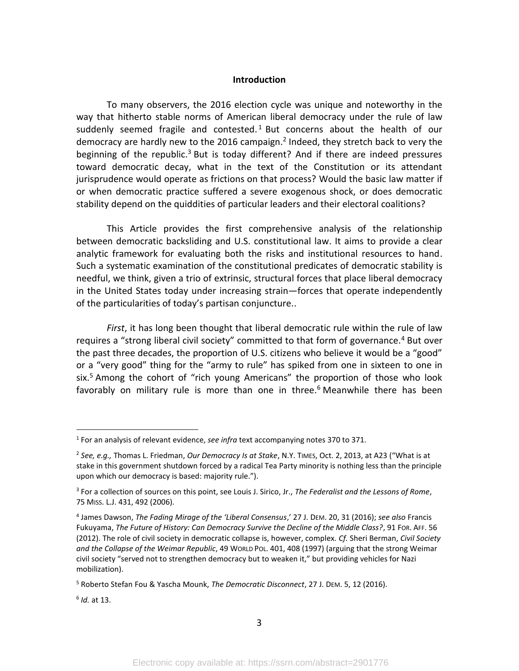#### <span id="page-2-0"></span>**Introduction**

To many observers, the 2016 election cycle was unique and noteworthy in the way that hitherto stable norms of American liberal democracy under the rule of law suddenly seemed fragile and contested. $1$  But concerns about the health of our democracy are hardly new to the 2016 campaign.<sup>2</sup> Indeed, they stretch back to very the beginning of the republic.<sup>3</sup> But is today different? And if there are indeed pressures toward democratic decay, what in the text of the Constitution or its attendant jurisprudence would operate as frictions on that process? Would the basic law matter if or when democratic practice suffered a severe exogenous shock, or does democratic stability depend on the quiddities of particular leaders and their electoral coalitions?

This Article provides the first comprehensive analysis of the relationship between democratic backsliding and U.S. constitutional law. It aims to provide a clear analytic framework for evaluating both the risks and institutional resources to hand. Such a systematic examination of the constitutional predicates of democratic stability is needful, we think, given a trio of extrinsic, structural forces that place liberal democracy in the United States today under increasing strain—forces that operate independently of the particularities of today's partisan conjuncture..

<span id="page-2-1"></span>*First*, it has long been thought that liberal democratic rule within the rule of law requires a "strong liberal civil society" committed to that form of governance.<sup>4</sup> But over the past three decades, the proportion of U.S. citizens who believe it would be a "good" or a "very good" thing for the "army to rule" has spiked from one in sixteen to one in six.<sup>5</sup> Among the cohort of "rich young Americans" the proportion of those who look favorably on military rule is more than one in three.<sup>6</sup> Meanwhile there has been

6 *Id.* at 13.

<sup>1</sup> For an analysis of relevant evidence, *see infra* text accompanying note[s 370](#page-73-0) t[o 371.](#page-73-1)

<sup>2</sup> *See, e.g.,* Thomas L. Friedman, *Our Democracy Is at Stake*, N.Y. TIMES, Oct. 2, 2013, at A23 ("What is at stake in this government shutdown forced by a radical Tea Party minority is nothing less than the principle upon which our democracy is based: majority rule.").

<sup>3</sup> For a collection of sources on this point, see Louis J. Sirico, Jr., *The Federalist and the Lessons of Rome*, 75 MISS. L.J. 431, 492 (2006).

<sup>4</sup> James Dawson, *The Fading Mirage of the 'Liberal Consensus*,' 27 J. DEM. 20, 31 (2016); *see also* Francis Fukuyama, *The Future of History: Can Democracy Survive the Decline of the Middle Class?*, 91 FOR. AFF. 56 (2012). The role of civil society in democratic collapse is, however, complex. *Cf.* Sheri Berman, *Civil Society and the Collapse of the Weimar Republic*, 49 WORLD POL. 401, 408 (1997) (arguing that the strong Weimar civil society "served not to strengthen democracy but to weaken it," but providing vehicles for Nazi mobilization).

<sup>5</sup> Roberto Stefan Fou & Yascha Mounk, *The Democratic Disconnect*, 27 J. DEM. 5, 12 (2016).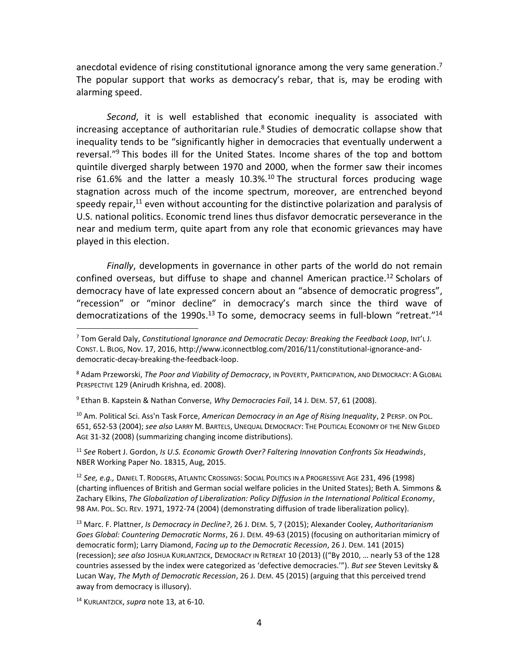<span id="page-3-2"></span>anecdotal evidence of rising constitutional ignorance among the very same generation.<sup>7</sup> The popular support that works as democracy's rebar, that is, may be eroding with alarming speed.

<span id="page-3-1"></span>*Second*, it is well established that economic inequality is associated with increasing acceptance of authoritarian rule. <sup>8</sup> Studies of democratic collapse show that inequality tends to be "significantly higher in democracies that eventually underwent a reversal."<sup>9</sup> This bodes ill for the United States. Income shares of the top and bottom quintile diverged sharply between 1970 and 2000, when the former saw their incomes rise  $61.6\%$  and the latter a measly 10.3%.<sup>10</sup> The structural forces producing wage stagnation across much of the income spectrum, moreover, are entrenched beyond speedy repair,<sup>11</sup> even without accounting for the distinctive polarization and paralysis of U.S. national politics. Economic trend lines thus disfavor democratic perseverance in the near and medium term, quite apart from any role that economic grievances may have played in this election.

*Finally*, developments in governance in other parts of the world do not remain confined overseas, but diffuse to shape and channel American practice.<sup>12</sup> Scholars of democracy have of late expressed concern about an "absence of democratic progress", "recession" or "minor decline" in democracy's march since the third wave of democratizations of the 1990s.<sup>13</sup> To some, democracy seems in full-blown "retreat."<sup>14</sup>

<sup>10</sup> Am. Political Sci. Ass'n Task Force, *American Democracy in an Age of Rising Inequality*, 2 PERSP. ON POL. 651, 652-53 (2004); *see also* LARRY M. BARTELS, UNEQUAL DEMOCRACY: THE POLITICAL ECONOMY OF THE NEW GILDED AGE 31-32 (2008) (summarizing changing income distributions).

<sup>11</sup> *See* Robert J. Gordon, *Is U.S. Economic Growth Over? Faltering Innovation Confronts Six Headwinds*, NBER Working Paper No. 18315, Aug, 2015.

<sup>12</sup> *See, e.g.,* DANIEL T. RODGERS, ATLANTIC CROSSINGS: SOCIAL POLITICS IN A PROGRESSIVE AGE 231, 496 (1998) (charting influences of British and German social welfare policies in the United States); Beth A. Simmons & Zachary Elkins, *The Globalization of Liberalization: Policy Diffusion in the International Political Economy*, 98 AM. POL. SCI. REV. 1971, 1972-74 (2004) (demonstrating diffusion of trade liberalization policy).

<sup>13</sup> Marc. F. Plattner, *Is Democracy in Decline?*, 26 J. DEM. 5, 7 (2015); Alexander Cooley, *Authoritarianism Goes Global: Countering Democratic Norms*, 26 J. DEM. 49-63 (2015) (focusing on authoritarian mimicry of democratic form); Larry Diamond, *Facing up to the Democratic Recession*, 26 J. DEM. 141 (2015) (recession); *see also* JOSHUA KURLANTZICK, DEMOCRACY IN RETREAT 10 (2013) (("By 2010, … nearly 53 of the 128 countries assessed by the index were categorized as 'defective democracies.'"). *But see* Steven Levitsky & Lucan Way, *The Myth of Democratic Recession*, 26 J. DEM. 45 (2015) (arguing that this perceived trend away from democracy is illusory).

<sup>14</sup> KURLANTZICK, *supra* not[e 13,](#page-3-0) at 6-10.

<span id="page-3-0"></span><sup>7</sup> Tom Gerald Daly, *Constitutional Ignorance and Democratic Decay: Breaking the Feedback Loop*, INT'L J. CONST. L. BLOG, Nov. 17, 2016, [http://www.iconnectblog.com/2016/11/constitutional-ignorance-and](http://www.iconnectblog.com/2016/11/constitutional-ignorance-and-democratic-decay-breaking-the-feedback-loop)[democratic-decay-breaking-the-feedback-loop.](http://www.iconnectblog.com/2016/11/constitutional-ignorance-and-democratic-decay-breaking-the-feedback-loop)

<sup>8</sup> Adam Przeworski, *The Poor and Viability of Democracy*, IN POVERTY, PARTICIPATION, AND DEMOCRACY: A GLOBAL PERSPECTIVE 129 (Anirudh Krishna, ed. 2008).

<sup>9</sup> Ethan B. Kapstein & Nathan Converse, *Why Democracies Fail*, 14 J. DEM. 57, 61 (2008).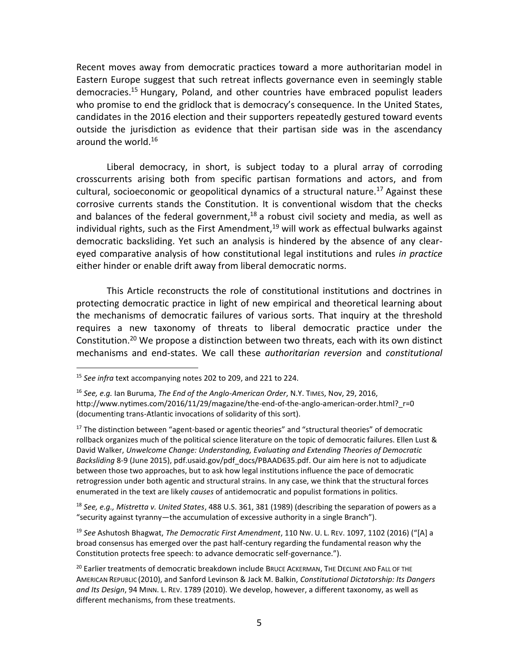Recent moves away from democratic practices toward a more authoritarian model in Eastern Europe suggest that such retreat inflects governance even in seemingly stable democracies.<sup>15</sup> Hungary, Poland, and other countries have embraced populist leaders who promise to end the gridlock that is democracy's consequence. In the United States, candidates in the 2016 election and their supporters repeatedly gestured toward events outside the jurisdiction as evidence that their partisan side was in the ascendancy around the world. $16$ 

<span id="page-4-0"></span>Liberal democracy, in short, is subject today to a plural array of corroding crosscurrents arising both from specific partisan formations and actors, and from cultural, socioeconomic or geopolitical dynamics of a structural nature.<sup>17</sup> Against these corrosive currents stands the Constitution. It is conventional wisdom that the checks and balances of the federal government,<sup>18</sup> a robust civil society and media, as well as individual rights, such as the First Amendment, $19$  will work as effectual bulwarks against democratic backsliding. Yet such an analysis is hindered by the absence of any cleareyed comparative analysis of how constitutional legal institutions and rules *in practice*  either hinder or enable drift away from liberal democratic norms.

This Article reconstructs the role of constitutional institutions and doctrines in protecting democratic practice in light of new empirical and theoretical learning about the mechanisms of democratic failures of various sorts. That inquiry at the threshold requires a new taxonomy of threats to liberal democratic practice under the Constitution.<sup>20</sup> We propose a distinction between two threats, each with its own distinct mechanisms and end-states. We call these *authoritarian reversion* and *constitutional* 

<span id="page-4-1"></span> $\overline{a}$ 

<sup>18</sup> *See, e.g., Mistretta v. United States*, 488 U.S. 361, 381 (1989) (describing the separation of powers as a "security against tyranny—the accumulation of excessive authority in a single Branch").

<sup>19</sup> *See* Ashutosh Bhagwat, *The Democratic First Amendment*, 110 NW. U. L. REV. 1097, 1102 (2016) ("[A] a broad consensus has emerged over the past half-century regarding the fundamental reason why the Constitution protects free speech: to advance democratic self-governance.").

<sup>15</sup> *See infra* text accompanying note[s 202](#page-42-0) to [209,](#page-42-1) an[d 221](#page-44-0) to [224.](#page-45-0)

<sup>16</sup> *See, e.g.* Ian Buruma, *The End of the Anglo-American Order*, N.Y. TIMES, Nov, 29, 2016, http://www.nytimes.com/2016/11/29/magazine/the-end-of-the-anglo-american-order.html? r=0 (documenting trans-Atlantic invocations of solidarity of this sort).

 $17$  The distinction between "agent-based or agentic theories" and "structural theories" of democratic rollback organizes much of the political science literature on the topic of democratic failures. Ellen Lust & David Walker, *Unwelcome Change: Understanding, Evaluating and Extending Theories of Democratic Backsliding* 8-9 (June 2015), pdf.usaid.gov/pdf\_docs/PBAAD635.pdf. Our aim here is not to adjudicate between those two approaches, but to ask how legal institutions influence the pace of democratic retrogression under both agentic and structural strains. In any case, we think that the structural forces enumerated in the text are likely *causes* of antidemocratic and populist formations in politics.

<sup>&</sup>lt;sup>20</sup> Earlier treatments of democratic breakdown include BRUCE ACKERMAN, THE DECLINE AND FALL OF THE AMERICAN REPUBLIC (2010), and Sanford Levinson & Jack M. Balkin, *Constitutional Dictatorship: Its Dangers and Its Design*, 94 MINN. L. REV. 1789 (2010). We develop, however, a different taxonomy, as well as different mechanisms, from these treatments.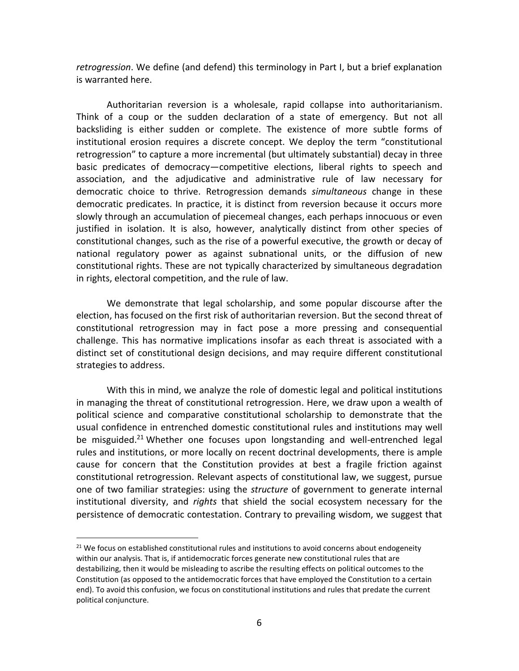*retrogression*. We define (and defend) this terminology in Part I, but a brief explanation is warranted here.

Authoritarian reversion is a wholesale, rapid collapse into authoritarianism. Think of a coup or the sudden declaration of a state of emergency. But not all backsliding is either sudden or complete. The existence of more subtle forms of institutional erosion requires a discrete concept. We deploy the term "constitutional retrogression" to capture a more incremental (but ultimately substantial) decay in three basic predicates of democracy—competitive elections, liberal rights to speech and association, and the adjudicative and administrative rule of law necessary for democratic choice to thrive. Retrogression demands *simultaneous* change in these democratic predicates. In practice, it is distinct from reversion because it occurs more slowly through an accumulation of piecemeal changes, each perhaps innocuous or even justified in isolation. It is also, however, analytically distinct from other species of constitutional changes, such as the rise of a powerful executive, the growth or decay of national regulatory power as against subnational units, or the diffusion of new constitutional rights. These are not typically characterized by simultaneous degradation in rights, electoral competition, and the rule of law.

We demonstrate that legal scholarship, and some popular discourse after the election, has focused on the first risk of authoritarian reversion. But the second threat of constitutional retrogression may in fact pose a more pressing and consequential challenge. This has normative implications insofar as each threat is associated with a distinct set of constitutional design decisions, and may require different constitutional strategies to address.

With this in mind, we analyze the role of domestic legal and political institutions in managing the threat of constitutional retrogression. Here, we draw upon a wealth of political science and comparative constitutional scholarship to demonstrate that the usual confidence in entrenched domestic constitutional rules and institutions may well be misguided.<sup>21</sup> Whether one focuses upon longstanding and well-entrenched legal rules and institutions, or more locally on recent doctrinal developments, there is ample cause for concern that the Constitution provides at best a fragile friction against constitutional retrogression. Relevant aspects of constitutional law, we suggest, pursue one of two familiar strategies: using the *structure* of government to generate internal institutional diversity, and *rights* that shield the social ecosystem necessary for the persistence of democratic contestation. Contrary to prevailing wisdom, we suggest that

 $21$  We focus on established constitutional rules and institutions to avoid concerns about endogeneity within our analysis. That is, if antidemocratic forces generate new constitutional rules that are destabilizing, then it would be misleading to ascribe the resulting effects on political outcomes to the Constitution (as opposed to the antidemocratic forces that have employed the Constitution to a certain end). To avoid this confusion, we focus on constitutional institutions and rules that predate the current political conjuncture.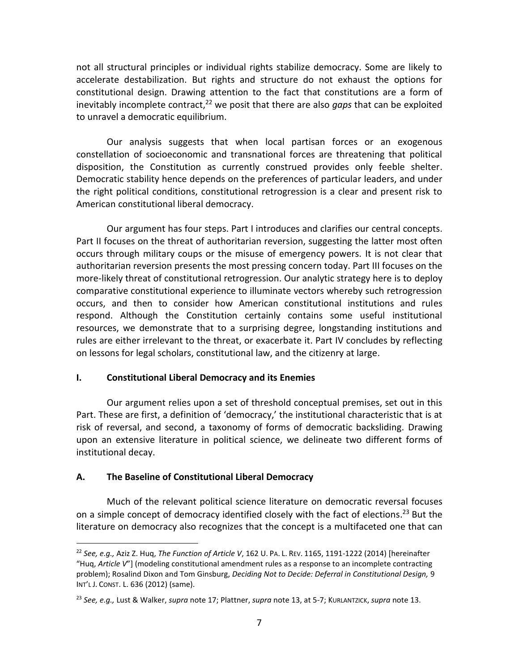not all structural principles or individual rights stabilize democracy. Some are likely to accelerate destabilization. But rights and structure do not exhaust the options for constitutional design. Drawing attention to the fact that constitutions are a form of inevitably incomplete contract,<sup>22</sup> we posit that there are also *gaps* that can be exploited to unravel a democratic equilibrium.

Our analysis suggests that when local partisan forces or an exogenous constellation of socioeconomic and transnational forces are threatening that political disposition, the Constitution as currently construed provides only feeble shelter. Democratic stability hence depends on the preferences of particular leaders, and under the right political conditions, constitutional retrogression is a clear and present risk to American constitutional liberal democracy.

Our argument has four steps. Part I introduces and clarifies our central concepts. Part II focuses on the threat of authoritarian reversion, suggesting the latter most often occurs through military coups or the misuse of emergency powers. It is not clear that authoritarian reversion presents the most pressing concern today. Part III focuses on the more-likely threat of constitutional retrogression. Our analytic strategy here is to deploy comparative constitutional experience to illuminate vectors whereby such retrogression occurs, and then to consider how American constitutional institutions and rules respond. Although the Constitution certainly contains some useful institutional resources, we demonstrate that to a surprising degree, longstanding institutions and rules are either irrelevant to the threat, or exacerbate it. Part IV concludes by reflecting on lessons for legal scholars, constitutional law, and the citizenry at large.

# **I. Constitutional Liberal Democracy and its Enemies**

Our argument relies upon a set of threshold conceptual premises, set out in this Part. These are first, a definition of 'democracy,' the institutional characteristic that is at risk of reversal, and second, a taxonomy of forms of democratic backsliding. Drawing upon an extensive literature in political science, we delineate two different forms of institutional decay.

# **A. The Baseline of Constitutional Liberal Democracy**

 $\overline{a}$ 

Much of the relevant political science literature on democratic reversal focuses on a simple concept of democracy identified closely with the fact of elections.<sup>23</sup> But the literature on democracy also recognizes that the concept is a multifaceted one that can

<sup>22</sup> *See, e.g.,* Aziz Z. Huq, *The Function of Article V*, 162 U. PA. L. REV. 1165, 1191-1222 (2014) [hereinafter "Huq, *Article V*"] (modeling constitutional amendment rules as a response to an incomplete contracting problem); Rosalind Dixon and Tom Ginsburg, *Deciding Not to Decide: Deferral in Constitutional Design,* 9 INT'L J. CONST. L. 636 (2012) (same).

<sup>23</sup> *See, e.g.,* Lust & Walker, *supra* not[e 17;](#page-4-0) Plattner, *supra* note [13,](#page-3-0) at 5-7; KURLANTZICK, *supra* note [13.](#page-3-0)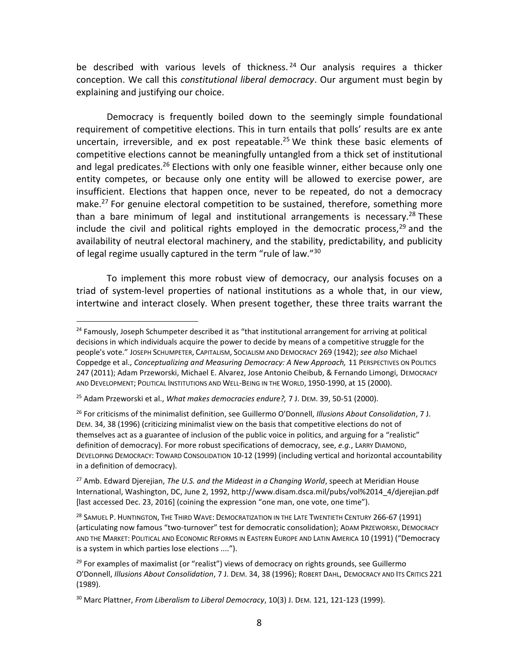<span id="page-7-1"></span>be described with various levels of thickness.<sup>24</sup> Our analysis requires a thicker conception. We call this *constitutional liberal democracy*. Our argument must begin by explaining and justifying our choice.

Democracy is frequently boiled down to the seemingly simple foundational requirement of competitive elections. This in turn entails that polls' results are ex ante uncertain, irreversible, and ex post repeatable. <sup>25</sup> We think these basic elements of competitive elections cannot be meaningfully untangled from a thick set of institutional and legal predicates.<sup>26</sup> Elections with only one feasible winner, either because only one entity competes, or because only one entity will be allowed to exercise power, are insufficient. Elections that happen once, never to be repeated, do not a democracy make.<sup>27</sup> For genuine electoral competition to be sustained, therefore, something more than a bare minimum of legal and institutional arrangements is necessary.<sup>28</sup> These include the civil and political rights employed in the democratic process, $29$  and the availability of neutral electoral machinery, and the stability, predictability, and publicity of legal regime usually captured in the term "rule of law."<sup>30</sup>

<span id="page-7-2"></span><span id="page-7-0"></span>To implement this more robust view of democracy, our analysis focuses on a triad of system-level properties of national institutions as a whole that, in our view, intertwine and interact closely. When present together, these three traits warrant the

<sup>&</sup>lt;sup>24</sup> Famously, Joseph Schumpeter described it as "that institutional arrangement for arriving at political decisions in which individuals acquire the power to decide by means of a competitive struggle for the people's vote." JOSEPH SCHUMPETER, CAPITALISM, SOCIALISM AND DEMOCRACY 269 (1942); *see also* Michael Coppedge et al., *Conceptualizing and Measuring Democracy: A New Approach,* 11 PERSPECTIVES ON POLITICS 247 (2011); Adam Przeworski, Michael E. Alvarez, Jose Antonio Cheibub, & Fernando Limongi, DEMOCRACY AND DEVELOPMENT; POLITICAL INSTITUTIONS AND WELL-BEING IN THE WORLD, 1950-1990, at 15 (2000).

<sup>25</sup> Adam Przeworski et al., *What makes democracies endure?,* 7 J. DEM. 39, 50-51 (2000).

<sup>26</sup> For criticisms of the minimalist definition, see Guillermo O'Donnell, *Illusions About Consolidation*, 7 J. DEM. 34, 38 (1996) (criticizing minimalist view on the basis that competitive elections do not of themselves act as a guarantee of inclusion of the public voice in politics, and arguing for a "realistic" definition of democracy). For more robust specifications of democracy, see, *e.g.*, LARRY DIAMOND, DEVELOPING DEMOCRACY: TOWARD CONSOLIDATION 10-12 (1999) (including vertical and horizontal accountability in a definition of democracy).

<sup>27</sup> Amb. Edward Djerejian, *The U.S. and the Mideast in a Changing World*, speech at Meridian House International, Washington, DC, June 2, 1992, http://www.disam.dsca.mil/pubs/vol%2014\_4/djerejian.pdf [last accessed Dec. 23, 2016] (coining the expression "one man, one vote, one time").

<sup>&</sup>lt;sup>28</sup> SAMUEL P. HUNTINGTON, THE THIRD WAVE: DEMOCRATIZATION IN THE LATE TWENTIETH CENTURY 266-67 (1991) (articulating now famous "two-turnover" test for democratic consolidation); ADAM PRZEWORSKI, DEMOCRACY AND THE MARKET: POLITICAL AND ECONOMIC REFORMS IN EASTERN EUROPE AND LATIN AMERICA 10 (1991) ("Democracy is a system in which parties lose elections ....").

<sup>&</sup>lt;sup>29</sup> For examples of maximalist (or "realist") views of democracy on rights grounds, see Guillermo O'Donnell, *Illusions About Consolidation*, 7 J. DEM. 34, 38 (1996); ROBERT DAHL, DEMOCRACY AND ITS CRITICS 221 (1989).

<sup>30</sup> Marc Plattner, *From Liberalism to Liberal Democracy*, 10(3) J. DEM. 121, 121-123 (1999).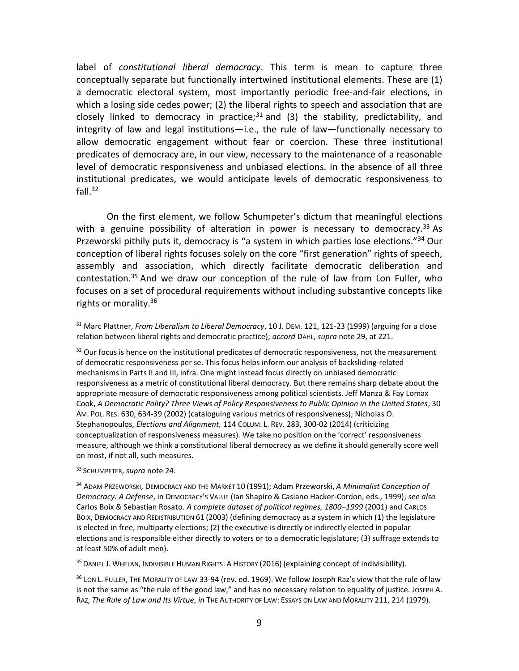<span id="page-8-0"></span>label of *constitutional liberal democracy*. This term is mean to capture three conceptually separate but functionally intertwined institutional elements. These are (1) a democratic electoral system, most importantly periodic free-and-fair elections, in which a losing side cedes power; (2) the liberal rights to speech and association that are closely linked to democracy in practice;<sup>31</sup> and (3) the stability, predictability, and integrity of law and legal institutions—i.e., the rule of law—functionally necessary to allow democratic engagement without fear or coercion. These three institutional predicates of democracy are, in our view, necessary to the maintenance of a reasonable level of democratic responsiveness and unbiased elections. In the absence of all three institutional predicates, we would anticipate levels of democratic responsiveness to fall. $32$ 

On the first element, we follow Schumpeter's dictum that meaningful elections with a genuine possibility of alteration in power is necessary to democracy.<sup>33</sup> As Przeworski pithily puts it, democracy is "a system in which parties lose elections."<sup>34</sup> Our conception of liberal rights focuses solely on the core "first generation" rights of speech, assembly and association, which directly facilitate democratic deliberation and contestation.<sup>35</sup> And we draw our conception of the rule of law from Lon Fuller, who focuses on a set of procedural requirements without including substantive concepts like rights or morality. 36

 $32$  Our focus is hence on the institutional predicates of democratic responsiveness, not the measurement of democratic responsiveness per se. This focus helps inform our analysis of backsliding-related mechanisms in Parts II and III, infra. One might instead focus directly on unbiased democratic responsiveness as a metric of constitutional liberal democracy. But there remains sharp debate about the appropriate measure of democratic responsiveness among political scientists. Jeff Manza & Fay Lomax Cook, *A Democratic Polity? Three Views of Policy Responsiveness to Public Opinion in the United States*, 30 AM. POL. RES. 630, 634-39 (2002) (cataloguing various metrics of responsiveness); Nicholas O. Stephanopoulos, *Elections and Alignment,* 114 COLUM. L. REV. 283, 300-02 (2014) (criticizing conceptualization of responsiveness measures). We take no position on the 'correct' responsiveness measure, although we think a constitutional liberal democracy as we define it should generally score well on most, if not all, such measures.

<sup>33</sup> SCHUMPETER, *supra* note [24.](#page-7-1)

 $\overline{a}$ 

<sup>35</sup> DANIEL J. WHELAN, INDIVISIBLE HUMAN RIGHTS: A HISTORY (2016) (explaining concept of indivisibility).

 $36$  LON L. FULLER, THE MORALITY OF LAW 33-94 (rev. ed. 1969). We follow Joseph Raz's view that the rule of law is not the same as "the rule of the good law," and has no necessary relation to equality of justice. JOSEPH A. RAZ, *The Rule of Law and Its Virtue*, *in* THE AUTHORITY OF LAW: ESSAYS ON LAW AND MORALITY 211, 214 (1979).

<sup>31</sup> Marc Plattner, *From Liberalism to Liberal Democracy*, 10 J. DEM. 121, 121-23 (1999) (arguing for a close relation between liberal rights and democratic practice); *accord* DAHL, *supra* note [29,](#page-7-0) at 221.

<sup>34</sup> ADAM PRZEWORSKI, DEMOCRACY AND THE MARKET 10 (1991); Adam Przeworski, *A Minimalist Conception of Democracy: A Defense*, in DEMOCRACY'S VALUE (Ian Shapiro & Casiano Hacker-Cordon, eds., 1999); *see also* Carlos Boix & Sebastian Rosato. *A complete dataset of political regimes, 1800–1999* (2001) and CARLOS BOIX, DEMOCRACY AND REDISTRIBUTION 61 (2003) (defining democracy as a system in which (1) the legislature is elected in free, multiparty elections; (2) the executive is directly or indirectly elected in popular elections and is responsible either directly to voters or to a democratic legislature; (3) suffrage extends to at least 50% of adult men).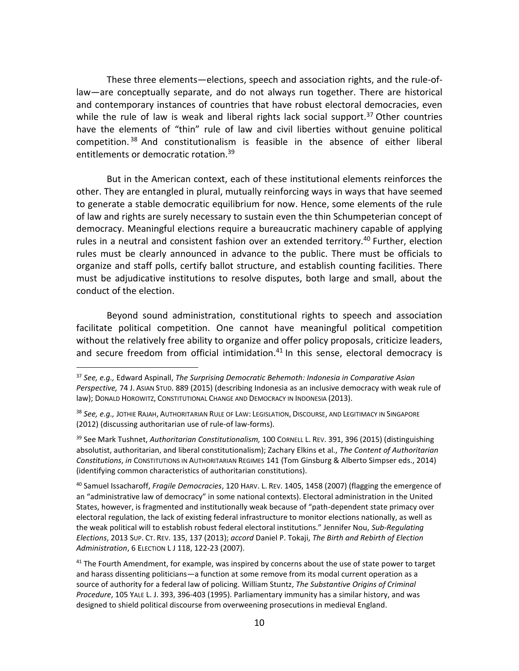These three elements—elections, speech and association rights, and the rule-oflaw—are conceptually separate, and do not always run together. There are historical and contemporary instances of countries that have robust electoral democracies, even while the rule of law is weak and liberal rights lack social support.<sup>37</sup> Other countries have the elements of "thin" rule of law and civil liberties without genuine political competition. <sup>38</sup> And constitutionalism is feasible in the absence of either liberal entitlements or democratic rotation.<sup>39</sup>

But in the American context, each of these institutional elements reinforces the other. They are entangled in plural, mutually reinforcing ways in ways that have seemed to generate a stable democratic equilibrium for now. Hence, some elements of the rule of law and rights are surely necessary to sustain even the thin Schumpeterian concept of democracy. Meaningful elections require a bureaucratic machinery capable of applying rules in a neutral and consistent fashion over an extended territory.<sup>40</sup> Further, election rules must be clearly announced in advance to the public. There must be officials to organize and staff polls, certify ballot structure, and establish counting facilities. There must be adjudicative institutions to resolve disputes, both large and small, about the conduct of the election.

Beyond sound administration, constitutional rights to speech and association facilitate political competition. One cannot have meaningful political competition without the relatively free ability to organize and offer policy proposals, criticize leaders, and secure freedom from official intimidation. <sup>41</sup> In this sense, electoral democracy is

 $\overline{a}$ 

<sup>39</sup> See Mark Tushnet, *Authoritarian Constitutionalism,* 100 CORNELL L. REV. 391, 396 (2015) (distinguishing absolutist, authoritarian, and liberal constitutionalism); Zachary Elkins et al., *The Content of Authoritarian Constitutions*, *in* CONSTITUTIONS IN AUTHORITARIAN REGIMES 141 (Tom Ginsburg & Alberto Simpser eds., 2014) (identifying common characteristics of authoritarian constitutions).

<sup>40</sup> Samuel Issacharoff, *Fragile Democracies*, 120 HARV. L. REV. 1405, 1458 (2007) (flagging the emergence of an "administrative law of democracy" in some national contexts). Electoral administration in the United States, however, is fragmented and institutionally weak because of "path-dependent state primacy over electoral regulation, the lack of existing federal infrastructure to monitor elections nationally, as well as the weak political will to establish robust federal electoral institutions." Jennifer Nou, *Sub-Regulating Elections*, 2013 SUP. CT. REV. 135, 137 (2013); *accord* Daniel P. Tokaji, *The Birth and Rebirth of Election Administration*, 6 ELECTION L J 118, 122-23 (2007).

 $41$  The Fourth Amendment, for example, was inspired by concerns about the use of state power to target and harass dissenting politicians—a function at some remove from its modal current operation as a source of authority for a federal law of policing. William Stuntz, *The Substantive Origins of Criminal Procedure*, 105 YALE L. J. 393, 396-403 (1995). Parliamentary immunity has a similar history, and was designed to shield political discourse from overweening prosecutions in medieval England.

<sup>37</sup> *See, e.g.,* Edward Aspinall, *The Surprising Democratic Behemoth: Indonesia in Comparative Asian Perspective,* 74 J. ASIAN STUD. 889 (2015) (describing Indonesia as an inclusive democracy with weak rule of law); DONALD HOROWITZ, CONSTITUTIONAL CHANGE AND DEMOCRACY IN INDONESIA (2013).

<sup>38</sup> *See, e.g.,* JOTHIE RAJAH, AUTHORITARIAN RULE OF LAW: LEGISLATION, DISCOURSE, AND LEGITIMACY IN SINGAPORE (2012) (discussing authoritarian use of rule-of law-forms).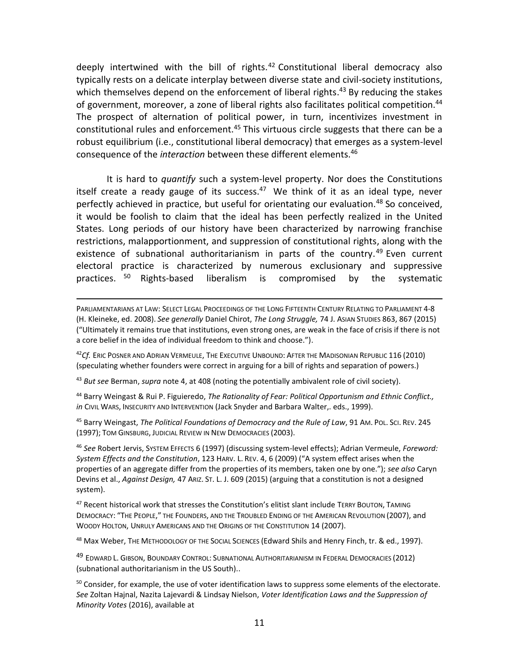deeply intertwined with the bill of rights. <sup>42</sup> Constitutional liberal democracy also typically rests on a delicate interplay between diverse state and civil-society institutions, which themselves depend on the enforcement of liberal rights.<sup>43</sup> By reducing the stakes of government, moreover, a zone of liberal rights also facilitates political competition.<sup>44</sup> The prospect of alternation of political power, in turn, incentivizes investment in constitutional rules and enforcement.<sup>45</sup> This virtuous circle suggests that there can be a robust equilibrium (i.e., constitutional liberal democracy) that emerges as a system-level consequence of the *interaction* between these different elements.<sup>46</sup>

<span id="page-10-1"></span>It is hard to *quantify* such a system-level property. Nor does the Constitutions itself create a ready gauge of its success.<sup>47</sup> We think of it as an ideal type, never perfectly achieved in practice, but useful for orientating our evaluation.<sup>48</sup> So conceived, it would be foolish to claim that the ideal has been perfectly realized in the United States. Long periods of our history have been characterized by narrowing franchise restrictions, malapportionment, and suppression of constitutional rights, along with the existence of subnational authoritarianism in parts of the country.<sup>49</sup> Even current electoral practice is characterized by numerous exclusionary and suppressive practices. <sup>50</sup> Rights-based liberalism is compromised by the systematic

<sup>42</sup>*Cf.* ERIC POSNER AND ADRIAN VERMEULE, THE EXECUTIVE UNBOUND: AFTER THE MADISONIAN REPUBLIC 116 (2010) (speculating whether founders were correct in arguing for a bill of rights and separation of powers.)

<sup>43</sup> *But see* Berman, *supra* not[e 4,](#page-2-0) at 408 (noting the potentially ambivalent role of civil society).

<span id="page-10-0"></span> $\overline{a}$ 

<sup>44</sup> Barry Weingast & Rui P. Figuieredo, *The Rationality of Fear: Political Opportunism and Ethnic Conflict., in* CIVIL WARS, INSECURITY AND INTERVENTION (Jack Snyder and Barbara Walter,. eds., 1999).

<sup>45</sup> Barry Weingast, *The Political Foundations of Democracy and the Rule of Law*, 91 AM. POL. SCI. REV. 245 (1997); TOM GINSBURG, JUDICIAL REVIEW IN NEW DEMOCRACIES (2003).

<sup>46</sup> *See* Robert Jervis, SYSTEM EFFECTS 6 (1997) (discussing system-level effects); Adrian Vermeule, *Foreword: System Effects and the Constitution*, 123 HARV. L. REV. 4, 6 (2009) ("A system effect arises when the properties of an aggregate differ from the properties of its members, taken one by one."); *see also* Caryn Devins et al., *Against Design,* 47 ARIZ. ST. L. J. 609 (2015) (arguing that a constitution is not a designed system).

47 Recent historical work that stresses the Constitution's elitist slant include TERRY BOUTON, TAMING DEMOCRACY: "THE PEOPLE," THE FOUNDERS, AND THE TROUBLED ENDING OF THE AMERICAN REVOLUTION (2007), and WOODY HOLTON, UNRULY AMERICANS AND THE ORIGINS OF THE CONSTITUTION 14 (2007).

48 Max Weber, THE METHODOLOGY OF THE SOCIAL SCIENCES (Edward Shils and Henry Finch, tr. & ed., 1997).

49 EDWARD L. GIBSON, BOUNDARY CONTROL: SUBNATIONAL AUTHORITARIANISM IN FEDERAL DEMOCRACIES (2012) (subnational authoritarianism in the US South)..

 $50$  Consider, for example, the use of voter identification laws to suppress some elements of the electorate. *See* Zoltan Hajnal, Nazita Lajevardi & Lindsay Nielson, *Voter Identification Laws and the Suppression of Minority Votes* (2016), available at

PARLIAMENTARIANS AT LAW: SELECT LEGAL PROCEEDINGS OF THE LONG FIFTEENTH CENTURY RELATING TO PARLIAMENT 4-8 (H. Kleineke, ed. 2008). *See generally* Daniel Chirot, *The Long Struggle,* 74 J. ASIAN STUDIES 863, 867 (2015) ("Ultimately it remains true that institutions, even strong ones, are weak in the face of crisis if there is not a core belief in the idea of individual freedom to think and choose.").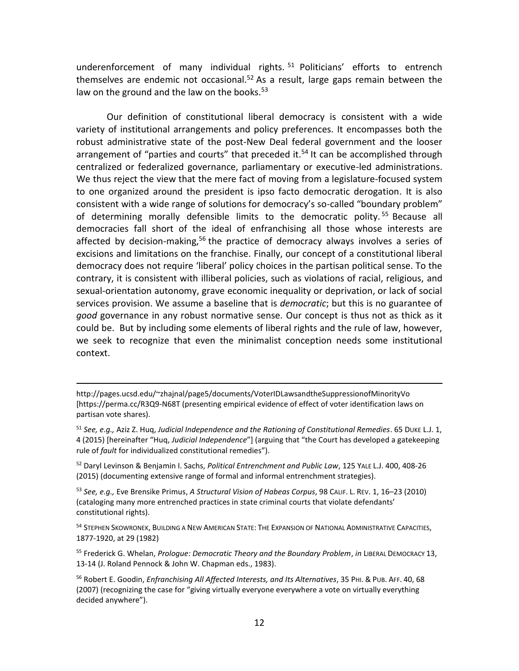<span id="page-11-1"></span>underenforcement of many individual rights.<sup>51</sup> Politicians' efforts to entrench themselves are endemic not occasional.<sup>52</sup> As a result, large gaps remain between the law on the ground and the law on the books. $53$ 

<span id="page-11-0"></span>Our definition of constitutional liberal democracy is consistent with a wide variety of institutional arrangements and policy preferences. It encompasses both the robust administrative state of the post-New Deal federal government and the looser arrangement of "parties and courts" that preceded it.<sup>54</sup> It can be accomplished through centralized or federalized governance, parliamentary or executive-led administrations. We thus reject the view that the mere fact of moving from a legislature-focused system to one organized around the president is ipso facto democratic derogation. It is also consistent with a wide range of solutions for democracy's so-called "boundary problem" of determining morally defensible limits to the democratic polity.<sup>55</sup> Because all democracies fall short of the ideal of enfranchising all those whose interests are affected by decision-making,<sup>56</sup> the practice of democracy always involves a series of excisions and limitations on the franchise. Finally, our concept of a constitutional liberal democracy does not require 'liberal' policy choices in the partisan political sense. To the contrary, it is consistent with illiberal policies, such as violations of racial, religious, and sexual-orientation autonomy, grave economic inequality or deprivation, or lack of social services provision. We assume a baseline that is *democratic*; but this is no guarantee of *good* governance in any robust normative sense. Our concept is thus not as thick as it could be. But by including some elements of liberal rights and the rule of law, however, we seek to recognize that even the minimalist conception needs some institutional context.

 $\overline{a}$ 

<sup>52</sup> Daryl Levinson & Benjamin I. Sachs, *Political Entrenchment and Public Law*, 125 YALE L.J. 400, 408-26 (2015) (documenting extensive range of formal and informal entrenchment strategies).

<sup>53</sup> *See, e.g.,* Eve Brensike Primus, *A Structural Vision of Habeas Corpus*, 98 CALIF. L. REV. 1, 16–23 (2010) (cataloging many more entrenched practices in state criminal courts that violate defendants' constitutional rights).

54 STEPHEN SKOWRONEK, BUILDING A NEW AMERICAN STATE: THE EXPANSION OF NATIONAL ADMINISTRATIVE CAPACITIES, 1877-1920, at 29 (1982)

<sup>55</sup> Frederick G. Whelan, *Prologue: Democratic Theory and the Boundary Problem*, *in* LIBERAL DEMOCRACY 13, 13-14 (J. Roland Pennock & John W. Chapman eds., 1983).

<sup>56</sup> Robert E. Goodin, *Enfranchising All Affected Interests, and Its Alternatives*, 35 PHI. & PUB. AFF. 40, 68 (2007) (recognizing the case for "giving virtually everyone everywhere a vote on virtually everything decided anywhere").

http://pages.ucsd.edu/~zhajnal/page5/documents/VoterIDLawsandtheSuppressionofMinorityVo [https://perma.cc/R3Q9-N68T (presenting empirical evidence of effect of voter identification laws on partisan vote shares).

<sup>51</sup> *See, e.g.,* Aziz Z. Huq, *Judicial Independence and the Rationing of Constitutional Remedies*. 65 DUKE L.J. 1, 4 (2015) [hereinafter "Huq, *Judicial Independence*"] (arguing that "the Court has developed a gatekeeping rule of *fault* for individualized constitutional remedies").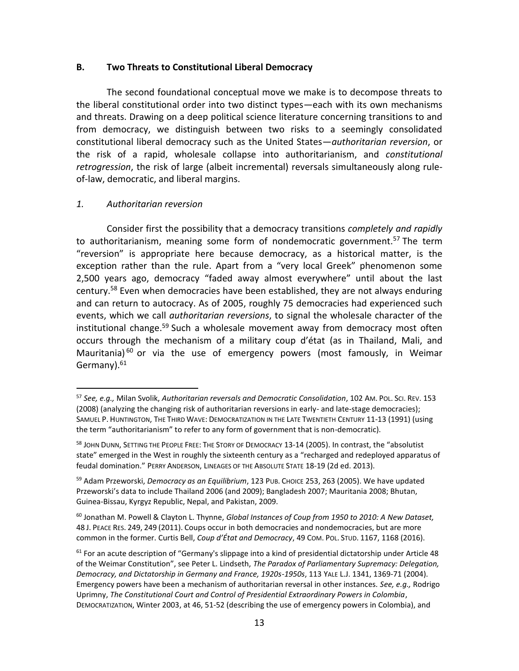### **B. Two Threats to Constitutional Liberal Democracy**

The second foundational conceptual move we make is to decompose threats to the liberal constitutional order into two distinct types—each with its own mechanisms and threats. Drawing on a deep political science literature concerning transitions to and from democracy, we distinguish between two risks to a seemingly consolidated constitutional liberal democracy such as the United States—*authoritarian reversion*, or the risk of a rapid, wholesale collapse into authoritarianism, and *constitutional retrogression*, the risk of large (albeit incremental) reversals simultaneously along ruleof-law, democratic, and liberal margins.

# *1. Authoritarian reversion*

<span id="page-12-2"></span><span id="page-12-0"></span> $\overline{a}$ 

<span id="page-12-1"></span>Consider first the possibility that a democracy transitions *completely and rapidly*  to authoritarianism, meaning some form of nondemocratic government.<sup>57</sup> The term "reversion" is appropriate here because democracy, as a historical matter, is the exception rather than the rule. Apart from a "very local Greek" phenomenon some 2,500 years ago, democracy "faded away almost everywhere" until about the last century.<sup>58</sup> Even when democracies have been established, they are not always enduring and can return to autocracy. As of 2005, roughly 75 democracies had experienced such events, which we call *authoritarian reversions*, to signal the wholesale character of the institutional change. <sup>59</sup> Such a wholesale movement away from democracy most often occurs through the mechanism of a military coup d'état (as in Thailand, Mali, and Mauritania)<sup>60</sup> or via the use of emergency powers (most famously, in Weimar Germany). 61

<sup>57</sup> *See, e.g.,* Milan Svolik, *Authoritarian reversals and Democratic Consolidation*, 102 AM. POL. SCI. REV. 153 (2008) (analyzing the changing risk of authoritarian reversions in early- and late-stage democracies); SAMUEL P. HUNTINGTON, THE THIRD WAVE: DEMOCRATIZATION IN THE LATE TWENTIETH CENTURY 11-13 (1991) (using the term "authoritarianism" to refer to any form of government that is non-democratic).

<sup>58</sup> JOHN DUNN, SETTING THE PEOPLE FREE: THE STORY OF DEMOCRACY 13-14 (2005). In contrast, the "absolutist state" emerged in the West in roughly the sixteenth century as a "recharged and redeployed apparatus of feudal domination." PERRY ANDERSON, LINEAGES OF THE ABSOLUTE STATE 18-19 (2d ed. 2013).

<sup>59</sup> Adam Przeworski, *Democracy as an Equilibrium*, 123 PUB. CHOICE 253, 263 (2005). We have updated Przeworski's data to include Thailand 2006 (and 2009); Bangladesh 2007; Mauritania 2008; Bhutan, Guinea-Bissau, Kyrgyz Republic, Nepal, and Pakistan, 2009.

<sup>60</sup> Jonathan M. Powell & Clayton L. Thynne, *Global Instances of Coup from 1950 to 2010: A New Dataset,*  48 J. PEACE RES. 249, 249 (2011). Coups occur in both democracies and nondemocracies, but are more common in the former. Curtis Bell, *Coup d'État and Democracy*, 49 COM. POL. STUD. 1167, 1168 (2016).

 $61$  For an acute description of "Germany's slippage into a kind of presidential dictatorship under Article 48 of the Weimar Constitution", see Peter L. Lindseth, *The Paradox of Parliamentary Supremacy: Delegation, Democracy, and Dictatorship in Germany and France, 1920s-1950s*, 113 YALE L.J. 1341, 1369-71 (2004). Emergency powers have been a mechanism of authoritarian reversal in other instances. *See, e.g.,* Rodrigo Uprimny, *The Constitutional Court and Control of Presidential Extraordinary Powers in Colombia*, DEMOCRATIZATION, Winter 2003, at 46, 51-52 (describing the use of emergency powers in Colombia), and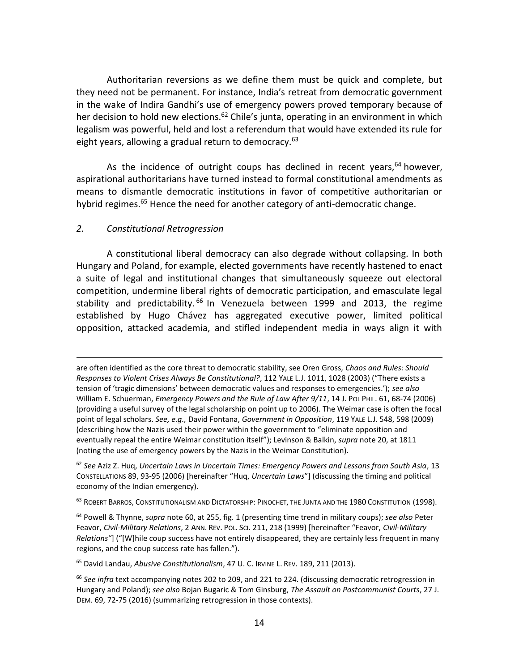<span id="page-13-1"></span>Authoritarian reversions as we define them must be quick and complete, but they need not be permanent. For instance, India's retreat from democratic government in the wake of Indira Gandhi's use of emergency powers proved temporary because of her decision to hold new elections.<sup>62</sup> Chile's junta, operating in an environment in which legalism was powerful, held and lost a referendum that would have extended its rule for eight years, allowing a gradual return to democracy.<sup>63</sup>

<span id="page-13-2"></span>As the incidence of outright coups has declined in recent years,  $64$  however, aspirational authoritarians have turned instead to formal constitutional amendments as means to dismantle democratic institutions in favor of competitive authoritarian or hybrid regimes.<sup>65</sup> Hence the need for another category of anti-democratic change.

### <span id="page-13-0"></span>*2. Constitutional Retrogression*

 $\overline{a}$ 

A constitutional liberal democracy can also degrade without collapsing. In both Hungary and Poland, for example, elected governments have recently hastened to enact a suite of legal and institutional changes that simultaneously squeeze out electoral competition, undermine liberal rights of democratic participation, and emasculate legal stability and predictability.<sup>66</sup> In Venezuela between 1999 and 2013, the regime established by Hugo Chávez has aggregated executive power, limited political opposition, attacked academia, and stifled independent media in ways align it with

<sup>63</sup> ROBERT BARROS, CONSTITUTIONALISM AND DICTATORSHIP: PINOCHET, THE JUNTA AND THE 1980 CONSTITUTION (1998).

<sup>64</sup> Powell & Thynne, *supra* note [60,](#page-12-0) at 255, fig. 1 (presenting time trend in military coups); *see also* Peter Feavor, *Civil-Military Relations*, 2 ANN. REV. POL. SCI. 211, 218 (1999) [hereinafter "Feavor, *Civil-Military Relations"*] ("[W]hile coup success have not entirely disappeared, they are certainly less frequent in many regions, and the coup success rate has fallen.").

<sup>65</sup> David Landau, *Abusive Constitutionalism*, 47 U. C. IRVINE L. REV. 189, 211 (2013).

are often identified as the core threat to democratic stability, see Oren Gross, *Chaos and Rules: Should Responses to Violent Crises Always Be Constitutional?*, 112 YALE L.J. 1011, 1028 (2003) ("There exists a tension of 'tragic dimensions' between democratic values and responses to emergencies.'); *see also* William E. Schuerman, *Emergency Powers and the Rule of Law After 9/11*, 14 J. POL PHIL. 61, 68-74 (2006) (providing a useful survey of the legal scholarship on point up to 2006). The Weimar case is often the focal point of legal scholars. *See, e.g.,* David Fontana, *Government in Opposition*, 119 YALE L.J. 548, 598 (2009) (describing how the Nazis used their power within the government to "eliminate opposition and eventually repeal the entire Weimar constitution itself"); Levinson & Balkin, *supra* not[e 20,](#page-4-1) at 1811 (noting the use of emergency powers by the Nazis in the Weimar Constitution).

<sup>62</sup> *See* Aziz Z. Huq, *Uncertain Laws in Uncertain Times: Emergency Powers and Lessons from South Asia*, 13 CONSTELLATIONS 89, 93-95 (2006) [hereinafter "Huq, *Uncertain Laws*"] (discussing the timing and political economy of the Indian emergency).

<sup>66</sup> *See infra* text accompanying note[s 202](#page-42-0) to [209,](#page-42-1) an[d 221](#page-44-0) to [224.](#page-45-0) (discussing democratic retrogression in Hungary and Poland); *see also* Bojan Bugaric & Tom Ginsburg, *The Assault on Postcommunist Courts*, 27 J. DEM. 69, 72-75 (2016) (summarizing retrogression in those contexts).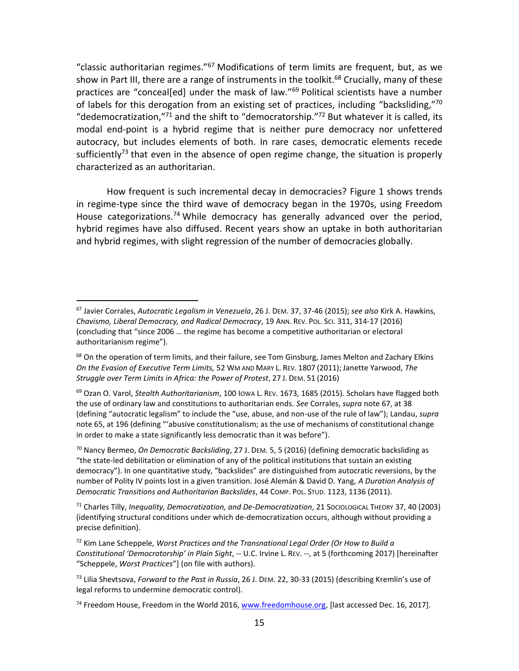<span id="page-14-1"></span><span id="page-14-0"></span>"classic authoritarian regimes."<sup>67</sup> Modifications of term limits are frequent, but, as we show in Part III, there are a range of instruments in the toolkit.<sup>68</sup> Crucially, many of these practices are "conceal[ed] under the mask of law."<sup>69</sup> Political scientists have a number of labels for this derogation from an existing set of practices, including "backsliding,"70 "dedemocratization,"<sup>71</sup> and the shift to "democratorship."<sup>72</sup> But whatever it is called, its modal end-point is a hybrid regime that is neither pure democracy nor unfettered autocracy, but includes elements of both. In rare cases, democratic elements recede sufficiently<sup>73</sup> that even in the absence of open regime change, the situation is properly characterized as an authoritarian.

How frequent is such incremental decay in democracies? Figure 1 shows trends in regime-type since the third wave of democracy began in the 1970s, using Freedom House categorizations.<sup>74</sup> While democracy has generally advanced over the period, hybrid regimes have also diffused. Recent years show an uptake in both authoritarian and hybrid regimes, with slight regression of the number of democracies globally.

 $\overline{a}$ 

<sup>69</sup> Ozan O. Varol, *Stealth Authoritarianism*, 100 IOWA L. REV. 1673, 1685 (2015). Scholars have flagged both the use of ordinary law and constitutions to authoritarian ends. *See* Corrales, *supra* not[e 67,](#page-14-0) at 38 (defining "autocratic legalism" to include the "use, abuse, and non-use of the rule of law"); Landau, *supra* note [65](#page-13-0), at 196 (defining "'abusive constitutionalism; as the use of mechanisms of constitutional change in order to make a state significantly less democratic than it was before").

<sup>70</sup> Nancy Bermeo, *On Democratic Backsliding*, 27 J. DEM. 5, 5 (2016) (defining democratic backsliding as "the state-led debilitation or elimination of any of the political institutions that sustain an existing democracy"). In one quantitative study, "backslides" are distinguished from autocratic reversions, by the number of Polity IV points lost in a given transition. José Alemán & David D. Yang, *A Duration Analysis of Democratic Transitions and Authoritarian Backslides*, 44 COMP. POL. STUD. 1123, 1136 (2011).

<sup>71</sup> Charles Tilly, *Inequality, Democratization, and De-Democratization*, 21 SocioLogicaL THEORY 37, 40 (2003) (identifying structural conditions under which de-democratization occurs, although without providing a precise definition).

<sup>72</sup> Kim Lane Scheppele, *Worst Practices and the Transnational Legal Order (Or How to Build a Constitutional 'Democratorship' in Plain Sight*, -- U.C. Irvine L. REV. --, at 5 (forthcoming 2017) [hereinafter "Scheppele, *Worst Practices*"] (on file with authors).

<sup>73</sup> Lilia Shevtsova, *Forward to the Past in Russia*, 26 J. DEM. 22, 30-33 (2015) (describing Kremlin's use of legal reforms to undermine democratic control).

 $74$  Freedom House, Freedom in the World 2016, [www.freedomhouse.org,](http://www.freedomhouse.org/) [last accessed Dec. 16, 2017].

<sup>67</sup> Javier Corrales, *Autocratic Legalism in Venezuela*, 26 J. DEM. 37, 37-46 (2015); *see also* Kirk A. Hawkins, *Chavismo, Liberal Democracy, and Radical Democracy*, 19 ANN. REV. POL. SCI. 311, 314-17 (2016) (concluding that "since 2006 … the regime has become a competitive authoritarian or electoral authoritarianism regime").

 $68$  On the operation of term limits, and their failure, see Tom Ginsburg, James Melton and Zachary Elkins *On the Evasion of Executive Term Limits,* 52 WM AND MARY L. REV. 1807 (2011); Janette Yarwood, *The Struggle over Term Limits in Africa: the Power of Protest*, 27 J. DEM. 51 (2016)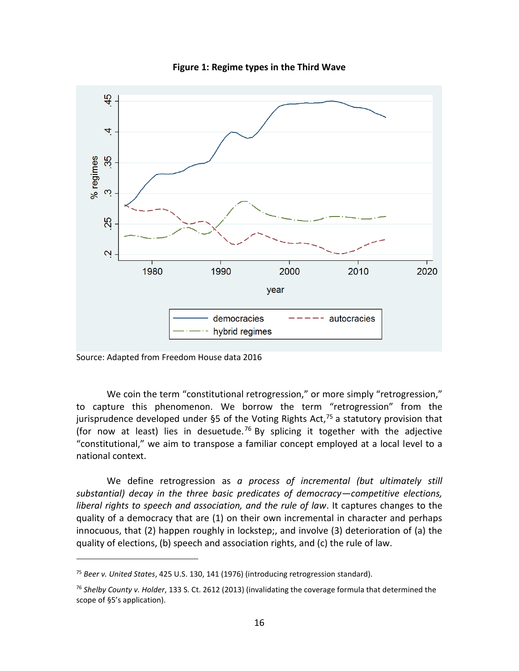

**Figure 1: Regime types in the Third Wave**

Source: Adapted from Freedom House data 2016

 $\overline{a}$ 

We coin the term "constitutional retrogression," or more simply "retrogression," to capture this phenomenon. We borrow the term "retrogression" from the jurisprudence developed under §5 of the Voting Rights Act,<sup>75</sup> a statutory provision that (for now at least) lies in desuetude.<sup>76</sup> By splicing it together with the adjective "constitutional," we aim to transpose a familiar concept employed at a local level to a national context.

We define retrogression as *a process of incremental (but ultimately still substantial) decay in the three basic predicates of democracy—competitive elections, liberal rights to speech and association, and the rule of law*. It captures changes to the quality of a democracy that are (1) on their own incremental in character and perhaps innocuous, that (2) happen roughly in lockstep;, and involve (3) deterioration of (a) the quality of elections, (b) speech and association rights, and (c) the rule of law.

<sup>75</sup> *Beer v. United States*, 425 U.S. 130, 141 (1976) (introducing retrogression standard).

<sup>76</sup> *Shelby County v. Holder*, 133 S. Ct. 2612 (2013) (invalidating the coverage formula that determined the scope of §5's application).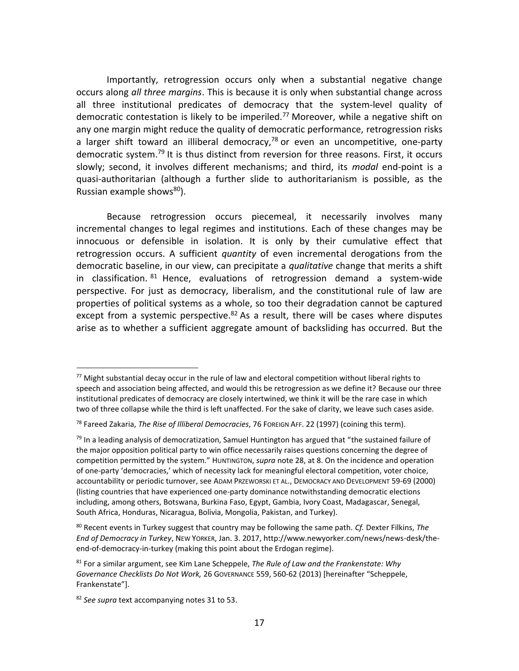Importantly, retrogression occurs only when a substantial negative change occurs along *all three margins*. This is because it is only when substantial change across all three institutional predicates of democracy that the system-level quality of democratic contestation is likely to be imperiled.<sup>77</sup> Moreover, while a negative shift on any one margin might reduce the quality of democratic performance, retrogression risks a larger shift toward an illiberal democracy, $78$  or even an uncompetitive, one-party democratic system.<sup>79</sup> It is thus distinct from reversion for three reasons. First, it occurs slowly; second, it involves different mechanisms; and third, its *modal* end-point is a quasi-authoritarian (although a further slide to authoritarianism is possible, as the Russian example shows <sup>80</sup>).

<span id="page-16-0"></span>Because retrogression occurs piecemeal, it necessarily involves many incremental changes to legal regimes and institutions. Each of these changes may be innocuous or defensible in isolation. It is only by their cumulative effect that retrogression occurs. A sufficient *quantity* of even incremental derogations from the democratic baseline, in our view, can precipitate a *qualitative* change that merits a shift in classification.  $81$  Hence, evaluations of retrogression demand a system-wide perspective. For just as democracy, liberalism, and the constitutional rule of law are properties of political systems as a whole, so too their degradation cannot be captured except from a systemic perspective. $82$  As a result, there will be cases where disputes arise as to whether a sufficient aggregate amount of backsliding has occurred. But the

<sup>80</sup> Recent events in Turkey suggest that country may be following the same path. *Cf.* Dexter Filkins, *The End of Democracy in Turkey*, NEW YORKER, Jan. 3. 2017, http://www.newyorker.com/news/news-desk/theend-of-democracy-in-turkey (making this point about the Erdogan regime).

 $77$  Might substantial decay occur in the rule of law and electoral competition without liberal rights to speech and association being affected, and would this be retrogression as we define it? Because our three institutional predicates of democracy are closely intertwined, we think it will be the rare case in which two of three collapse while the third is left unaffected. For the sake of clarity, we leave such cases aside.

<sup>78</sup> Fareed Zakaria, *The Rise of Illiberal Democracies*, 76 FOREIGN AFF. 22 (1997) (coining this term).

 $79$  In a leading analysis of democratization, Samuel Huntington has argued that "the sustained failure of the major opposition political party to win office necessarily raises questions concerning the degree of competition permitted by the system." HUNTINGTON, *supra* not[e 28,](#page-7-2) at 8. On the incidence and operation of one-party 'democracies,' which of necessity lack for meaningful electoral competition, voter choice, accountability or periodic turnover, see ADAM PRZEWORSKI ET AL., DEMOCRACY AND DEVELOPMENT 59-69 (2000) (listing countries that have experienced one-party dominance notwithstanding democratic elections including, among others, Botswana, Burkina Faso, Egypt, Gambia, Ivory Coast, Madagascar, Senegal, South Africa, Honduras, Nicaragua, Bolivia, Mongolia, Pakistan, and Turkey).

<sup>81</sup> For a similar argument, see Kim Lane Scheppele, *The Rule of Law and the Frankenstate: Why Governance Checklists Do Not Work,* 26 GOVERNANCE 559, 560-62 (2013) [hereinafter "Scheppele, Frankenstate"].

<sup>82</sup> *See supra* text accompanying notes [31](#page-8-0) t[o 53.](#page-11-0)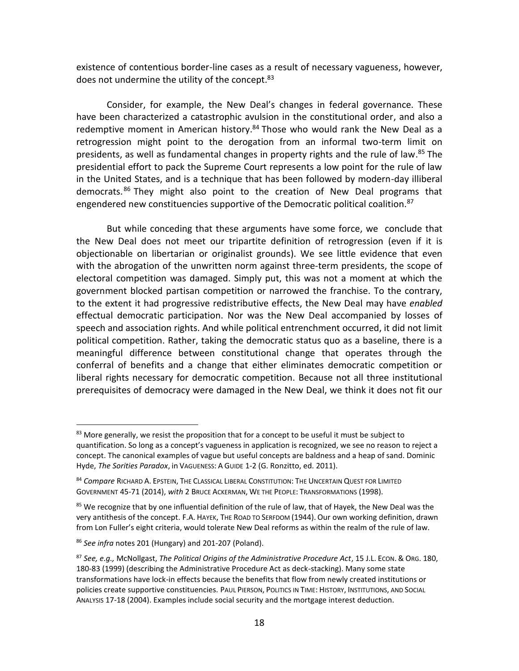<span id="page-17-1"></span>existence of contentious border-line cases as a result of necessary vagueness, however, does not undermine the utility of the concept.<sup>83</sup>

Consider, for example, the New Deal's changes in federal governance. These have been characterized a catastrophic avulsion in the constitutional order, and also a redemptive moment in American history.<sup>84</sup> Those who would rank the New Deal as a retrogression might point to the derogation from an informal two-term limit on presidents, as well as fundamental changes in property rights and the rule of law. <sup>85</sup> The presidential effort to pack the Supreme Court represents a low point for the rule of law in the United States, and is a technique that has been followed by modern-day illiberal democrats.<sup>86</sup> They might also point to the creation of New Deal programs that engendered new constituencies supportive of the Democratic political coalition.<sup>87</sup>

<span id="page-17-0"></span>But while conceding that these arguments have some force, we conclude that the New Deal does not meet our tripartite definition of retrogression (even if it is objectionable on libertarian or originalist grounds). We see little evidence that even with the abrogation of the unwritten norm against three-term presidents, the scope of electoral competition was damaged. Simply put, this was not a moment at which the government blocked partisan competition or narrowed the franchise. To the contrary, to the extent it had progressive redistributive effects, the New Deal may have *enabled*  effectual democratic participation. Nor was the New Deal accompanied by losses of speech and association rights. And while political entrenchment occurred, it did not limit political competition. Rather, taking the democratic status quo as a baseline, there is a meaningful difference between constitutional change that operates through the conferral of benefits and a change that either eliminates democratic competition or liberal rights necessary for democratic competition. Because not all three institutional prerequisites of democracy were damaged in the New Deal, we think it does not fit our

 $83$  More generally, we resist the proposition that for a concept to be useful it must be subject to quantification. So long as a concept's vagueness in application is recognized, we see no reason to reject a concept. The canonical examples of vague but useful concepts are baldness and a heap of sand. Dominic Hyde, *The Sorities Paradox*, in VAGUENESS: A GUIDE 1-2 (G. Ronzitto, ed. 2011).

<sup>84</sup> *Compare* RICHARD A. EPSTEIN, THE CLASSICAL LIBERAL CONSTITUTION: THE UNCERTAIN QUEST FOR LIMITED GOVERNMENT 45-71 (2014), *with* 2 BRUCE ACKERMAN, WE THE PEOPLE: TRANSFORMATIONS (1998).

<sup>85</sup> We recognize that by one influential definition of the rule of law, that of Hayek, the New Deal was the very antithesis of the concept. F.A. HAYEK, THE ROAD TO SERFDOM (1944). Our own working definition, drawn from Lon Fuller's eight criteria, would tolerate New Deal reforms as within the realm of the rule of law.

<sup>86</sup> *See infra* notes [201](#page-41-0) (Hungary) and [201-](#page-41-0)[207](#page-42-2) (Poland).

<sup>87</sup> *See, e.g.,* McNollgast, *The Political Origins of the Administrative Procedure Act*, 15 J.L. ECON. & ORG. 180, 180-83 (1999) (describing the Administrative Procedure Act as deck-stacking). Many some state transformations have lock-in effects because the benefits that flow from newly created institutions or policies create supportive constituencies. PAUL PIERSON, POLITICS IN TIME: HISTORY, INSTITUTIONS, AND SOCIAL ANALYSIS 17-18 (2004). Examples include social security and the mortgage interest deduction.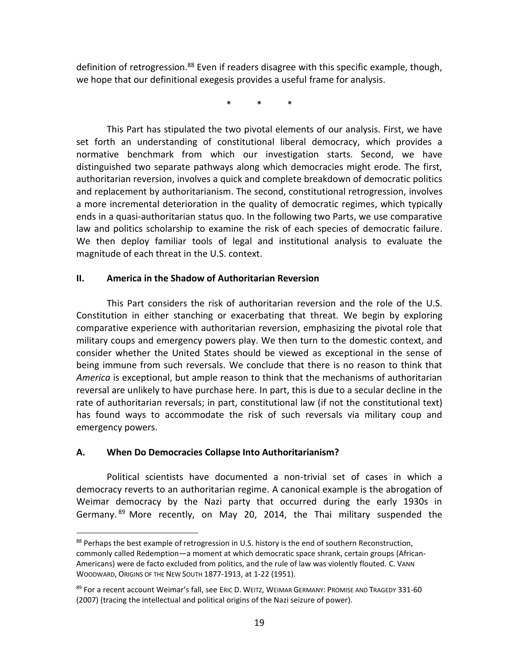definition of retrogression.<sup>88</sup> Even if readers disagree with this specific example, though, we hope that our definitional exegesis provides a useful frame for analysis.

\* \* \*

This Part has stipulated the two pivotal elements of our analysis. First, we have set forth an understanding of constitutional liberal democracy, which provides a normative benchmark from which our investigation starts. Second, we have distinguished two separate pathways along which democracies might erode. The first, authoritarian reversion, involves a quick and complete breakdown of democratic politics and replacement by authoritarianism. The second, constitutional retrogression, involves a more incremental deterioration in the quality of democratic regimes, which typically ends in a quasi-authoritarian status quo. In the following two Parts, we use comparative law and politics scholarship to examine the risk of each species of democratic failure. We then deploy familiar tools of legal and institutional analysis to evaluate the magnitude of each threat in the U.S. context.

# **II. America in the Shadow of Authoritarian Reversion**

This Part considers the risk of authoritarian reversion and the role of the U.S. Constitution in either stanching or exacerbating that threat. We begin by exploring comparative experience with authoritarian reversion, emphasizing the pivotal role that military coups and emergency powers play. We then turn to the domestic context, and consider whether the United States should be viewed as exceptional in the sense of being immune from such reversals. We conclude that there is no reason to think that *America* is exceptional, but ample reason to think that the mechanisms of authoritarian reversal are unlikely to have purchase here. In part, this is due to a secular decline in the rate of authoritarian reversals; in part, constitutional law (if not the constitutional text) has found ways to accommodate the risk of such reversals via military coup and emergency powers.

# **A. When Do Democracies Collapse Into Authoritarianism?**

 $\overline{a}$ 

Political scientists have documented a non-trivial set of cases in which a democracy reverts to an authoritarian regime. A canonical example is the abrogation of Weimar democracy by the Nazi party that occurred during the early 1930s in Germany.<sup>89</sup> More recently, on May 20, 2014, the Thai military suspended the

<sup>&</sup>lt;sup>88</sup> Perhaps the best example of retrogression in U.S. history is the end of southern Reconstruction, commonly called Redemption—a moment at which democratic space shrank, certain groups (African-Americans) were de facto excluded from politics, and the rule of law was violently flouted. C. VANN WOODWARD, ORIGINS OF THE NEW SOUTH 1877-1913, at 1-22 (1951).

<sup>89</sup> For a recent account Weimar's fall, see ERIC D. WEITZ, WEIMAR GERMANY: PROMISE AND TRAGEDY 331-60 (2007) (tracing the intellectual and political origins of the Nazi seizure of power).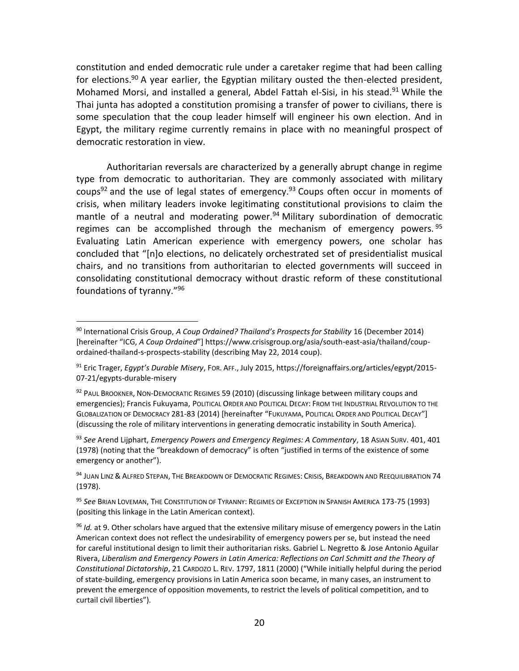<span id="page-19-0"></span>constitution and ended democratic rule under a caretaker regime that had been calling for elections.<sup>90</sup> A year earlier, the Egyptian military ousted the then-elected president, Mohamed Morsi, and installed a general, Abdel Fattah el-Sisi, in his stead.<sup>91</sup> While the Thai junta has adopted a constitution promising a transfer of power to civilians, there is some speculation that the coup leader himself will engineer his own election. And in Egypt, the military regime currently remains in place with no meaningful prospect of democratic restoration in view.

Authoritarian reversals are characterized by a generally abrupt change in regime type from democratic to authoritarian. They are commonly associated with military coups<sup>92</sup> and the use of legal states of emergency.<sup>93</sup> Coups often occur in moments of crisis, when military leaders invoke legitimating constitutional provisions to claim the mantle of a neutral and moderating power.<sup>94</sup> Military subordination of democratic regimes can be accomplished through the mechanism of emergency powers. 95 Evaluating Latin American experience with emergency powers, one scholar has concluded that "[n]o elections, no delicately orchestrated set of presidentialist musical chairs, and no transitions from authoritarian to elected governments will succeed in consolidating constitutional democracy without drastic reform of these constitutional foundations of tyranny."<sup>96</sup>

 $\overline{a}$ 

<sup>93</sup> *See* Arend Lijphart, *Emergency Powers and Emergency Regimes: A Commentary*, 18 ASIAN SURV. 401, 401 (1978) (noting that the "breakdown of democracy" is often "justified in terms of the existence of some emergency or another").

94 JUAN LINZ & ALFRED STEPAN, THE BREAKDOWN OF DEMOCRATIC REGIMES: CRISIS, BREAKDOWN AND REEQUILIBRATION 74 (1978).

<sup>95</sup> *See* BRIAN LOVEMAN, THE CONSTITUTION OF TYRANNY: REGIMES OF EXCEPTION IN SPANISH AMERICA 173-75 (1993) (positing this linkage in the Latin American context).

<sup>96</sup> *Id.* at 9. Other scholars have argued that the extensive military misuse of emergency powers in the Latin American context does not reflect the undesirability of emergency powers per se, but instead the need for careful institutional design to limit their authoritarian risks. Gabriel L. Negretto & Jose Antonio Aguilar Rivera, *Liberalism and Emergency Powers in Latin America: Reflections on Carl Schmitt and the Theory of Constitutional Dictatorship*, 21 CARDOZO L. REV. 1797, 1811 (2000) ("While initially helpful during the period of state-building, emergency provisions in Latin America soon became, in many cases, an instrument to prevent the emergence of opposition movements, to restrict the levels of political competition, and to curtail civil liberties").

<sup>90</sup> International Crisis Group, *A Coup Ordained? Thailand's Prospects for Stability* 16 (December 2014) [hereinafter "ICG, *A Coup Ordained*"] https://www.crisisgroup.org/asia/south-east-asia/thailand/coupordained-thailand-s-prospects-stability (describing May 22, 2014 coup).

<sup>91</sup> Eric Trager, *Egypt's Durable Misery*, FOR. AFF., July 2015, https://foreignaffairs.org/articles/egypt/2015- 07-21/egypts-durable-misery

<sup>92</sup> PAUL BROOKNER, NON-DEMOCRATIC REGIMES 59 (2010) (discussing linkage between military coups and emergencies); Francis Fukuyama, POLITICAL ORDER AND POLITICAL DECAY: FROM THE INDUSTRIAL REVOLUTION TO THE GLOBALIZATION OF DEMOCRACY 281-83 (2014) [hereinafter "FUKUYAMA, POLITICAL ORDER AND POLITICAL DECAY"] (discussing the role of military interventions in generating democratic instability in South America).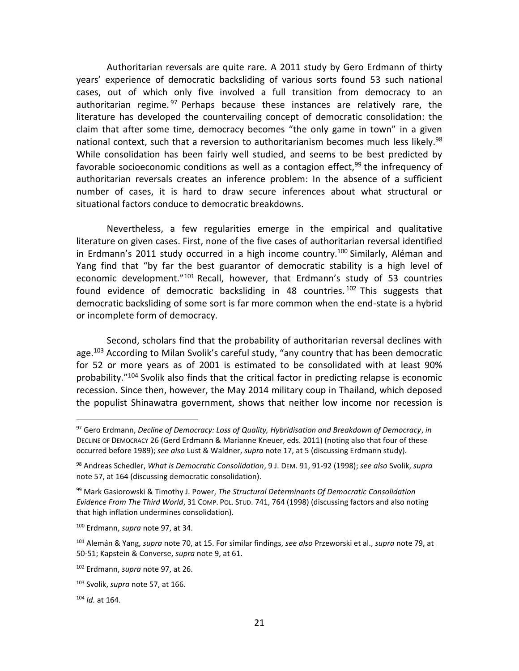<span id="page-20-0"></span>Authoritarian reversals are quite rare. A 2011 study by Gero Erdmann of thirty years' experience of democratic backsliding of various sorts found 53 such national cases, out of which only five involved a full transition from democracy to an authoritarian regime.  $97$  Perhaps because these instances are relatively rare, the literature has developed the countervailing concept of democratic consolidation: the claim that after some time, democracy becomes "the only game in town" in a given national context, such that a reversion to authoritarianism becomes much less likely.<sup>98</sup> While consolidation has been fairly well studied, and seems to be best predicted by favorable socioeconomic conditions as well as a contagion effect,  $99$  the infrequency of authoritarian reversals creates an inference problem: In the absence of a sufficient number of cases, it is hard to draw secure inferences about what structural or situational factors conduce to democratic breakdowns.

Nevertheless, a few regularities emerge in the empirical and qualitative literature on given cases. First, none of the five cases of authoritarian reversal identified in Erdmann's 2011 study occurred in a high income country.<sup>100</sup> Similarly, Aléman and Yang find that "by far the best guarantor of democratic stability is a high level of economic development."<sup>101</sup> Recall, however, that Erdmann's study of 53 countries found evidence of democratic backsliding in 48 countries.<sup>102</sup> This suggests that democratic backsliding of some sort is far more common when the end-state is a hybrid or incomplete form of democracy.

Second, scholars find that the probability of authoritarian reversal declines with age.<sup>103</sup> According to Milan Svolik's careful study, "any country that has been democratic for 52 or more years as of 2001 is estimated to be consolidated with at least 90% probability."<sup>104</sup> Svolik also finds that the critical factor in predicting relapse is economic recession. Since then, however, the May 2014 military coup in Thailand, which deposed the populist Shinawatra government, shows that neither low income nor recession is

<sup>97</sup> Gero Erdmann, *Decline of Democracy: Loss of Quality, Hybridisation and Breakdown of Democracy*, *in* DECLINE OF DEMOCRACY 26 (Gerd Erdmann & Marianne Kneuer, eds. 2011) (noting also that four of these occurred before 1989); *see also* Lust & Waldner, *supra* not[e 17,](#page-4-0) at 5 (discussing Erdmann study).

<sup>98</sup> Andreas Schedler, *What is Democratic Consolidation*, 9 J. DEM. 91, 91-92 (1998); *see also* Svolik, *supra* note [57,](#page-12-1) at 164 (discussing democratic consolidation).

<sup>99</sup> Mark Gasiorowski & Timothy J. Power, *The Structural Determinants Of Democratic Consolidation Evidence From The Third World*, 31 COMP. POL. STUD. 741, 764 (1998) (discussing factors and also noting that high inflation undermines consolidation).

<sup>100</sup> Erdmann, *supra* note [97,](#page-20-0) at 34.

<sup>101</sup> Alemán & Yang, *supra* note [70,](#page-14-1) at 15. For similar findings, *see also* Przeworski et al., *supra* note [79,](#page-16-0) at 50-51; Kapstein & Converse, *supra* not[e 9,](#page-3-1) at 61.

<sup>102</sup> Erdmann, *supra* note [97,](#page-20-0) at 26.

<sup>103</sup> Svolik, *supra* not[e 57,](#page-12-1) at 166.

<sup>104</sup> *Id.* at 164.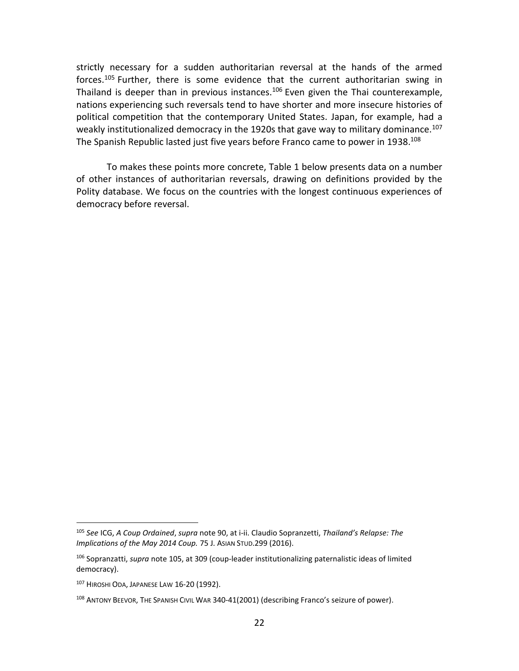<span id="page-21-0"></span>strictly necessary for a sudden authoritarian reversal at the hands of the armed forces.<sup>105</sup> Further, there is some evidence that the current authoritarian swing in Thailand is deeper than in previous instances.<sup>106</sup> Even given the Thai counterexample, nations experiencing such reversals tend to have shorter and more insecure histories of political competition that the contemporary United States. Japan, for example, had a weakly institutionalized democracy in the 1920s that gave way to military dominance.<sup>107</sup> The Spanish Republic lasted just five years before Franco came to power in 1938.<sup>108</sup>

To makes these points more concrete, Table 1 below presents data on a number of other instances of authoritarian reversals, drawing on definitions provided by the Polity database. We focus on the countries with the longest continuous experiences of democracy before reversal.

<sup>105</sup> *See* ICG, *A Coup Ordained*, *supra* note [90,](#page-19-0) at i-ii. Claudio Sopranzetti, *Thailand's Relapse: The Implications of the May 2014 Coup.* 75 J. ASIAN STUD.299 (2016).

<sup>106</sup> Sopranzatti, *supra* not[e 105,](#page-21-0) at 309 (coup-leader institutionalizing paternalistic ideas of limited democracy).

<sup>107</sup> HIROSHI ODA, JAPANESE LAW 16-20 (1992).

<sup>108</sup> ANTONY BEEVOR, THE SPANISH CIVIL WAR 340-41(2001) (describing Franco's seizure of power).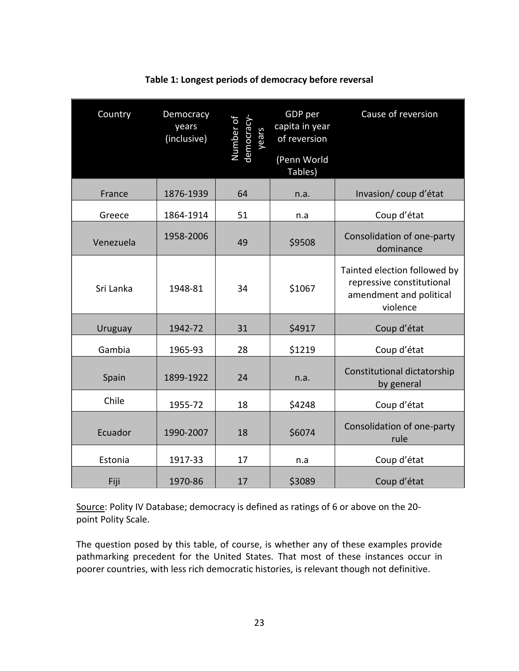| Country   | Democracy<br>years<br>(inclusive) | Number of<br>democracy<br>years | GDP per<br>capita in year<br>of reversion<br>(Penn World<br>Tables) | Cause of reversion                                                                               |
|-----------|-----------------------------------|---------------------------------|---------------------------------------------------------------------|--------------------------------------------------------------------------------------------------|
| France    | 1876-1939                         | 64                              | n.a.                                                                | Invasion/ coup d'état                                                                            |
| Greece    | 1864-1914                         | 51                              | n.a                                                                 | Coup d'état                                                                                      |
| Venezuela | 1958-2006                         | 49                              | \$9508                                                              | Consolidation of one-party<br>dominance                                                          |
| Sri Lanka | 1948-81                           | 34                              | \$1067                                                              | Tainted election followed by<br>repressive constitutional<br>amendment and political<br>violence |
| Uruguay   | 1942-72                           | 31                              | \$4917                                                              | Coup d'état                                                                                      |
| Gambia    | 1965-93                           | 28                              | \$1219                                                              | Coup d'état                                                                                      |
| Spain     | 1899-1922                         | 24                              | n.a.                                                                | Constitutional dictatorship<br>by general                                                        |
| Chile     | 1955-72                           | 18                              | \$4248                                                              | Coup d'état                                                                                      |
| Ecuador   | 1990-2007                         | 18                              | \$6074                                                              | Consolidation of one-party<br>rule                                                               |
| Estonia   | 1917-33                           | 17                              | n.a                                                                 | Coup d'état                                                                                      |
| Fiji      | 1970-86                           | 17                              | \$3089                                                              | Coup d'état                                                                                      |

# **Table 1: Longest periods of democracy before reversal**

Source: Polity IV Database; democracy is defined as ratings of 6 or above on the 20 point Polity Scale.

The question posed by this table, of course, is whether any of these examples provide pathmarking precedent for the United States. That most of these instances occur in poorer countries, with less rich democratic histories, is relevant though not definitive.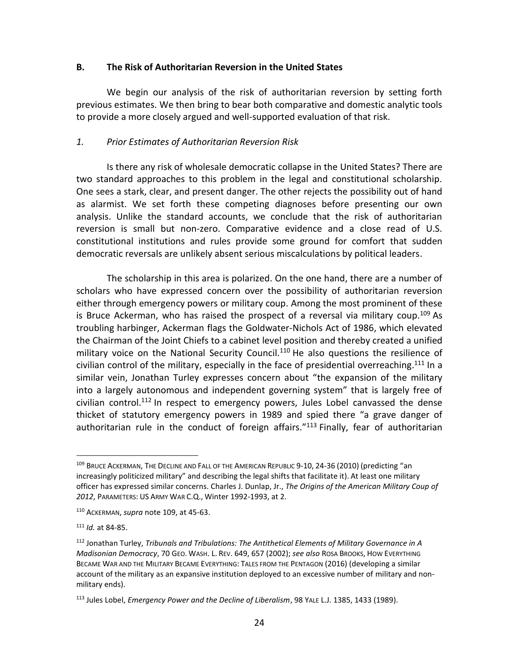### **B. The Risk of Authoritarian Reversion in the United States**

We begin our analysis of the risk of authoritarian reversion by setting forth previous estimates. We then bring to bear both comparative and domestic analytic tools to provide a more closely argued and well-supported evaluation of that risk.

## *1. Prior Estimates of Authoritarian Reversion Risk*

Is there any risk of wholesale democratic collapse in the United States? There are two standard approaches to this problem in the legal and constitutional scholarship. One sees a stark, clear, and present danger. The other rejects the possibility out of hand as alarmist. We set forth these competing diagnoses before presenting our own analysis. Unlike the standard accounts, we conclude that the risk of authoritarian reversion is small but non-zero. Comparative evidence and a close read of U.S. constitutional institutions and rules provide some ground for comfort that sudden democratic reversals are unlikely absent serious miscalculations by political leaders.

<span id="page-23-0"></span>The scholarship in this area is polarized. On the one hand, there are a number of scholars who have expressed concern over the possibility of authoritarian reversion either through emergency powers or military coup. Among the most prominent of these is Bruce Ackerman, who has raised the prospect of a reversal via military coup.<sup>109</sup> As troubling harbinger, Ackerman flags the Goldwater-Nichols Act of 1986, which elevated the Chairman of the Joint Chiefs to a cabinet level position and thereby created a unified military voice on the National Security Council.<sup>110</sup> He also questions the resilience of civilian control of the military, especially in the face of presidential overreaching.<sup>111</sup> In a similar vein, Jonathan Turley expresses concern about "the expansion of the military into a largely autonomous and independent governing system" that is largely free of  $civilian$  control.<sup>112</sup> In respect to emergency powers, Jules Lobel canvassed the dense thicket of statutory emergency powers in 1989 and spied there "a grave danger of authoritarian rule in the conduct of foreign affairs."<sup>113</sup> Finally, fear of authoritarian

<sup>109</sup> BRUCE ACKERMAN, THE DECLINE AND FALL OF THE AMERICAN REPUBLIC 9-10, 24-36 (2010) (predicting "an increasingly politicized military" and describing the legal shifts that facilitate it). At least one military officer has expressed similar concerns. Charles J. Dunlap, Jr., *The Origins of the American Military Coup of 2012*, PARAMETERS: US ARMY WAR C.Q., Winter 1992-1993, at 2.

<sup>110</sup> ACKERMAN, *supra* note [109,](#page-23-0) at 45-63.

<sup>111</sup> *Id.* at 84-85.

<sup>112</sup> Jonathan Turley, *Tribunals and Tribulations: The Antithetical Elements of Military Governance in A Madisonian Democracy*, 70 GEO. WASH. L. REV. 649, 657 (2002); *see also* ROSA BROOKS, HOW EVERYTHING BECAME WAR AND THE MILITARY BECAME EVERYTHING: TALES FROM THE PENTAGON (2016) (developing a similar account of the military as an expansive institution deployed to an excessive number of military and nonmilitary ends).

<sup>113</sup> Jules Lobel, *Emergency Power and the Decline of Liberalism*, 98 YALE L.J. 1385, 1433 (1989).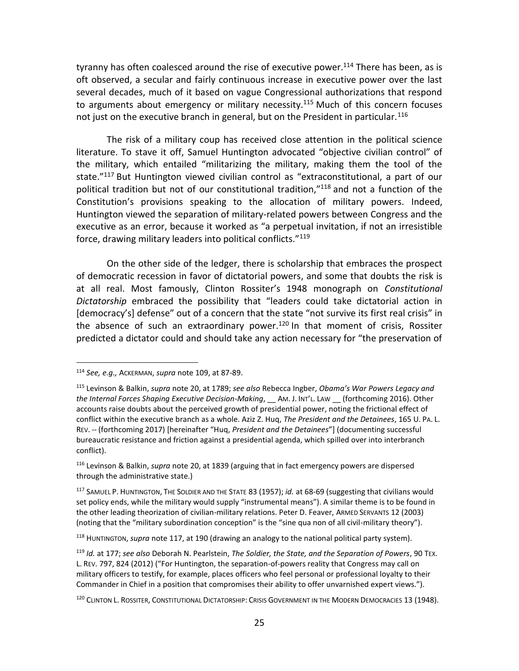tyranny has often coalesced around the rise of executive power.<sup>114</sup> There has been, as is oft observed, a secular and fairly continuous increase in executive power over the last several decades, much of it based on vague Congressional authorizations that respond to arguments about emergency or military necessity.<sup>115</sup> Much of this concern focuses not just on the executive branch in general, but on the President in particular.<sup>116</sup>

<span id="page-24-0"></span>The risk of a military coup has received close attention in the political science literature. To stave it off, Samuel Huntington advocated "objective civilian control" of the military, which entailed "militarizing the military, making them the tool of the state."<sup>117</sup> But Huntington viewed civilian control as "extraconstitutional, a part of our political tradition but not of our constitutional tradition,"<sup>118</sup> and not a function of the Constitution's provisions speaking to the allocation of military powers. Indeed, Huntington viewed the separation of military-related powers between Congress and the executive as an error, because it worked as "a perpetual invitation, if not an irresistible force, drawing military leaders into political conflicts."<sup>119</sup>

<span id="page-24-1"></span>On the other side of the ledger, there is scholarship that embraces the prospect of democratic recession in favor of dictatorial powers, and some that doubts the risk is at all real. Most famously, Clinton Rossiter's 1948 monograph on *Constitutional Dictatorship* embraced the possibility that "leaders could take dictatorial action in [democracy's] defense" out of a concern that the state "not survive its first real crisis" in the absence of such an extraordinary power.<sup>120</sup> In that moment of crisis, Rossiter predicted a dictator could and should take any action necessary for "the preservation of

<sup>114</sup> *See, e.g.,* ACKERMAN, *supra* not[e 109,](#page-23-0) at 87-89.

<sup>115</sup> Levinson & Balkin, *supra* not[e 20,](#page-4-1) at 1789; *see also* Rebecca Ingber, *Obama's War Powers Legacy and the Internal Forces Shaping Executive Decision-Making*, \_\_ AM. J. INT'L. LAW \_\_ (forthcoming 2016). Other accounts raise doubts about the perceived growth of presidential power, noting the frictional effect of conflict within the executive branch as a whole. Aziz Z. Huq, *The President and the Detainees*, 165 U. PA. L. REV. -- (forthcoming 2017) [hereinafter "Huq, *President and the Detainees*"] (documenting successful bureaucratic resistance and friction against a presidential agenda, which spilled over into interbranch conflict).

<sup>116</sup> Levinson & Balkin, *supra* not[e 20,](#page-4-1) at 1839 (arguing that in fact emergency powers are dispersed through the administrative state.)

<sup>117</sup> SAMUEL P. HUNTINGTON, THE SOLDIER AND THE STATE 83 (1957); *id.* at 68-69 (suggesting that civilians would set policy ends, while the military would supply "instrumental means"). A similar theme is to be found in the other leading theorization of civilian-military relations. Peter D. Feaver, ARMED SERVANTS 12 (2003) (noting that the "military subordination conception" is the "sine qua non of all civil-military theory").

<sup>118</sup> HUNTINGTON, *supra* note [117,](#page-24-0) at 190 (drawing an analogy to the national political party system).

<sup>119</sup> *Id.* at 177; *see also* Deborah N. Pearlstein, *The Soldier, the State, and the Separation of Powers*, 90 TEX. L. REV. 797, 824 (2012) ("For Huntington, the separation-of-powers reality that Congress may call on military officers to testify, for example, places officers who feel personal or professional loyalty to their Commander in Chief in a position that compromises their ability to offer unvarnished expert views.").

<sup>&</sup>lt;sup>120</sup> CLINTON L. ROSSITER, CONSTITUTIONAL DICTATORSHIP: CRISIS GOVERNMENT IN THE MODERN DEMOCRACIES 13 (1948).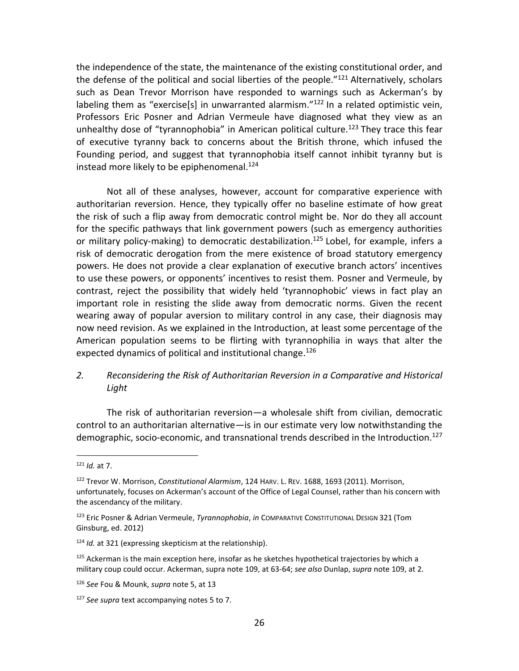the independence of the state, the maintenance of the existing constitutional order, and the defense of the political and social liberties of the people."<sup>121</sup> Alternatively, scholars such as Dean Trevor Morrison have responded to warnings such as Ackerman's by labeling them as "exercise[s] in unwarranted alarmism." $122$  In a related optimistic vein, Professors Eric Posner and Adrian Vermeule have diagnosed what they view as an unhealthy dose of "tyrannophobia" in American political culture.<sup>123</sup> They trace this fear of executive tyranny back to concerns about the British throne, which infused the Founding period, and suggest that tyrannophobia itself cannot inhibit tyranny but is instead more likely to be epiphenomenal.<sup>124</sup>

Not all of these analyses, however, account for comparative experience with authoritarian reversion. Hence, they typically offer no baseline estimate of how great the risk of such a flip away from democratic control might be. Nor do they all account for the specific pathways that link government powers (such as emergency authorities or military policy-making) to democratic destabilization.<sup>125</sup> Lobel, for example, infers a risk of democratic derogation from the mere existence of broad statutory emergency powers. He does not provide a clear explanation of executive branch actors' incentives to use these powers, or opponents' incentives to resist them. Posner and Vermeule, by contrast, reject the possibility that widely held 'tyrannophobic' views in fact play an important role in resisting the slide away from democratic norms. Given the recent wearing away of popular aversion to military control in any case, their diagnosis may now need revision. As we explained in the Introduction, at least some percentage of the American population seems to be flirting with tyrannophilia in ways that alter the expected dynamics of political and institutional change. 126

# *2. Reconsidering the Risk of Authoritarian Reversion in a Comparative and Historical Light*

The risk of authoritarian reversion—a wholesale shift from civilian, democratic control to an authoritarian alternative—is in our estimate very low notwithstanding the demographic, socio-economic, and transnational trends described in the Introduction.<sup>127</sup>

<sup>121</sup> *Id.* at 7.

<sup>122</sup> Trevor W. Morrison, *Constitutional Alarmism*, 124 HARV. L. REV. 1688, 1693 (2011). Morrison, unfortunately, focuses on Ackerman's account of the Office of Legal Counsel, rather than his concern with the ascendancy of the military.

<sup>123</sup> Eric Posner & Adrian Vermeule, *Tyrannophobia*, *in* COMPARATIVE CONSTITUTIONAL DESIGN 321 (Tom Ginsburg, ed. 2012)

<sup>124</sup> *Id.* at 321 (expressing skepticism at the relationship).

 $125$  Ackerman is the main exception here, insofar as he sketches hypothetical trajectories by which a military coup could occur. Ackerman, supra note [109,](#page-23-0) at 63-64; *see also* Dunlap, *supra* note [109,](#page-23-0) at 2.

<sup>126</sup> *See* Fou & Mounk, *supra* not[e 5,](#page-2-1) at 13

<sup>127</sup> *See supra* text accompanying note[s 5](#page-2-1) to [7.](#page-3-2)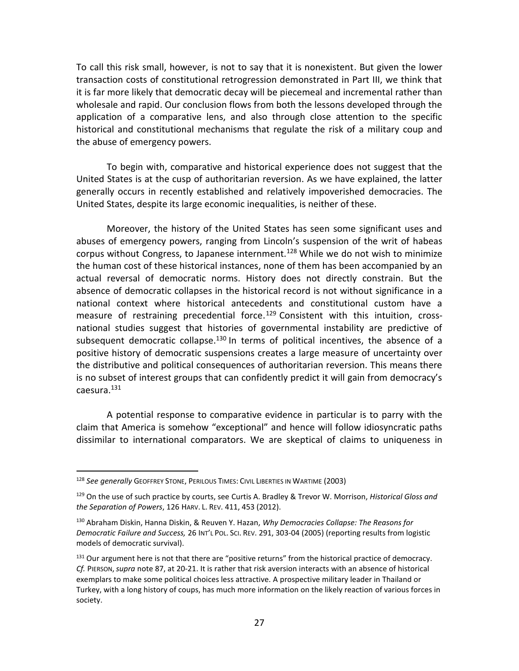To call this risk small, however, is not to say that it is nonexistent. But given the lower transaction costs of constitutional retrogression demonstrated in Part III, we think that it is far more likely that democratic decay will be piecemeal and incremental rather than wholesale and rapid. Our conclusion flows from both the lessons developed through the application of a comparative lens, and also through close attention to the specific historical and constitutional mechanisms that regulate the risk of a military coup and the abuse of emergency powers.

To begin with, comparative and historical experience does not suggest that the United States is at the cusp of authoritarian reversion. As we have explained, the latter generally occurs in recently established and relatively impoverished democracies. The United States, despite its large economic inequalities, is neither of these.

Moreover, the history of the United States has seen some significant uses and abuses of emergency powers, ranging from Lincoln's suspension of the writ of habeas corpus without Congress, to Japanese internment.<sup>128</sup> While we do not wish to minimize the human cost of these historical instances, none of them has been accompanied by an actual reversal of democratic norms. History does not directly constrain. But the absence of democratic collapses in the historical record is not without significance in a national context where historical antecedents and constitutional custom have a measure of restraining precedential force.<sup>129</sup> Consistent with this intuition, crossnational studies suggest that histories of governmental instability are predictive of subsequent democratic collapse.<sup>130</sup> In terms of political incentives, the absence of a positive history of democratic suspensions creates a large measure of uncertainty over the distributive and political consequences of authoritarian reversion. This means there is no subset of interest groups that can confidently predict it will gain from democracy's caesura.<sup>131</sup>

A potential response to comparative evidence in particular is to parry with the claim that America is somehow "exceptional" and hence will follow idiosyncratic paths dissimilar to international comparators. We are skeptical of claims to uniqueness in

<sup>128</sup> *See generally* GEOFFREY STONE, PERILOUS TIMES: CIVIL LIBERTIES IN WARTIME (2003)

<sup>129</sup> On the use of such practice by courts, see Curtis A. Bradley & Trevor W. Morrison, *Historical Gloss and the Separation of Powers*, 126 HARV. L. REV. 411, 453 (2012).

<sup>130</sup> Abraham Diskin, Hanna Diskin, & Reuven Y. Hazan, *Why Democracies Collapse: The Reasons for Democratic Failure and Success,* 26 INT'L POL. SCI. REV. 291, 303-04 (2005) (reporting results from logistic models of democratic survival).

<sup>&</sup>lt;sup>131</sup> Our argument here is not that there are "positive returns" from the historical practice of democracy. *Cf.* PIERSON,*supra* note [87,](#page-17-0) at 20-21. It is rather that risk aversion interacts with an absence of historical exemplars to make some political choices less attractive. A prospective military leader in Thailand or Turkey, with a long history of coups, has much more information on the likely reaction of various forces in society.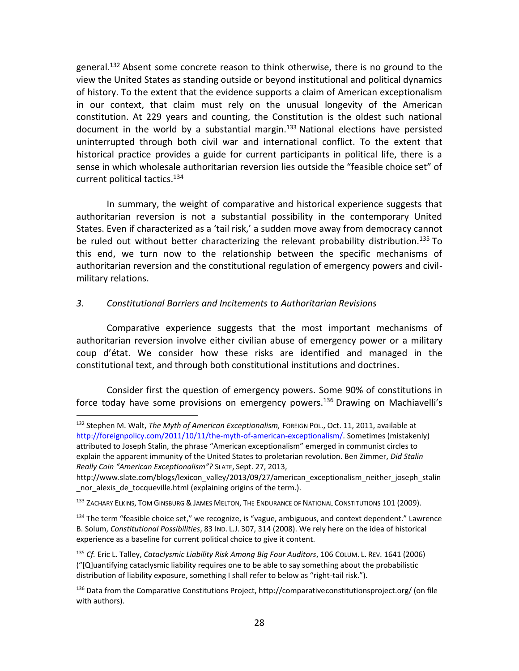general. <sup>132</sup> Absent some concrete reason to think otherwise, there is no ground to the view the United States as standing outside or beyond institutional and political dynamics of history. To the extent that the evidence supports a claim of American exceptionalism in our context, that claim must rely on the unusual longevity of the American constitution. At 229 years and counting, the Constitution is the oldest such national document in the world by a substantial margin. <sup>133</sup> National elections have persisted uninterrupted through both civil war and international conflict. To the extent that historical practice provides a guide for current participants in political life, there is a sense in which wholesale authoritarian reversion lies outside the "feasible choice set" of current political tactics. 134

In summary, the weight of comparative and historical experience suggests that authoritarian reversion is not a substantial possibility in the contemporary United States. Even if characterized as a 'tail risk,' a sudden move away from democracy cannot be ruled out without better characterizing the relevant probability distribution.<sup>135</sup> To this end, we turn now to the relationship between the specific mechanisms of authoritarian reversion and the constitutional regulation of emergency powers and civilmilitary relations.

## *3. Constitutional Barriers and Incitements to Authoritarian Revisions*

 $\overline{a}$ 

Comparative experience suggests that the most important mechanisms of authoritarian reversion involve either civilian abuse of emergency power or a military coup d'état. We consider how these risks are identified and managed in the constitutional text, and through both constitutional institutions and doctrines.

Consider first the question of emergency powers. Some 90% of constitutions in force today have some provisions on emergency powers.<sup>136</sup> Drawing on Machiavelli's

<sup>132</sup> Stephen M. Walt, *The Myth of American Exceptionalism,* FOREIGN POL., Oct. 11, 2011, available at [http://foreignpolicy.com/2011/10/11/the-myth-of-american-exceptionalism/.](http://foreignpolicy.com/2011/10/11/the-myth-of-american-exceptionalism/) Sometimes (mistakenly) attributed to Joseph Stalin, the phrase "American exceptionalism" emerged in communist circles to explain the apparent immunity of the United States to proletarian revolution. Ben Zimmer, *Did Stalin Really Coin "American Exceptionalism"?* SLATE, Sept. 27, 2013,

http://www.slate.com/blogs/lexicon\_valley/2013/09/27/american\_exceptionalism\_neither\_joseph\_stalin \_nor\_alexis\_de\_tocqueville.html (explaining origins of the term.).

<sup>133</sup> ZACHARY ELKINS, TOM GINSBURG & JAMES MELTON, THE ENDURANCE OF NATIONAL CONSTITUTIONS 101 (2009).

 $134$  The term "feasible choice set," we recognize, is "vague, ambiguous, and context dependent." Lawrence B. Solum, *Constitutional Possibilities*, 83 IND. L.J. 307, 314 (2008). We rely here on the idea of historical experience as a baseline for current political choice to give it content.

<sup>135</sup> *Cf.* Eric L. Talley, *Cataclysmic Liability Risk Among Big Four Auditors*, 106 COLUM. L. REV. 1641 (2006) ("[Q]uantifying cataclysmic liability requires one to be able to say something about the probabilistic distribution of liability exposure, something I shall refer to below as "right-tail risk.").

<sup>136</sup> Data from the Comparative Constitutions Project, http://comparativeconstitutionsproject.org/ (on file with authors).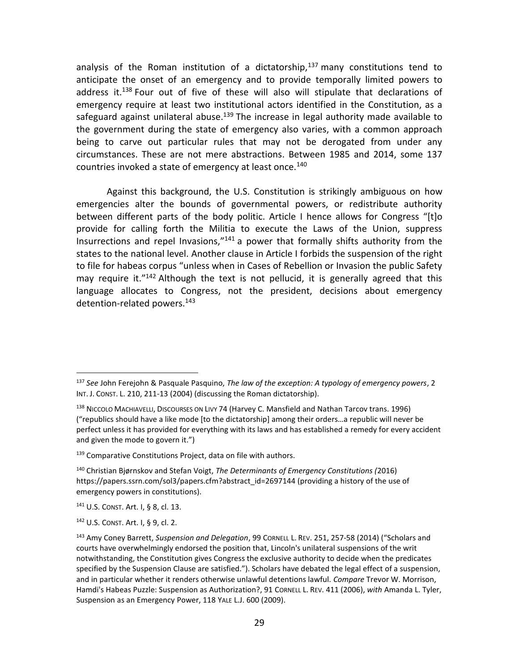analysis of the Roman institution of a dictatorship, $137$  many constitutions tend to anticipate the onset of an emergency and to provide temporally limited powers to address it.<sup>138</sup> Four out of five of these will also will stipulate that declarations of emergency require at least two institutional actors identified in the Constitution, as a safeguard against unilateral abuse.<sup>139</sup> The increase in legal authority made available to the government during the state of emergency also varies, with a common approach being to carve out particular rules that may not be derogated from under any circumstances. These are not mere abstractions. Between 1985 and 2014, some 137 countries invoked a state of emergency at least once.<sup>140</sup>

Against this background, the U.S. Constitution is strikingly ambiguous on how emergencies alter the bounds of governmental powers, or redistribute authority between different parts of the body politic. Article I hence allows for Congress "[t]o provide for calling forth the Militia to execute the Laws of the Union, suppress Insurrections and repel Invasions,"<sup>141</sup> a power that formally shifts authority from the states to the national level. Another clause in Article I forbids the suspension of the right to file for habeas corpus "unless when in Cases of Rebellion or Invasion the public Safety may require it.<sup>"142</sup> Although the text is not pellucid, it is generally agreed that this language allocates to Congress, not the president, decisions about emergency detention-related powers.<sup>143</sup>

<span id="page-28-0"></span><sup>137</sup> *See* John Ferejohn & Pasquale Pasquino, *The law of the exception: A typology of emergency powers*, 2 INT. J. CONST. L. 210, 211-13 (2004) (discussing the Roman dictatorship).

<sup>&</sup>lt;sup>138</sup> NICCOLO MACHIAVELLI, DISCOURSES ON LIVY 74 (Harvey C. Mansfield and Nathan Tarcov trans. 1996) ("republics should have a like mode [to the dictatorship] among their orders…a republic will never be perfect unless it has provided for everything with its laws and has established a remedy for every accident and given the mode to govern it.")

<sup>139</sup> Comparative Constitutions Project, data on file with authors.

<sup>140</sup> Christian Bjørnskov and Stefan Voigt, *The Determinants of Emergency Constitutions (*2016) https://papers.ssrn.com/sol3/papers.cfm?abstract\_id=2697144 (providing a history of the use of emergency powers in constitutions).

<sup>141</sup> U.S. CONST. Art. I, § 8, cl. 13.

<sup>142</sup> U.S. CONST. Art. I, § 9, cl. 2.

<sup>143</sup> Amy Coney Barrett, *Suspension and Delegation*, 99 CORNELL L. REV. 251, 257-58 (2014) ("Scholars and courts have overwhelmingly endorsed the position that, Lincoln's unilateral suspensions of the writ notwithstanding, the Constitution gives Congress the exclusive authority to decide when the predicates specified by the Suspension Clause are satisfied."). Scholars have debated the legal effect of a suspension, and in particular whether it renders otherwise unlawful detentions lawful. *Compare* Trevor W. Morrison, Hamdi's Habeas Puzzle: Suspension as Authorization?, 91 CORNELL L. REV. 411 (2006), *with* Amanda L. Tyler, Suspension as an Emergency Power, 118 YALE L.J. 600 (2009).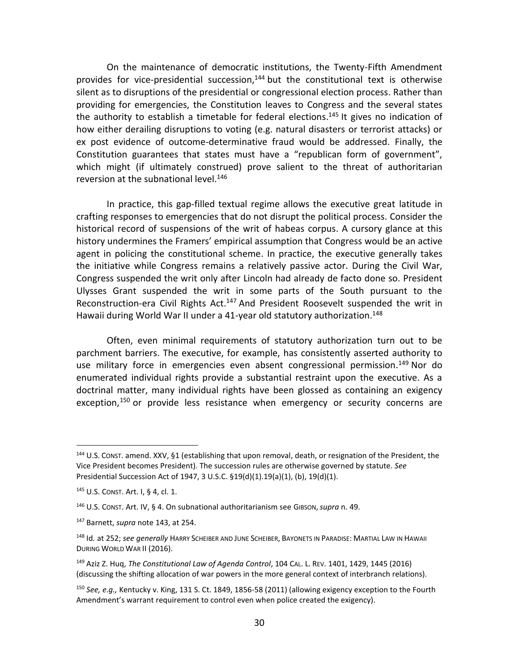On the maintenance of democratic institutions, the Twenty-Fifth Amendment provides for vice-presidential succession, $144$  but the constitutional text is otherwise silent as to disruptions of the presidential or congressional election process. Rather than providing for emergencies, the Constitution leaves to Congress and the several states the authority to establish a timetable for federal elections. <sup>145</sup> It gives no indication of how either derailing disruptions to voting (e.g. natural disasters or terrorist attacks) or ex post evidence of outcome-determinative fraud would be addressed. Finally, the Constitution guarantees that states must have a "republican form of government", which might (if ultimately construed) prove salient to the threat of authoritarian reversion at the subnational level.<sup>146</sup>

In practice, this gap-filled textual regime allows the executive great latitude in crafting responses to emergencies that do not disrupt the political process. Consider the historical record of suspensions of the writ of habeas corpus. A cursory glance at this history undermines the Framers' empirical assumption that Congress would be an active agent in policing the constitutional scheme. In practice, the executive generally takes the initiative while Congress remains a relatively passive actor. During the Civil War, Congress suspended the writ only after Lincoln had already de facto done so. President Ulysses Grant suspended the writ in some parts of the South pursuant to the Reconstruction-era Civil Rights Act.<sup>147</sup> And President Roosevelt suspended the writ in Hawaii during World War II under a 41-year old statutory authorization.<sup>148</sup>

Often, even minimal requirements of statutory authorization turn out to be parchment barriers. The executive, for example, has consistently asserted authority to use military force in emergencies even absent congressional permission.<sup>149</sup> Nor do enumerated individual rights provide a substantial restraint upon the executive. As a doctrinal matter, many individual rights have been glossed as containing an exigency exception,<sup>150</sup> or provide less resistance when emergency or security concerns are

<sup>144</sup> U.S. CONST. amend. XXV, §1 (establishing that upon removal, death, or resignation of the President, the Vice President becomes President). The succession rules are otherwise governed by statute. *See*  Presidential Succession Act of 1947, 3 U.S.C. §19(d)(1).19(a)(1), (b), 19(d)(1).

<sup>145</sup> U.S. CONST. Art. I, § 4, cl. 1.

<sup>146</sup> U.S. CONST. Art. IV, § 4. On subnational authoritarianism see GIBSON,*supra* n[. 49.](#page-10-0)

<sup>147</sup> Barnett, *supra* not[e 143,](#page-28-0) at 254.

<sup>148</sup> Id*.* at 252; *see generally* HARRY SCHEIBER AND JUNE SCHEIBER, BAYONETS IN PARADISE: MARTIAL LAW IN HAWAII DURING WORLD WAR II (2016).

<sup>149</sup> Aziz Z. Huq, *The Constitutional Law of Agenda Control*, 104 CAL. L. REV. 1401, 1429, 1445 (2016) (discussing the shifting allocation of war powers in the more general context of interbranch relations).

<sup>150</sup> *See, e.g.,* Kentucky v. King, 131 S. Ct. 1849, 1856-58 (2011) (allowing exigency exception to the Fourth Amendment's warrant requirement to control even when police created the exigency).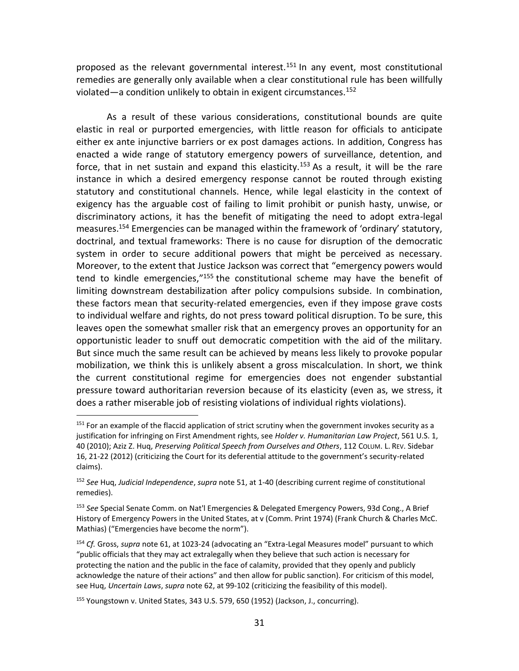proposed as the relevant governmental interest.<sup>151</sup> In any event, most constitutional remedies are generally only available when a clear constitutional rule has been willfully violated—a condition unlikely to obtain in exigent circumstances.<sup>152</sup>

As a result of these various considerations, constitutional bounds are quite elastic in real or purported emergencies, with little reason for officials to anticipate either ex ante injunctive barriers or ex post damages actions. In addition, Congress has enacted a wide range of statutory emergency powers of surveillance, detention, and force, that in net sustain and expand this elasticity.<sup>153</sup> As a result, it will be the rare instance in which a desired emergency response cannot be routed through existing statutory and constitutional channels. Hence, while legal elasticity in the context of exigency has the arguable cost of failing to limit prohibit or punish hasty, unwise, or discriminatory actions, it has the benefit of mitigating the need to adopt extra-legal measures.<sup>154</sup> Emergencies can be managed within the framework of 'ordinary' statutory, doctrinal, and textual frameworks: There is no cause for disruption of the democratic system in order to secure additional powers that might be perceived as necessary. Moreover, to the extent that Justice Jackson was correct that "emergency powers would tend to kindle emergencies,"<sup>155</sup> the constitutional scheme may have the benefit of limiting downstream destabilization after policy compulsions subside. In combination, these factors mean that security-related emergencies, even if they impose grave costs to individual welfare and rights, do not press toward political disruption. To be sure, this leaves open the somewhat smaller risk that an emergency proves an opportunity for an opportunistic leader to snuff out democratic competition with the aid of the military. But since much the same result can be achieved by means less likely to provoke popular mobilization, we think this is unlikely absent a gross miscalculation. In short, we think the current constitutional regime for emergencies does not engender substantial pressure toward authoritarian reversion because of its elasticity (even as, we stress, it does a rather miserable job of resisting violations of individual rights violations).

<sup>&</sup>lt;sup>151</sup> For an example of the flaccid application of strict scrutiny when the government invokes security as a justification for infringing on First Amendment rights, see *Holder v. Humanitarian Law Project*, 561 U.S. 1, 40 (2010); Aziz Z. Huq, *Preserving Political Speech from Ourselves and Others*, 112 COLUM. L. REV. Sidebar 16, 21-22 (2012) (criticizing the Court for its deferential attitude to the government's security-related claims).

<sup>152</sup> *See* Huq, *Judicial Independence*, *supra* not[e 51,](#page-11-1) at 1-40 (describing current regime of constitutional remedies).

<sup>153</sup> *See* Special Senate Comm. on Nat'l Emergencies & Delegated Emergency Powers, 93d Cong., A Brief History of Emergency Powers in the United States, at v (Comm. Print 1974) (Frank Church & Charles McC. Mathias) ("Emergencies have become the norm").

<sup>154</sup> *Cf.* Gross, *supra* note [61,](#page-12-2) at 1023-24 (advocating an "Extra-Legal Measures model" pursuant to which "public officials that they may act extralegally when they believe that such action is necessary for protecting the nation and the public in the face of calamity, provided that they openly and publicly acknowledge the nature of their actions" and then allow for public sanction). For criticism of this model, see Huq, *Uncertain Laws*, *supra* note [62,](#page-13-1) at 99-102 (criticizing the feasibility of this model).

<sup>155</sup> Youngstown v. United States, 343 U.S. 579, 650 (1952) (Jackson, J., concurring).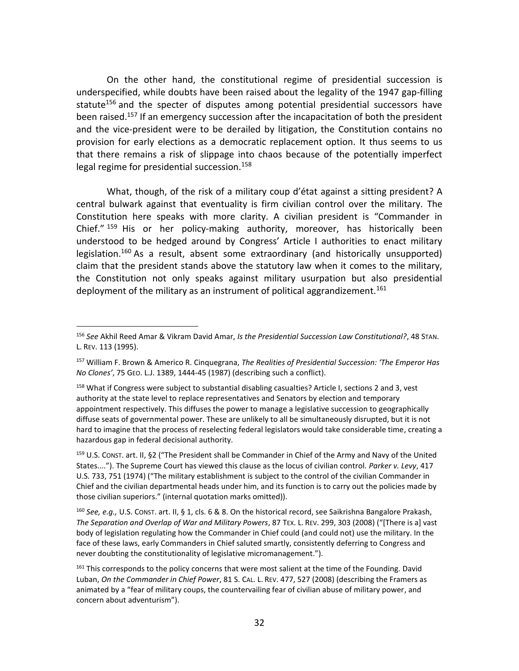On the other hand, the constitutional regime of presidential succession is underspecified, while doubts have been raised about the legality of the 1947 gap-filling statute<sup>156</sup> and the specter of disputes among potential presidential successors have been raised.<sup>157</sup> If an emergency succession after the incapacitation of both the president and the vice-president were to be derailed by litigation, the Constitution contains no provision for early elections as a democratic replacement option. It thus seems to us that there remains a risk of slippage into chaos because of the potentially imperfect legal regime for presidential succession.<sup>158</sup>

What, though, of the risk of a military coup d'état against a sitting president? A central bulwark against that eventuality is firm civilian control over the military. The Constitution here speaks with more clarity. A civilian president is "Commander in Chief." <sup>159</sup> His or her policy-making authority, moreover, has historically been understood to be hedged around by Congress' Article I authorities to enact military legislation.<sup>160</sup> As a result, absent some extraordinary (and historically unsupported) claim that the president stands above the statutory law when it comes to the military, the Constitution not only speaks against military usurpation but also presidential deployment of the military as an instrument of political aggrandizement.<sup>161</sup>

<span id="page-31-0"></span><sup>156</sup> *See* Akhil Reed Amar & Vikram David Amar, *Is the Presidential Succession Law Constitutional?*, 48 STAN. L. REV. 113 (1995).

<sup>157</sup> William F. Brown & Americo R. Cinquegrana, *The Realities of Presidential Succession: 'The Emperor Has No Clones'*, 75 GEO. L.J. 1389, 1444-45 (1987) (describing such a conflict).

<sup>158</sup> What if Congress were subject to substantial disabling casualties? Article I, sections 2 and 3, vest authority at the state level to replace representatives and Senators by election and temporary appointment respectively. This diffuses the power to manage a legislative succession to geographically diffuse seats of governmental power. These are unlikely to all be simultaneously disrupted, but it is not hard to imagine that the process of reselecting federal legislators would take considerable time, creating a hazardous gap in federal decisional authority.

<sup>159</sup> U.S. CONST. art. II, §2 ("The President shall be Commander in Chief of the Army and Navy of the United States...."). The Supreme Court has viewed this clause as the locus of civilian control. *Parker v. Levy*, 417 U.S. 733, 751 (1974) ("The military establishment is subject to the control of the civilian Commander in Chief and the civilian departmental heads under him, and its function is to carry out the policies made by those civilian superiors." (internal quotation marks omitted)).

<sup>160</sup> *See, e.g.,* U.S. CONST. art. II, § 1, cls. 6 & 8. On the historical record, see Saikrishna Bangalore Prakash, *The Separation and Overlap of War and Military Powers*, 87 TEX. L. REV. 299, 303 (2008) ("[There is a] vast body of legislation regulating how the Commander in Chief could (and could not) use the military. In the face of these laws, early Commanders in Chief saluted smartly, consistently deferring to Congress and never doubting the constitutionality of legislative micromanagement.").

<sup>&</sup>lt;sup>161</sup> This corresponds to the policy concerns that were most salient at the time of the Founding. David Luban, *On the Commander in Chief Power*, 81 S. CAL. L. REV. 477, 527 (2008) (describing the Framers as animated by a "fear of military coups, the countervailing fear of civilian abuse of military power, and concern about adventurism").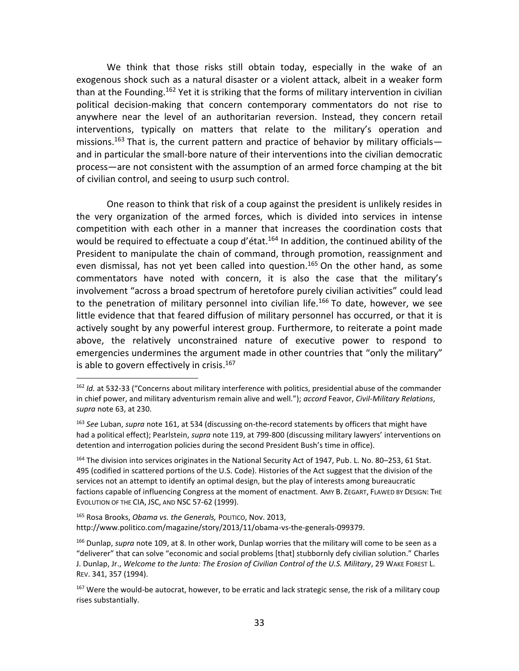We think that those risks still obtain today, especially in the wake of an exogenous shock such as a natural disaster or a violent attack, albeit in a weaker form than at the Founding.<sup>162</sup> Yet it is striking that the forms of military intervention in civilian political decision-making that concern contemporary commentators do not rise to anywhere near the level of an authoritarian reversion. Instead, they concern retail interventions, typically on matters that relate to the military's operation and missions.<sup>163</sup> That is, the current pattern and practice of behavior by military officials and in particular the small-bore nature of their interventions into the civilian democratic process—are not consistent with the assumption of an armed force champing at the bit of civilian control, and seeing to usurp such control.

One reason to think that risk of a coup against the president is unlikely resides in the very organization of the armed forces, which is divided into services in intense competition with each other in a manner that increases the coordination costs that would be required to effectuate a coup d'état.<sup>164</sup> In addition, the continued ability of the President to manipulate the chain of command, through promotion, reassignment and even dismissal, has not yet been called into question.<sup>165</sup> On the other hand, as some commentators have noted with concern, it is also the case that the military's involvement "across a broad spectrum of heretofore purely civilian activities" could lead to the penetration of military personnel into civilian life.<sup>166</sup> To date, however, we see little evidence that that feared diffusion of military personnel has occurred, or that it is actively sought by any powerful interest group. Furthermore, to reiterate a point made above, the relatively unconstrained nature of executive power to respond to emergencies undermines the argument made in other countries that "only the military" is able to govern effectively in crisis.<sup>167</sup>

<sup>164</sup> The division into services originates in the National Security Act of 1947, Pub. L. No. 80–253, 61 Stat. 495 (codified in scattered portions of the U.S. Code). Histories of the Act suggest that the division of the services not an attempt to identify an optimal design, but the play of interests among bureaucratic factions capable of influencing Congress at the moment of enactment. AMY B. ZEGART, FLAWED BY DESIGN: THE EVOLUTION OF THE CIA, JSC, AND NSC 57-62 (1999).

<sup>165</sup> Rosa Brooks, *Obama vs. the Generals,* POLITICO, Nov. 2013, http://www.politico.com/magazine/story/2013/11/obama-vs-the-generals-099379.

 $\overline{a}$ 

<sup>166</sup> Dunlap, *supra* note [109,](#page-23-0) at 8. In other work, Dunlap worries that the military will come to be seen as a "deliverer" that can solve "economic and social problems [that] stubbornly defy civilian solution." Charles J. Dunlap, Jr., *Welcome to the Junta: The Erosion of Civilian Control of the U.S. Military*, 29 WAKE FOREST L. REV. 341, 357 (1994).

<sup>162</sup> *Id.* at 532-33 ("Concerns about military interference with politics, presidential abuse of the commander in chief power, and military adventurism remain alive and well."); *accord* Feavor, *Civil-Military Relations*, *supra* note [63,](#page-13-2) at 230.

<sup>163</sup> *See* Luban, *supra* note [161,](#page-31-0) at 534 (discussing on-the-record statements by officers that might have had a political effect); Pearlstein, *supra* note [119,](#page-24-1) at 799-800 (discussing military lawyers' interventions on detention and interrogation policies during the second President Bush's time in office).

<sup>&</sup>lt;sup>167</sup> Were the would-be autocrat, however, to be erratic and lack strategic sense, the risk of a military coup rises substantially.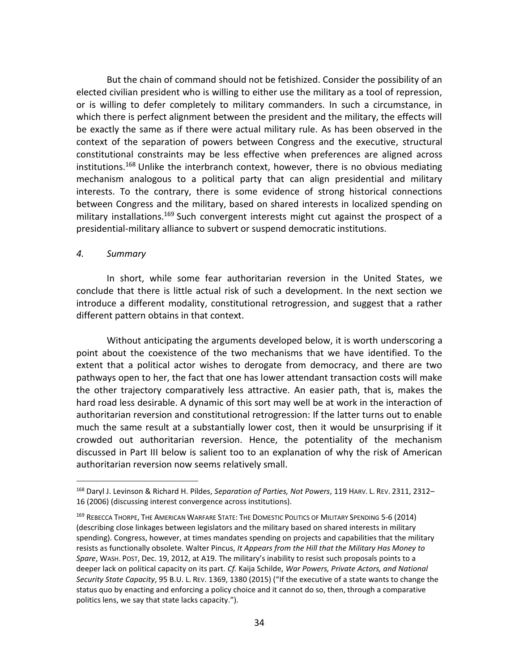But the chain of command should not be fetishized. Consider the possibility of an elected civilian president who is willing to either use the military as a tool of repression, or is willing to defer completely to military commanders. In such a circumstance, in which there is perfect alignment between the president and the military, the effects will be exactly the same as if there were actual military rule. As has been observed in the context of the separation of powers between Congress and the executive, structural constitutional constraints may be less effective when preferences are aligned across institutions.<sup>168</sup> Unlike the interbranch context, however, there is no obvious mediating mechanism analogous to a political party that can align presidential and military interests. To the contrary, there is some evidence of strong historical connections between Congress and the military, based on shared interests in localized spending on military installations.<sup>169</sup> Such convergent interests might cut against the prospect of a presidential-military alliance to subvert or suspend democratic institutions.

## *4. Summary*

 $\overline{a}$ 

In short, while some fear authoritarian reversion in the United States, we conclude that there is little actual risk of such a development. In the next section we introduce a different modality, constitutional retrogression, and suggest that a rather different pattern obtains in that context.

Without anticipating the arguments developed below, it is worth underscoring a point about the coexistence of the two mechanisms that we have identified. To the extent that a political actor wishes to derogate from democracy, and there are two pathways open to her, the fact that one has lower attendant transaction costs will make the other trajectory comparatively less attractive. An easier path, that is, makes the hard road less desirable. A dynamic of this sort may well be at work in the interaction of authoritarian reversion and constitutional retrogression: If the latter turns out to enable much the same result at a substantially lower cost, then it would be unsurprising if it crowded out authoritarian reversion. Hence, the potentiality of the mechanism discussed in Part III below is salient too to an explanation of why the risk of American authoritarian reversion now seems relatively small.

<sup>168</sup> Daryl J. Levinson & Richard H. Pildes, *Separation of Parties, Not Powers*, 119 HARV. L. REV. 2311, 2312– 16 (2006) (discussing interest convergence across institutions).

<sup>169</sup> REBECCA THORPE, THE AMERICAN WARFARE STATE: THE DOMESTIC POLITICS OF MILITARY SPENDING 5-6 (2014) (describing close linkages between legislators and the military based on shared interests in military spending). Congress, however, at times mandates spending on projects and capabilities that the military resists as functionally obsolete. Walter Pincus, *It Appears from the Hill that the Military Has Money to Spare*, WASH. POST, Dec. 19, 2012, at A19. The military's inability to resist such proposals points to a deeper lack on political capacity on its part. *Cf.* Kaija Schilde, *War Powers, Private Actors, and National Security State Capacity*, 95 B.U. L. REV. 1369, 1380 (2015) ("If the executive of a state wants to change the status quo by enacting and enforcing a policy choice and it cannot do so, then, through a comparative politics lens, we say that state lacks capacity.").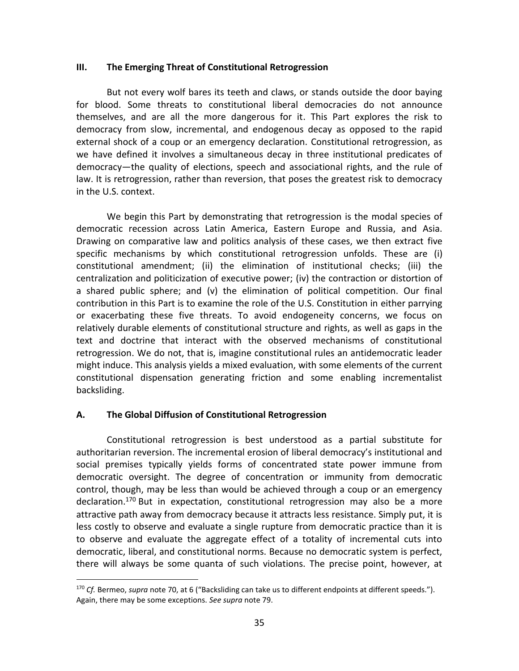## **III. The Emerging Threat of Constitutional Retrogression**

But not every wolf bares its teeth and claws, or stands outside the door baying for blood. Some threats to constitutional liberal democracies do not announce themselves, and are all the more dangerous for it. This Part explores the risk to democracy from slow, incremental, and endogenous decay as opposed to the rapid external shock of a coup or an emergency declaration. Constitutional retrogression, as we have defined it involves a simultaneous decay in three institutional predicates of democracy—the quality of elections, speech and associational rights, and the rule of law. It is retrogression, rather than reversion, that poses the greatest risk to democracy in the U.S. context.

We begin this Part by demonstrating that retrogression is the modal species of democratic recession across Latin America, Eastern Europe and Russia, and Asia. Drawing on comparative law and politics analysis of these cases, we then extract five specific mechanisms by which constitutional retrogression unfolds. These are (i) constitutional amendment; (ii) the elimination of institutional checks; (iii) the centralization and politicization of executive power; (iv) the contraction or distortion of a shared public sphere; and (v) the elimination of political competition. Our final contribution in this Part is to examine the role of the U.S. Constitution in either parrying or exacerbating these five threats. To avoid endogeneity concerns, we focus on relatively durable elements of constitutional structure and rights, as well as gaps in the text and doctrine that interact with the observed mechanisms of constitutional retrogression. We do not, that is, imagine constitutional rules an antidemocratic leader might induce. This analysis yields a mixed evaluation, with some elements of the current constitutional dispensation generating friction and some enabling incrementalist backsliding.

# **A. The Global Diffusion of Constitutional Retrogression**

 $\overline{a}$ 

Constitutional retrogression is best understood as a partial substitute for authoritarian reversion. The incremental erosion of liberal democracy's institutional and social premises typically yields forms of concentrated state power immune from democratic oversight. The degree of concentration or immunity from democratic control, though, may be less than would be achieved through a coup or an emergency declaration.<sup>170</sup> But in expectation, constitutional retrogression may also be a more attractive path away from democracy because it attracts less resistance. Simply put, it is less costly to observe and evaluate a single rupture from democratic practice than it is to observe and evaluate the aggregate effect of a totality of incremental cuts into democratic, liberal, and constitutional norms. Because no democratic system is perfect, there will always be some quanta of such violations. The precise point, however, at

<sup>170</sup> *Cf.* Bermeo, *supra* note [70](#page-14-1), at 6 ("Backsliding can take us to different endpoints at different speeds."). Again, there may be some exceptions. *See supra* not[e 79.](#page-16-0)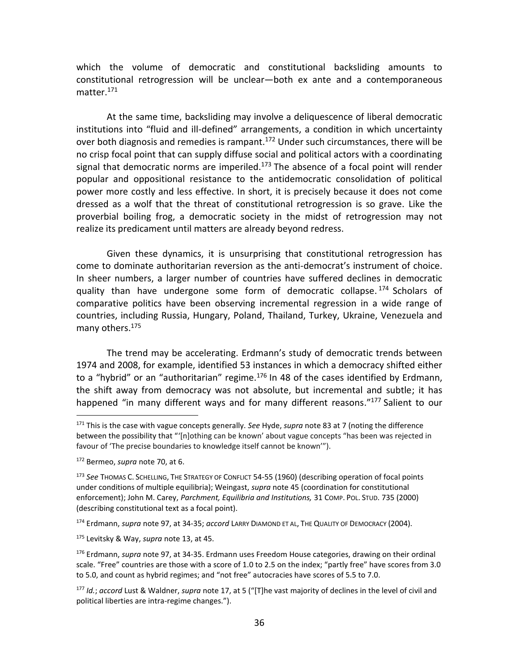which the volume of democratic and constitutional backsliding amounts to constitutional retrogression will be unclear—both ex ante and a contemporaneous matter.<sup>171</sup>

At the same time, backsliding may involve a deliquescence of liberal democratic institutions into "fluid and ill-defined" arrangements, a condition in which uncertainty over both diagnosis and remedies is rampant.<sup>172</sup> Under such circumstances, there will be no crisp focal point that can supply diffuse social and political actors with a coordinating signal that democratic norms are imperiled.<sup>173</sup> The absence of a focal point will render popular and oppositional resistance to the antidemocratic consolidation of political power more costly and less effective. In short, it is precisely because it does not come dressed as a wolf that the threat of constitutional retrogression is so grave. Like the proverbial boiling frog, a democratic society in the midst of retrogression may not realize its predicament until matters are already beyond redress.

Given these dynamics, it is unsurprising that constitutional retrogression has come to dominate authoritarian reversion as the anti-democrat's instrument of choice. In sheer numbers, a larger number of countries have suffered declines in democratic quality than have undergone some form of democratic collapse.<sup>174</sup> Scholars of comparative politics have been observing incremental regression in a wide range of countries, including Russia, Hungary, Poland, Thailand, Turkey, Ukraine, Venezuela and many others.<sup>175</sup>

The trend may be accelerating. Erdmann's study of democratic trends between 1974 and 2008, for example, identified 53 instances in which a democracy shifted either to a "hybrid" or an "authoritarian" regime. $176$  In 48 of the cases identified by Erdmann, the shift away from democracy was not absolute, but incremental and subtle; it has happened "in many different ways and for many different reasons."<sup>177</sup> Salient to our

 $\overline{a}$ 

<sup>174</sup> Erdmann, *supra* note [97,](#page-20-0) at 34-35; *accord* LARRY DIAMOND ET AL, THE QUALITY OF DEMOCRACY (2004).

<sup>171</sup> This is the case with vague concepts generally. *See* Hyde, *supra* note [83](#page-17-1) at 7 (noting the difference between the possibility that "'[n]othing can be known' about vague concepts "has been was rejected in favour of 'The precise boundaries to knowledge itself cannot be known'").

<sup>172</sup> Bermeo, *supra* note [70,](#page-14-1) at 6.

<sup>173</sup> *See* THOMAS C. SCHELLING, THE STRATEGY OF CONFLICT 54-55 (1960) (describing operation of focal points under conditions of multiple equilibria); Weingast, *supra* note [45](#page-10-1) (coordination for constitutional enforcement); John M. Carey, *Parchment, Equilibria and Institutions,* 31 COMP. POL. STUD. 735 (2000) (describing constitutional text as a focal point).

<sup>175</sup> Levitsky & Way, *supra* note [13,](#page-3-0) at 45.

<sup>176</sup> Erdmann, *supra* note [97,](#page-20-0) at 34-35. Erdmann uses Freedom House categories, drawing on their ordinal scale. "Free" countries are those with a score of 1.0 to 2.5 on the index; "partly free" have scores from 3.0 to 5.0, and count as hybrid regimes; and "not free" autocracies have scores of 5.5 to 7.0.

<sup>177</sup> *Id.*; *accord* Lust & Waldner, *supra* not[e 17](#page-4-0), at 5 ("[T]he vast majority of declines in the level of civil and political liberties are intra-regime changes.").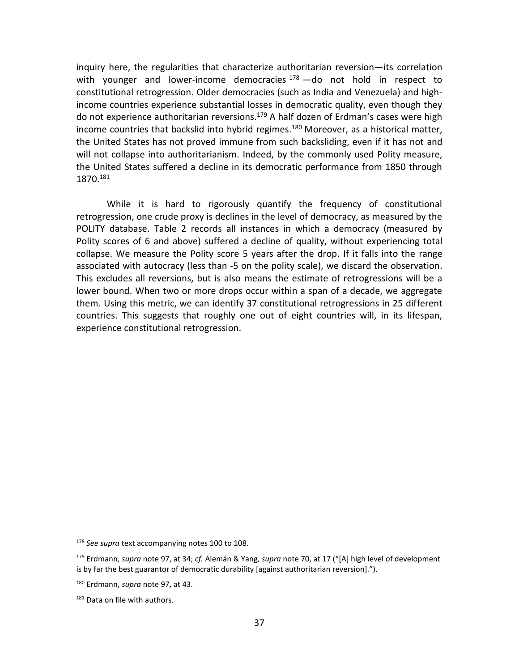inquiry here, the regularities that characterize authoritarian reversion—its correlation with younger and lower-income democracies  $178 -$ do not hold in respect to constitutional retrogression. Older democracies (such as India and Venezuela) and highincome countries experience substantial losses in democratic quality, even though they do not experience authoritarian reversions.<sup>179</sup> A half dozen of Erdman's cases were high income countries that backslid into hybrid regimes.<sup>180</sup> Moreover, as a historical matter, the United States has not proved immune from such backsliding, even if it has not and will not collapse into authoritarianism. Indeed, by the commonly used Polity measure, the United States suffered a decline in its democratic performance from 1850 through 1870.<sup>181</sup>

While it is hard to rigorously quantify the frequency of constitutional retrogression, one crude proxy is declines in the level of democracy, as measured by the POLITY database. Table 2 records all instances in which a democracy (measured by Polity scores of 6 and above) suffered a decline of quality, without experiencing total collapse. We measure the Polity score 5 years after the drop. If it falls into the range associated with autocracy (less than -5 on the polity scale), we discard the observation. This excludes all reversions, but is also means the estimate of retrogressions will be a lower bound. When two or more drops occur within a span of a decade, we aggregate them. Using this metric, we can identify 37 constitutional retrogressions in 25 different countries. This suggests that roughly one out of eight countries will, in its lifespan, experience constitutional retrogression.

<sup>178</sup> *See supra* text accompanying note[s 100](#page-20-0) to [108.](#page-21-0)

<sup>179</sup> Erdmann, *supra* note [97,](#page-20-1) at 34; *cf.* Alemán & Yang, *supra* note [70](#page-14-0), at 17 ("[A] high level of development is by far the best guarantor of democratic durability [against authoritarian reversion].").

<sup>180</sup> Erdmann, *supra* note [97,](#page-20-1) at 43.

<sup>&</sup>lt;sup>181</sup> Data on file with authors.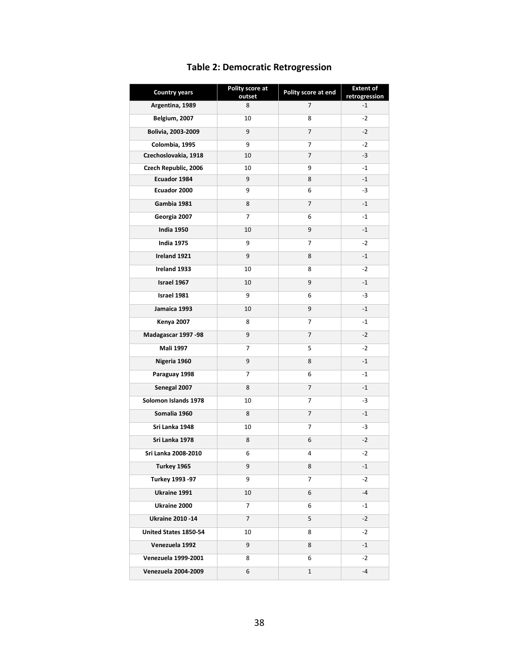| <b>Country years</b>       | Polity score at<br>outset | Polity score at end | <b>Extent of</b><br>retrogression |
|----------------------------|---------------------------|---------------------|-----------------------------------|
| Argentina, 1989            | 8                         | 7                   | $-1$                              |
| Belgium, 2007              | 10                        | 8                   | $-2$                              |
| Bolivia, 2003-2009         | 9                         | $\overline{7}$      | $-2$                              |
| Colombia, 1995             | 9                         | 7                   | $-2$                              |
| Czechoslovakia, 1918       | 10                        | $\overline{7}$      | $-3$                              |
| Czech Republic, 2006       | 10                        | 9                   | $-1$                              |
| Ecuador 1984               | 9                         | 8                   | $-1$                              |
| Ecuador 2000               | 9                         | 6                   | -3                                |
| Gambia 1981                | 8                         | $\overline{7}$      | $-1$                              |
| Georgia 2007               | 7                         | 6                   | $-1$                              |
| <b>India 1950</b>          | 10                        | 9                   | $-1$                              |
| <b>India 1975</b>          | 9                         | 7                   | $-2$                              |
| Ireland 1921               | 9                         | 8                   | $-1$                              |
| Ireland 1933               | 10                        | 8                   | $-2$                              |
| Israel 1967                | 10                        | 9                   | $-1$                              |
| Israel 1981                | 9                         | 6                   | -3                                |
| Jamaica 1993               | 10                        | 9                   | $-1$                              |
| <b>Kenya 2007</b>          | 8                         | $\overline{7}$      | $-1$                              |
| Madagascar 1997 - 98       | 9                         | $\overline{7}$      | $-2$                              |
| <b>Mali 1997</b>           | 7                         | 5                   | $-2$                              |
| Nigeria 1960               | 9                         | 8                   | $-1$                              |
| Paraguay 1998              | 7                         | 6                   | $-1$                              |
| Senegal 2007               | 8                         | $\overline{7}$      | $-1$                              |
| Solomon Islands 1978       | 10                        | 7                   | $-3$                              |
| Somalia 1960               | 8                         | $\overline{7}$      | $-1$                              |
| Sri Lanka 1948             | 10                        | 7                   | -3                                |
| Sri Lanka 1978             | 8                         | 6                   | $-2$                              |
| Sri Lanka 2008-2010        | 6                         | 4                   | $-2$                              |
| Turkey 1965                | 9                         | 8                   | $-1$                              |
| Turkey 1993 - 97           | 9                         | 7                   | $-2$                              |
| Ukraine 1991               | 10                        | 6                   | $-4$                              |
| Ukraine 2000               | 7                         | 6                   | $-1$                              |
| <b>Ukraine 2010 -14</b>    | $\overline{7}$            | 5                   | $-2$                              |
| United States 1850-54      | 10                        | 8                   | $-2$                              |
| Venezuela 1992             | 9                         | 8                   | $-1$                              |
| Venezuela 1999-2001        | 8                         | 6                   | $-2$                              |
| <b>Venezuela 2004-2009</b> | 6                         | $\mathbf{1}$        | $-4$                              |

# **Table 2: Democratic Retrogression**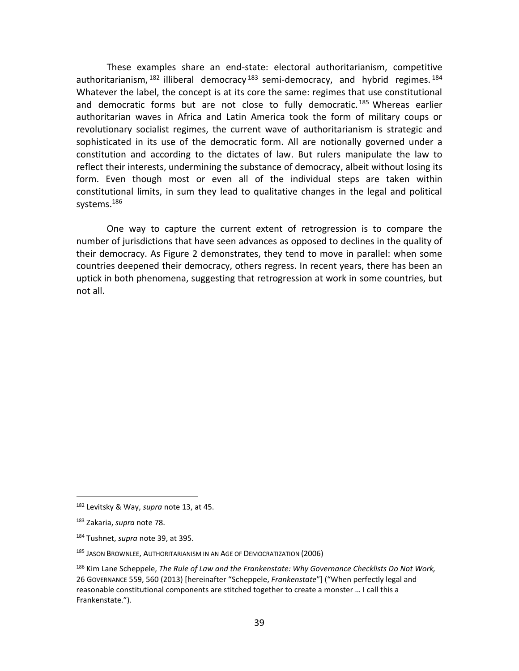These examples share an end-state: electoral authoritarianism, competitive authoritarianism,  $^{182}$  illiberal democracy  $^{183}$  semi-democracy, and hybrid regimes.  $^{184}$ Whatever the label, the concept is at its core the same: regimes that use constitutional and democratic forms but are not close to fully democratic.<sup>185</sup> Whereas earlier authoritarian waves in Africa and Latin America took the form of military coups or revolutionary socialist regimes, the current wave of authoritarianism is strategic and sophisticated in its use of the democratic form. All are notionally governed under a constitution and according to the dictates of law. But rulers manipulate the law to reflect their interests, undermining the substance of democracy, albeit without losing its form. Even though most or even all of the individual steps are taken within constitutional limits, in sum they lead to qualitative changes in the legal and political systems.<sup>186</sup>

One way to capture the current extent of retrogression is to compare the number of jurisdictions that have seen advances as opposed to declines in the quality of their democracy. As Figure 2 demonstrates, they tend to move in parallel: when some countries deepened their democracy, others regress. In recent years, there has been an uptick in both phenomena, suggesting that retrogression at work in some countries, but not all.

<sup>182</sup> Levitsky & Way, *supra* note [13,](#page-3-0) at 45.

<sup>183</sup> Zakaria, *supra* note [78.](#page-16-0) 

<sup>184</sup> Tushnet, *supra* note [39,](#page-9-0) at 395.

<sup>&</sup>lt;sup>185</sup> JASON BROWNLEE, AUTHORITARIANISM IN AN AGE OF DEMOCRATIZATION (2006)

<sup>186</sup> Kim Lane Scheppele, *The Rule of Law and the Frankenstate: Why Governance Checklists Do Not Work,*  26 GOVERNANCE 559, 560 (2013) [hereinafter "Scheppele, *Frankenstate*"] ("When perfectly legal and reasonable constitutional components are stitched together to create a monster … I call this a Frankenstate.").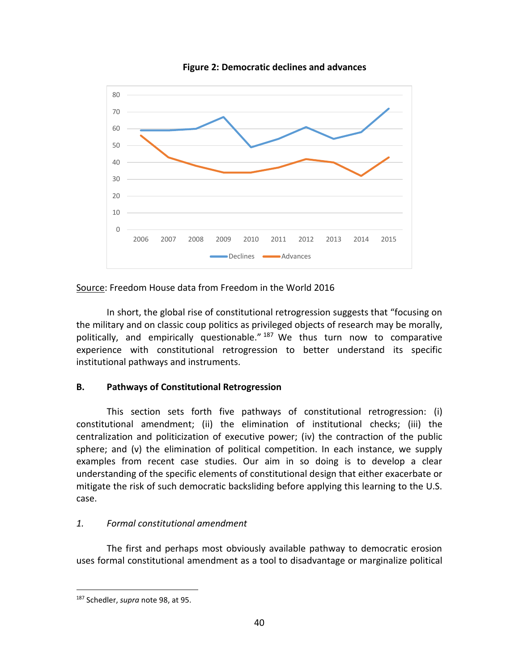



Source: Freedom House data from Freedom in the World 2016

In short, the global rise of constitutional retrogression suggests that "focusing on the military and on classic coup politics as privileged objects of research may be morally, politically, and empirically questionable."<sup>187</sup> We thus turn now to comparative experience with constitutional retrogression to better understand its specific institutional pathways and instruments.

# **B. Pathways of Constitutional Retrogression**

This section sets forth five pathways of constitutional retrogression: (i) constitutional amendment; (ii) the elimination of institutional checks; (iii) the centralization and politicization of executive power; (iv) the contraction of the public sphere; and (v) the elimination of political competition. In each instance, we supply examples from recent case studies. Our aim in so doing is to develop a clear understanding of the specific elements of constitutional design that either exacerbate or mitigate the risk of such democratic backsliding before applying this learning to the U.S. case.

# *1. Formal constitutional amendment*

The first and perhaps most obviously available pathway to democratic erosion uses formal constitutional amendment as a tool to disadvantage or marginalize political

<sup>187</sup> Schedler, *supra* note [98,](#page-20-2) at 95.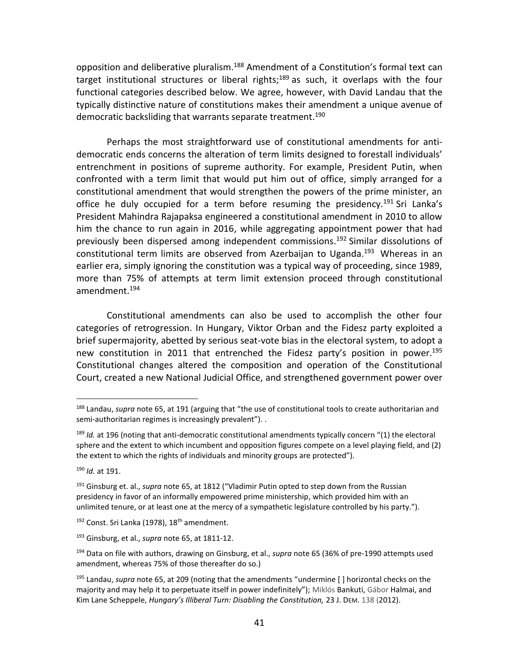opposition and deliberative pluralism.<sup>188</sup> Amendment of a Constitution's formal text can target institutional structures or liberal rights;<sup>189</sup> as such, it overlaps with the four functional categories described below. We agree, however, with David Landau that the typically distinctive nature of constitutions makes their amendment a unique avenue of democratic backsliding that warrants separate treatment.<sup>190</sup>

Perhaps the most straightforward use of constitutional amendments for antidemocratic ends concerns the alteration of term limits designed to forestall individuals' entrenchment in positions of supreme authority. For example, President Putin, when confronted with a term limit that would put him out of office, simply arranged for a constitutional amendment that would strengthen the powers of the prime minister, an office he duly occupied for a term before resuming the presidency.<sup>191</sup> Sri Lanka's President Mahindra Rajapaksa engineered a constitutional amendment in 2010 to allow him the chance to run again in 2016, while aggregating appointment power that had previously been dispersed among independent commissions. <sup>192</sup> Similar dissolutions of constitutional term limits are observed from Azerbaijan to Uganda.<sup>193</sup> Whereas in an earlier era, simply ignoring the constitution was a typical way of proceeding, since 1989, more than 75% of attempts at term limit extension proceed through constitutional amendment.<sup>194</sup>

Constitutional amendments can also be used to accomplish the other four categories of retrogression. In Hungary, Viktor Orban and the Fidesz party exploited a brief supermajority, abetted by serious seat-vote bias in the electoral system, to adopt a new constitution in 2011 that entrenched the Fidesz party's position in power.<sup>195</sup> Constitutional changes altered the composition and operation of the Constitutional Court, created a new National Judicial Office, and strengthened government power over

<sup>190</sup> *Id.* at 191.

<sup>188</sup> Landau, *supra* not[e 65,](#page-13-0) at 191 (arguing that "the use of constitutional tools to create authoritarian and semi-authoritarian regimes is increasingly prevalent"). .

<sup>189</sup> *Id.* at 196 (noting that anti-democratic constitutional amendments typically concern "(1) the electoral sphere and the extent to which incumbent and opposition figures compete on a level playing field, and (2) the extent to which the rights of individuals and minority groups are protected").

<sup>191</sup> Ginsburg et. al., *supra* note [65](#page-13-0), at 1812 ("Vladimir Putin opted to step down from the Russian presidency in favor of an informally empowered prime ministership, which provided him with an unlimited tenure, or at least one at the mercy of a sympathetic legislature controlled by his party.").

<sup>&</sup>lt;sup>192</sup> Const. Sri Lanka (1978), 18<sup>th</sup> amendment.

<sup>193</sup> Ginsburg, et al., *supra* note [65,](#page-13-0) at 1811-12.

<sup>194</sup> Data on file with authors, drawing on Ginsburg, et al., *supra* note [65](#page-13-0) (36% of pre-1990 attempts used amendment, whereas 75% of those thereafter do so.)

<sup>195</sup> Landau, *supra* not[e 65](#page-13-0), at 209 (noting that the amendments "undermine [ ] horizontal checks on the majority and may help it to perpetuate itself in power indefinitely"); Miklós Bankuti, Gábor Halmai, and Kim Lane Scheppele, *Hungary's Illiberal Turn: Disabling the Constitution,* 23 J. DEM. 138 (2012).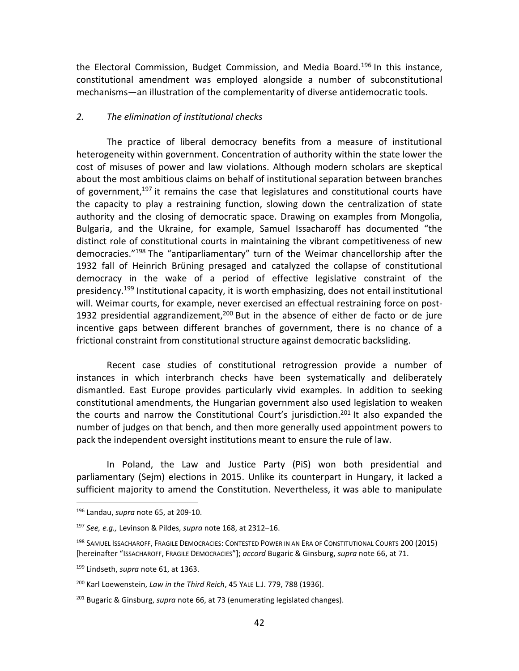the Electoral Commission, Budget Commission, and Media Board.<sup>196</sup> In this instance, constitutional amendment was employed alongside a number of subconstitutional mechanisms—an illustration of the complementarity of diverse antidemocratic tools.

# *2. The elimination of institutional checks*

<span id="page-41-0"></span>The practice of liberal democracy benefits from a measure of institutional heterogeneity within government. Concentration of authority within the state lower the cost of misuses of power and law violations. Although modern scholars are skeptical about the most ambitious claims on behalf of institutional separation between branches of government, $197$  it remains the case that legislatures and constitutional courts have the capacity to play a restraining function, slowing down the centralization of state authority and the closing of democratic space. Drawing on examples from Mongolia, Bulgaria, and the Ukraine, for example, Samuel Issacharoff has documented "the distinct role of constitutional courts in maintaining the vibrant competitiveness of new democracies."<sup>198</sup> The "antiparliamentary" turn of the Weimar chancellorship after the 1932 fall of Heinrich Brüning presaged and catalyzed the collapse of constitutional democracy in the wake of a period of effective legislative constraint of the presidency.<sup>199</sup> Institutional capacity, it is worth emphasizing, does not entail institutional will. Weimar courts, for example, never exercised an effectual restraining force on post-1932 presidential aggrandizement,<sup>200</sup> But in the absence of either de facto or de jure incentive gaps between different branches of government, there is no chance of a frictional constraint from constitutional structure against democratic backsliding.

Recent case studies of constitutional retrogression provide a number of instances in which interbranch checks have been systematically and deliberately dismantled. East Europe provides particularly vivid examples. In addition to seeking constitutional amendments, the Hungarian government also used legislation to weaken the courts and narrow the Constitutional Court's jurisdiction.<sup>201</sup> It also expanded the number of judges on that bench, and then more generally used appointment powers to pack the independent oversight institutions meant to ensure the rule of law.

In Poland, the Law and Justice Party (PiS) won both presidential and parliamentary (Sejm) elections in 2015. Unlike its counterpart in Hungary, it lacked a sufficient majority to amend the Constitution. Nevertheless, it was able to manipulate

<sup>196</sup> Landau, *supra* not[e 65,](#page-13-0) at 209-10.

<sup>197</sup> *See, e.g.,* Levinson & Pildes, *supra* not[e 168,](#page-33-0) at 2312–16.

<sup>&</sup>lt;sup>198</sup> SAMUEL ISSACHAROFF, FRAGILE DEMOCRACIES: CONTESTED POWER IN AN ERA OF CONSTITUTIONAL COURTS 200 (2015) [hereinafter "ISSACHAROFF, FRAGILE DEMOCRACIES"]; *accord* Bugaric & Ginsburg, *supra* not[e 66,](#page-13-1) at 71.

<sup>199</sup> Lindseth, *supra* not[e 61,](#page-12-0) at 1363.

<sup>200</sup> Karl Loewenstein, *Law in the Third Reich*, 45 YALE L.J. 779, 788 (1936).

<sup>201</sup> Bugaric & Ginsburg, *supra* note [66,](#page-13-1) at 73 (enumerating legislated changes).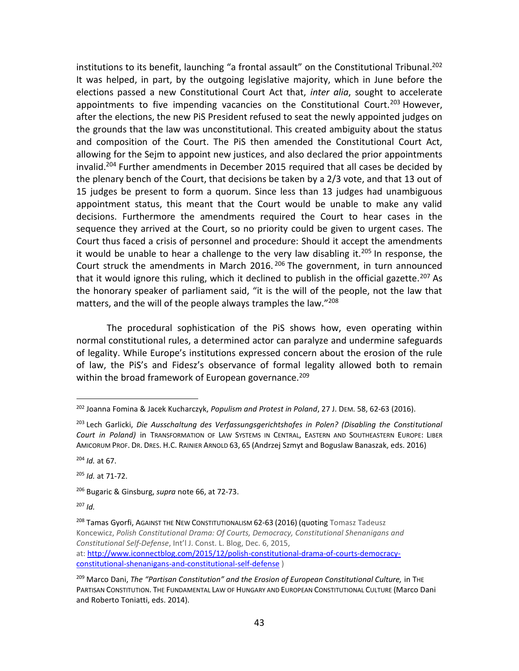<span id="page-42-0"></span>institutions to its benefit, launching "a frontal assault" on the Constitutional Tribunal. 202 It was helped, in part, by the outgoing legislative majority, which in June before the elections passed a new Constitutional Court Act that, *inter alia*, sought to accelerate appointments to five impending vacancies on the Constitutional Court.<sup>203</sup> However, after the elections, the new PiS President refused to seat the newly appointed judges on the grounds that the law was unconstitutional. This created ambiguity about the status and composition of the Court. The PiS then amended the Constitutional Court Act, allowing for the Sejm to appoint new justices, and also declared the prior appointments invalid.<sup>204</sup> Further amendments in December 2015 required that all cases be decided by the plenary bench of the Court, that decisions be taken by a 2/3 vote, and that 13 out of 15 judges be present to form a quorum. Since less than 13 judges had unambiguous appointment status, this meant that the Court would be unable to make any valid decisions. Furthermore the amendments required the Court to hear cases in the sequence they arrived at the Court, so no priority could be given to urgent cases. The Court thus faced a crisis of personnel and procedure: Should it accept the amendments it would be unable to hear a challenge to the very law disabling it.<sup>205</sup> In response, the Court struck the amendments in March 2016.<sup>206</sup> The government, in turn announced that it would ignore this ruling, which it declined to publish in the official gazette.<sup>207</sup> As the honorary speaker of parliament said, "it is the will of the people, not the law that matters, and the will of the people always tramples the law."<sup>208</sup>

The procedural sophistication of the PiS shows how, even operating within normal constitutional rules, a determined actor can paralyze and undermine safeguards of legality. While Europe's institutions expressed concern about the erosion of the rule of law, the PiS's and Fidesz's observance of formal legality allowed both to remain within the broad framework of European governance.<sup>209</sup>

<sup>205</sup> *Id.* at 71-72.

 $207$  *Id.* 

<sup>202</sup> Joanna Fomina & Jacek Kucharczyk, *Populism and Protest in Poland*, 27 J. DEM. 58, 62-63 (2016).

<sup>203</sup> Lech Garlicki, *Die Ausschaltung des Verfassungsgerichtshofes in Polen? (Disabling the Constitutional Court in Poland)* in TRANSFORMATION OF LAW SYSTEMS IN CENTRAL, EASTERN AND SOUTHEASTERN EUROPE: LIBER AMICORUM PROF. DR. DRES. H.C. RAINIER ARNOLD 63, 65 (Andrzej Szmyt and Boguslaw Banaszak, eds. 2016)

<sup>204</sup> *Id.* at 67.

<sup>206</sup> Bugaric & Ginsburg, *supra* note [66,](#page-13-1) at 72-73.

<sup>&</sup>lt;sup>208</sup> Tamas Gyorfi, AGAINST THE NEW CONSTITUTIONALISM 62-63 (2016) (quoting Tomasz Tadeusz Koncewicz, *Polish Constitutional Drama: Of Courts, Democracy, Constitutional Shenanigans and Constitutional Self-Defense*, Int'l J. Const. L. Blog, Dec. 6, 2015, at: [http://www.iconnectblog.com/2015/12/polish-constitutional-drama-of-courts-democracy](http://www.iconnectblog.com/2015/12/polish-constitutional-drama-of-courts-democracy-constitutional-shenanigans-and-constitutional-self-defense)[constitutional-shenanigans-and-constitutional-self-defense](http://www.iconnectblog.com/2015/12/polish-constitutional-drama-of-courts-democracy-constitutional-shenanigans-and-constitutional-self-defense) )

<sup>&</sup>lt;sup>209</sup> Marco Dani, *The "Partisan Constitution" and the Erosion of European Constitutional Culture, in The* PARTISAN CONSTITUTION. THE FUNDAMENTAL LAW OF HUNGARY AND EUROPEAN CONSTITUTIONAL CULTURE (Marco Dani and Roberto Toniatti, eds. 2014).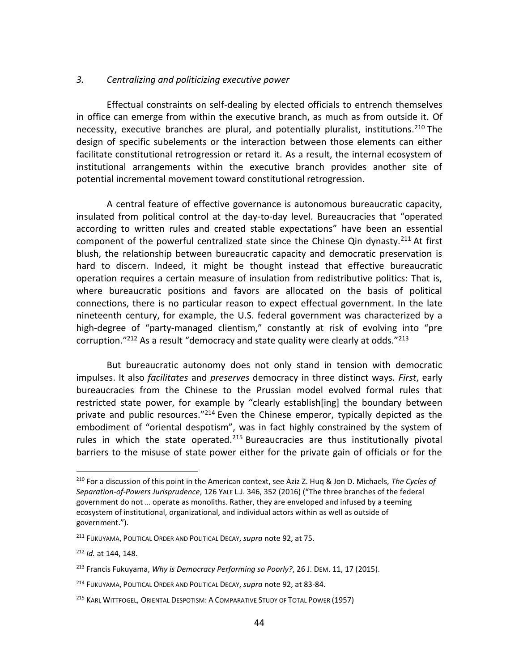## *3. Centralizing and politicizing executive power*

<span id="page-43-0"></span>Effectual constraints on self-dealing by elected officials to entrench themselves in office can emerge from within the executive branch, as much as from outside it. Of necessity, executive branches are plural, and potentially pluralist, institutions.<sup>210</sup> The design of specific subelements or the interaction between those elements can either facilitate constitutional retrogression or retard it. As a result, the internal ecosystem of institutional arrangements within the executive branch provides another site of potential incremental movement toward constitutional retrogression.

A central feature of effective governance is autonomous bureaucratic capacity, insulated from political control at the day-to-day level. Bureaucracies that "operated according to written rules and created stable expectations" have been an essential component of the powerful centralized state since the Chinese Qin dynasty.<sup>211</sup> At first blush, the relationship between bureaucratic capacity and democratic preservation is hard to discern. Indeed, it might be thought instead that effective bureaucratic operation requires a certain measure of insulation from redistributive politics: That is, where bureaucratic positions and favors are allocated on the basis of political connections, there is no particular reason to expect effectual government. In the late nineteenth century, for example, the U.S. federal government was characterized by a high-degree of "party-managed clientism," constantly at risk of evolving into "pre corruption. $"^{212}$  As a result "democracy and state quality were clearly at odds." $^{213}$ 

But bureaucratic autonomy does not only stand in tension with democratic impulses. It also *facilitates* and *preserves* democracy in three distinct ways. *First*, early bureaucracies from the Chinese to the Prussian model evolved formal rules that restricted state power, for example by "clearly establish[ing] the boundary between private and public resources."<sup>214</sup> Even the Chinese emperor, typically depicted as the embodiment of "oriental despotism", was in fact highly constrained by the system of rules in which the state operated.<sup>215</sup> Bureaucracies are thus institutionally pivotal barriers to the misuse of state power either for the private gain of officials or for the

<sup>210</sup> For a discussion of this point in the American context, see Aziz Z. Huq & Jon D. Michaels, *The Cycles of Separation-of-Powers Jurisprudence*, 126 YALE L.J. 346, 352 (2016) ("The three branches of the federal government do not … operate as monoliths. Rather, they are enveloped and infused by a teeming ecosystem of institutional, organizational, and individual actors within as well as outside of government.").

<sup>211</sup> FUKUYAMA, POLITICAL ORDER AND POLITICAL DECAY, *supra* not[e 92,](#page-19-0) at 75.

<sup>212</sup> *Id.* at 144, 148.

<sup>213</sup> Francis Fukuyama, *Why is Democracy Performing so Poorly?*, 26 J. DEM. 11, 17 (2015).

<sup>214</sup> FUKUYAMA, POLITICAL ORDER AND POLITICAL DECAY, *supra* not[e 92,](#page-19-0) at 83-84.

<sup>215</sup> KARL WITTFOGEL, ORIENTAL DESPOTISM: A COMPARATIVE STUDY OF TOTAL POWER (1957)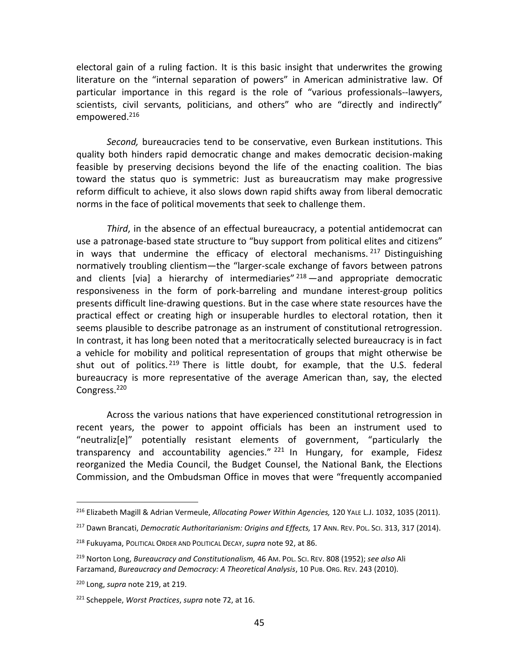electoral gain of a ruling faction. It is this basic insight that underwrites the growing literature on the "internal separation of powers" in American administrative law. Of particular importance in this regard is the role of "various professionals--lawyers, scientists, civil servants, politicians, and others" who are "directly and indirectly" empowered.<sup>216</sup>

*Second,* bureaucracies tend to be conservative, even Burkean institutions. This quality both hinders rapid democratic change and makes democratic decision-making feasible by preserving decisions beyond the life of the enacting coalition. The bias toward the status quo is symmetric: Just as bureaucratism may make progressive reform difficult to achieve, it also slows down rapid shifts away from liberal democratic norms in the face of political movements that seek to challenge them.

<span id="page-44-1"></span>*Third*, in the absence of an effectual bureaucracy, a potential antidemocrat can use a patronage-based state structure to "buy support from political elites and citizens" in ways that undermine the efficacy of electoral mechanisms.  $217$  Distinguishing normatively troubling clientism—the "larger-scale exchange of favors between patrons and clients [via] a hierarchy of intermediaries"  $218$  —and appropriate democratic responsiveness in the form of pork-barreling and mundane interest-group politics presents difficult line-drawing questions. But in the case where state resources have the practical effect or creating high or insuperable hurdles to electoral rotation, then it seems plausible to describe patronage as an instrument of constitutional retrogression. In contrast, it has long been noted that a meritocratically selected bureaucracy is in fact a vehicle for mobility and political representation of groups that might otherwise be shut out of politics.<sup>219</sup> There is little doubt, for example, that the U.S. federal bureaucracy is more representative of the average American than, say, the elected Congress.<sup>220</sup>

<span id="page-44-2"></span><span id="page-44-0"></span>Across the various nations that have experienced constitutional retrogression in recent years, the power to appoint officials has been an instrument used to "neutraliz[e]" potentially resistant elements of government, "particularly the transparency and accountability agencies."  $221$  In Hungary, for example, Fidesz reorganized the Media Council, the Budget Counsel, the National Bank, the Elections Commission, and the Ombudsman Office in moves that were "frequently accompanied

<sup>216</sup> Elizabeth Magill & Adrian Vermeule, *Allocating Power Within Agencies,* 120 YALE L.J. 1032, 1035 (2011).

<sup>217</sup> Dawn Brancati, *Democratic Authoritarianism: Origins and Effects,* 17 ANN. REV. POL. SCI. 313, 317 (2014).

<sup>218</sup> Fukuyama, POLITICAL ORDER AND POLITICAL DECAY, *supra* not[e 92,](#page-19-0) at 86.

<sup>219</sup> Norton Long, *Bureaucracy and Constitutionalism,* 46 AM. POL. SCI. REV. 808 (1952); *see also* Ali Farzamand, *Bureaucracy and Democracy: A Theoretical Analysis*, 10 PUB. ORG. REV. 243 (2010).

<sup>220</sup> Long, *supra* not[e 219,](#page-44-0) at [219.](#page-44-0)

<sup>221</sup> Scheppele, *Worst Practices*, *supra* note [72,](#page-14-1) at 16.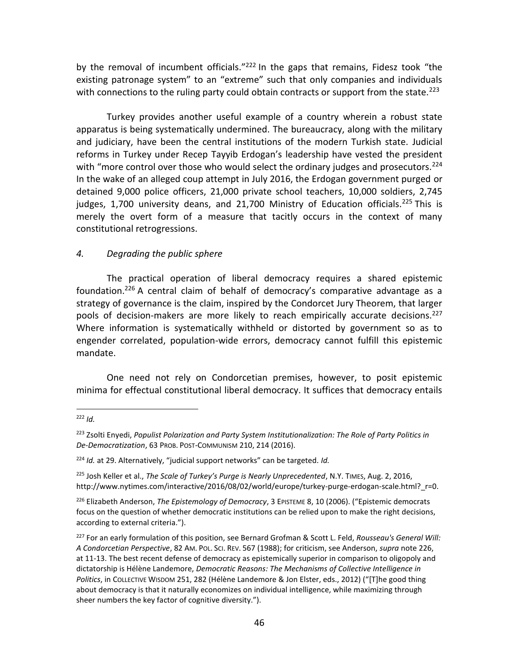by the removal of incumbent officials."<sup>222</sup> In the gaps that remains, Fidesz took "the existing patronage system" to an "extreme" such that only companies and individuals with connections to the ruling party could obtain contracts or support from the state.<sup>223</sup>

Turkey provides another useful example of a country wherein a robust state apparatus is being systematically undermined. The bureaucracy, along with the military and judiciary, have been the central institutions of the modern Turkish state. Judicial reforms in Turkey under Recep Tayyib Erdogan's leadership have vested the president with "more control over those who would select the ordinary judges and prosecutors.<sup>224</sup> In the wake of an alleged coup attempt in July 2016, the Erdogan government purged or detained 9,000 police officers, 21,000 private school teachers, 10,000 soldiers, 2,745 judges, 1,700 university deans, and 21,700 Ministry of Education officials.<sup>225</sup> This is merely the overt form of a measure that tacitly occurs in the context of many constitutional retrogressions.

### <span id="page-45-1"></span>*4. Degrading the public sphere*

<span id="page-45-0"></span>The practical operation of liberal democracy requires a shared epistemic foundation.<sup>226</sup> A central claim of behalf of democracy's comparative advantage as a strategy of governance is the claim, inspired by the Condorcet Jury Theorem, that larger pools of decision-makers are more likely to reach empirically accurate decisions.<sup>227</sup> Where information is systematically withheld or distorted by government so as to engender correlated, population-wide errors, democracy cannot fulfill this epistemic mandate.

One need not rely on Condorcetian premises, however, to posit epistemic minima for effectual constitutional liberal democracy. It suffices that democracy entails

 $222 \, M$ 

<sup>223</sup> Zsolti Enyedi, *Populist Polarization and Party System Institutionalization: The Role of Party Politics in De-Democratization*, 63 PROB. POST-COMMUNISM 210, 214 (2016).

<sup>224</sup> *Id.* at 29. Alternatively, "judicial support networks" can be targeted. *Id.* 

<sup>225</sup> Josh Keller et al., *The Scale of Turkey's Purge is Nearly Unprecedented*, N.Y. TIMES, Aug. 2, 2016, http://www.nytimes.com/interactive/2016/08/02/world/europe/turkey-purge-erdogan-scale.html? r=0.

<sup>226</sup> Elizabeth Anderson, *The Epistemology of Democracy*, 3 EPISTEME 8, 10 (2006). ("Epistemic democrats focus on the question of whether democratic institutions can be relied upon to make the right decisions, according to external criteria.").

<sup>227</sup> For an early formulation of this position, see Bernard Grofman & Scott L. Feld, *Rousseau's General Will: A Condorcetian Perspective*, 82 AM. POL. SCI. REV. 567 (1988); for criticism, see Anderson, *supra* note [226,](#page-45-0)  at 11-13. The best recent defense of democracy as epistemically superior in comparison to oligopoly and dictatorship is Hélène Landemore, *Democratic Reasons: The Mechanisms of Collective Intelligence in Politics*, in COLLECTIVE WISDOM 251, 282 (Hélène Landemore & Jon Elster, eds., 2012) ("[T]he good thing about democracy is that it naturally economizes on individual intelligence, while maximizing through sheer numbers the key factor of cognitive diversity.").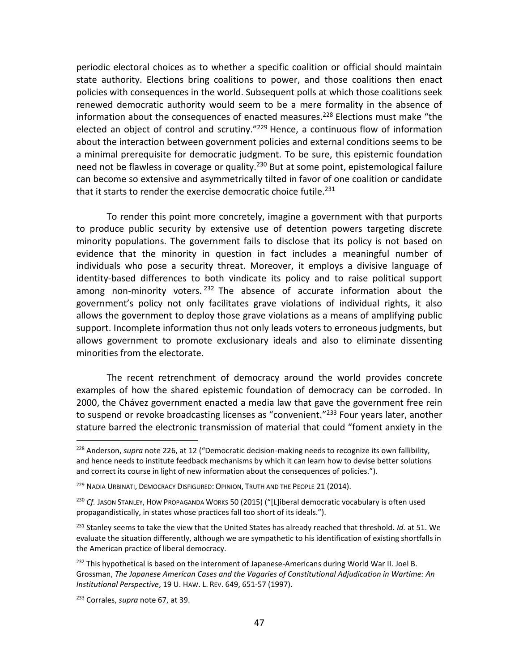periodic electoral choices as to whether a specific coalition or official should maintain state authority. Elections bring coalitions to power, and those coalitions then enact policies with consequences in the world. Subsequent polls at which those coalitions seek renewed democratic authority would seem to be a mere formality in the absence of information about the consequences of enacted measures.<sup>228</sup> Elections must make "the elected an object of control and scrutiny."<sup>229</sup> Hence, a continuous flow of information about the interaction between government policies and external conditions seems to be a minimal prerequisite for democratic judgment. To be sure, this epistemic foundation need not be flawless in coverage or quality.<sup>230</sup> But at some point, epistemological failure can become so extensive and asymmetrically tilted in favor of one coalition or candidate that it starts to render the exercise democratic choice futile.<sup>231</sup>

To render this point more concretely, imagine a government with that purports to produce public security by extensive use of detention powers targeting discrete minority populations. The government fails to disclose that its policy is not based on evidence that the minority in question in fact includes a meaningful number of individuals who pose a security threat. Moreover, it employs a divisive language of identity-based differences to both vindicate its policy and to raise political support among non-minority voters.  $232$  The absence of accurate information about the government's policy not only facilitates grave violations of individual rights, it also allows the government to deploy those grave violations as a means of amplifying public support. Incomplete information thus not only leads voters to erroneous judgments, but allows government to promote exclusionary ideals and also to eliminate dissenting minorities from the electorate.

The recent retrenchment of democracy around the world provides concrete examples of how the shared epistemic foundation of democracy can be corroded. In 2000, the Chávez government enacted a media law that gave the government free rein to suspend or revoke broadcasting licenses as "convenient."<sup>233</sup> Four years later, another stature barred the electronic transmission of material that could "foment anxiety in the

<sup>228</sup> Anderson, *supra* note [226](#page-45-0), at 12 ("Democratic decision-making needs to recognize its own fallibility, and hence needs to institute feedback mechanisms by which it can learn how to devise better solutions and correct its course in light of new information about the consequences of policies.").

<sup>&</sup>lt;sup>229</sup> NADIA URBINATI, DEMOCRACY DISFIGURED: OPINION, TRUTH AND THE PEOPLE 21 (2014).

<sup>&</sup>lt;sup>230</sup> Cf. JASON STANLEY, HOW PROPAGANDA WORKS 50 (2015) ("[L]iberal democratic vocabulary is often used propagandistically, in states whose practices fall too short of its ideals.").

<sup>231</sup> Stanley seems to take the view that the United States has already reached that threshold. *Id.* at 51. We evaluate the situation differently, although we are sympathetic to his identification of existing shortfalls in the American practice of liberal democracy.

 $^{232}$  This hypothetical is based on the internment of Japanese-Americans during World War II. Joel B. Grossman, *The Japanese American Cases and the Vagaries of Constitutional Adjudication in Wartime: An Institutional Perspective*, 19 U. HAW. L. REV. 649, 651-57 (1997).

<sup>233</sup> Corrales, *supra* not[e 67,](#page-14-2) at 39.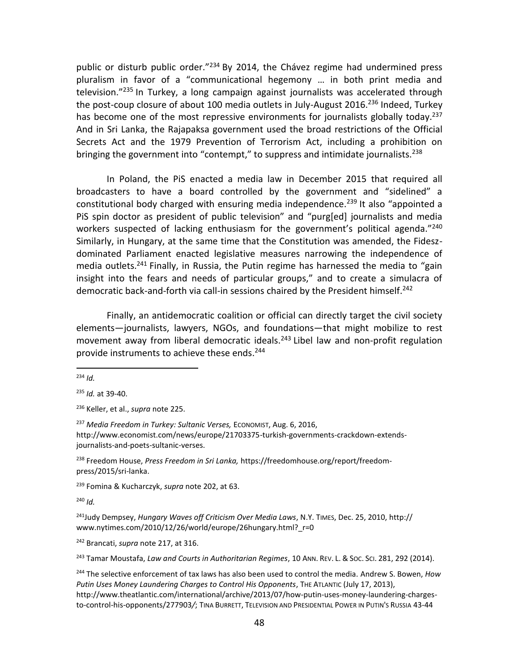public or disturb public order."<sup>234</sup> By 2014, the Chávez regime had undermined press pluralism in favor of a "communicational hegemony … in both print media and television."<sup>235</sup> In Turkey, a long campaign against journalists was accelerated through the post-coup closure of about 100 media outlets in July-August 2016.<sup>236</sup> Indeed, Turkey has become one of the most repressive environments for journalists globally today.<sup>237</sup> And in Sri Lanka, the Rajapaksa government used the broad restrictions of the Official Secrets Act and the 1979 Prevention of Terrorism Act, including a prohibition on bringing the government into "contempt," to suppress and intimidate journalists.<sup>238</sup>

In Poland, the PiS enacted a media law in December 2015 that required all broadcasters to have a board controlled by the government and "sidelined" a constitutional body charged with ensuring media independence.<sup>239</sup> It also "appointed a PiS spin doctor as president of public television" and "purg[ed] journalists and media workers suspected of lacking enthusiasm for the government's political agenda."<sup>240</sup> Similarly, in Hungary, at the same time that the Constitution was amended, the Fideszdominated Parliament enacted legislative measures narrowing the independence of media outlets.<sup>241</sup> Finally, in Russia, the Putin regime has harnessed the media to "gain insight into the fears and needs of particular groups," and to create a simulacra of democratic back-and-forth via call-in sessions chaired by the President himself.<sup>242</sup>

Finally, an antidemocratic coalition or official can directly target the civil society elements—journalists, lawyers, NGOs, and foundations—that might mobilize to rest movement away from liberal democratic ideals.<sup>243</sup> Libel law and non-profit regulation provide instruments to achieve these ends. 244

 $234$  *Id.* 

 $\overline{a}$ 

<sup>235</sup> *Id.* at 39-40.

<sup>236</sup> Keller, et al., *supra* note [225.](#page-45-1)

<sup>237</sup> *Media Freedom in Turkey: Sultanic Verses,* ECONOMIST, Aug. 6, 2016, http://www.economist.com/news/europe/21703375-turkish-governments-crackdown-extendsjournalists-and-poets-sultanic-verses.

<sup>238</sup> Freedom House, *Press Freedom in Sri Lanka,* https://freedomhouse.org/report/freedompress/2015/sri-lanka.

<sup>239</sup> Fomina & Kucharczyk, *supra* note [202,](#page-42-0) at 63.

 $240$  *Id.* 

<sup>241</sup>Judy Dempsey, *Hungary Waves off Criticism Over Media Laws*, N.Y. TIMES, Dec. 25, 2010, http:// www.nytimes.com/2010/12/26/world/europe/26hungary.html?\_r=0

<sup>242</sup> Brancati, *supra* not[e 217,](#page-44-1) at 316.

<sup>243</sup> Tamar Moustafa, *Law and Courts in Authoritarian Regimes*, 10 ANN. REV. L. & SOC. SCI. 281, 292 (2014).

<sup>244</sup> The selective enforcement of tax laws has also been used to control the media. Andrew S. Bowen, *How Putin Uses Money Laundering Charges to Control His Opponents*, THE ATLANTIC (July 17, 2013), http://www.theatlantic.com/international/archive/2013/07/how-putin-uses-money-laundering-chargesto-control-his-opponents/277903*/*; TINA BURRETT, TELEVISION AND PRESIDENTIAL POWER IN PUTIN'S RUSSIA 43-44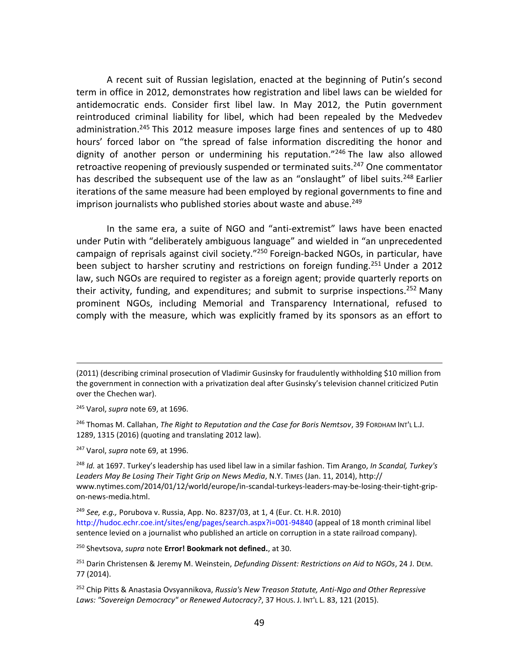A recent suit of Russian legislation, enacted at the beginning of Putin's second term in office in 2012, demonstrates how registration and libel laws can be wielded for antidemocratic ends. Consider first libel law. In May 2012, the Putin government reintroduced criminal liability for libel, which had been repealed by the Medvedev administration.<sup>245</sup> This 2012 measure imposes large fines and sentences of up to 480 hours' forced labor on "the spread of false information discrediting the honor and dignity of another person or undermining his reputation."<sup>246</sup> The law also allowed retroactive reopening of previously suspended or terminated suits.<sup>247</sup> One commentator has described the subsequent use of the law as an "onslaught" of libel suits.<sup>248</sup> Earlier iterations of the same measure had been employed by regional governments to fine and imprison journalists who published stories about waste and abuse. $249$ 

<span id="page-48-0"></span>In the same era, a suite of NGO and "anti-extremist" laws have been enacted under Putin with "deliberately ambiguous language" and wielded in "an unprecedented campaign of reprisals against civil society."<sup>250</sup> Foreign-backed NGOs, in particular, have been subject to harsher scrutiny and restrictions on foreign funding.<sup>251</sup> Under a 2012 law, such NGOs are required to register as a foreign agent; provide quarterly reports on their activity, funding, and expenditures; and submit to surprise inspections.<sup>252</sup> Many prominent NGOs, including Memorial and Transparency International, refused to comply with the measure, which was explicitly framed by its sponsors as an effort to

<sup>245</sup> Varol, *supra* not[e 69,](#page-14-3) at 1696.

 $\overline{a}$ 

<sup>246</sup> Thomas M. Callahan, *The Right to Reputation and the Case for Boris Nemtsov*, 39 FORDHAM INT'L L.J. 1289, 1315 (2016) (quoting and translating 2012 law).

<sup>247</sup> Varol, *supra* not[e 69,](#page-14-3) at 1996.

<sup>248</sup> *Id.* at 1697. Turkey's leadership has used libel law in a similar fashion. Tim Arango, *In Scandal, Turkey's Leaders May Be Losing Their Tight Grip on News Media*, N.Y. TIMES (Jan. 11, 2014), http:// www.nytimes.com/2014/01/12/world/europe/in-scandal-turkeys-leaders-may-be-losing-their-tight-gripon-news-media.html.

<sup>249</sup> *See, e.g.,* Porubova v. Russia, App. No. 8237/03, at 1, 4 (Eur. Ct. H.R. 2010) <http://hudoc.echr.coe.int/sites/eng/pages/search.aspx?i=001-94840> (appeal of 18 month criminal libel sentence levied on a journalist who published an article on corruption in a state railroad company).

<sup>250</sup> Shevtsova, *supra* note **Error! Bookmark not defined.**, at 30.

<sup>251</sup> Darin Christensen & Jeremy M. Weinstein, *Defunding Dissent: Restrictions on Aid to NGOs*, 24 J. DEM. 77 (2014).

<sup>252</sup> Chip Pitts & Anastasia Ovsyannikova, *Russia's New Treason Statute, Anti-Ngo and Other Repressive Laws: "Sovereign Democracy" or Renewed Autocracy?*, 37 HOUS. J. INT'L L. 83, 121 (2015).

<sup>(2011) (</sup>describing criminal prosecution of Vladimir Gusinsky for fraudulently withholding \$10 million from the government in connection with a privatization deal after Gusinsky's television channel criticized Putin over the Chechen war).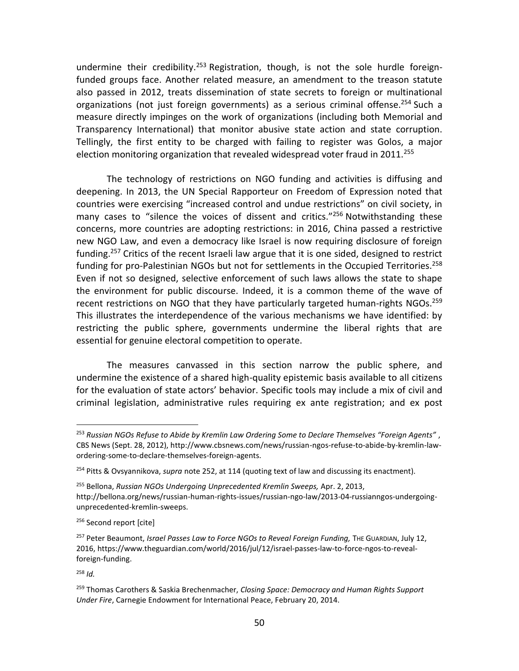undermine their credibility.<sup>253</sup> Registration, though, is not the sole hurdle foreignfunded groups face. Another related measure, an amendment to the treason statute also passed in 2012, treats dissemination of state secrets to foreign or multinational organizations (not just foreign governments) as a serious criminal offense.<sup>254</sup> Such a measure directly impinges on the work of organizations (including both Memorial and Transparency International) that monitor abusive state action and state corruption. Tellingly, the first entity to be charged with failing to register was Golos, a major election monitoring organization that revealed widespread voter fraud in 2011.<sup>255</sup>

The technology of restrictions on NGO funding and activities is diffusing and deepening. In 2013, the UN Special Rapporteur on Freedom of Expression noted that countries were exercising "increased control and undue restrictions" on civil society, in many cases to "silence the voices of dissent and critics."<sup>256</sup> Notwithstanding these concerns, more countries are adopting restrictions: in 2016, China passed a restrictive new NGO Law, and even a democracy like Israel is now requiring disclosure of foreign funding.<sup>257</sup> Critics of the recent Israeli law argue that it is one sided, designed to restrict funding for pro-Palestinian NGOs but not for settlements in the Occupied Territories.<sup>258</sup> Even if not so designed, selective enforcement of such laws allows the state to shape the environment for public discourse. Indeed, it is a common theme of the wave of recent restrictions on NGO that they have particularly targeted human-rights NGOs.<sup>259</sup> This illustrates the interdependence of the various mechanisms we have identified: by restricting the public sphere, governments undermine the liberal rights that are essential for genuine electoral competition to operate.

The measures canvassed in this section narrow the public sphere, and undermine the existence of a shared high-quality epistemic basis available to all citizens for the evaluation of state actors' behavior. Specific tools may include a mix of civil and criminal legislation, administrative rules requiring ex ante registration; and ex post

<sup>258</sup> *Id.*

<sup>253</sup> *Russian NGOs Refuse to Abide by Kremlin Law Ordering Some to Declare Themselves "Foreign Agents"* , CBS News (Sept. 28, 2012), http://www.cbsnews.com/news/russian-ngos-refuse-to-abide-by-kremlin-lawordering-some-to-declare-themselves-foreign-agents.

<sup>254</sup> Pitts & Ovsyannikova, *supra* not[e 252,](#page-48-0) at 114 (quoting text of law and discussing its enactment).

<sup>255</sup> Bellona, *Russian NGOs Undergoing Unprecedented Kremlin Sweeps,* Apr. 2, 2013, http://bellona.org/news/russian-human-rights-issues/russian-ngo-law/2013-04-russianngos-undergoingunprecedented-kremlin-sweeps.

<sup>&</sup>lt;sup>256</sup> Second report [cite]

<sup>257</sup> Peter Beaumont, *Israel Passes Law to Force NGOs to Reveal Foreign Funding,* THE GUARDIAN, July 12, 2016, https://www.theguardian.com/world/2016/jul/12/israel-passes-law-to-force-ngos-to-revealforeign-funding.

<sup>259</sup> Thomas Carothers & Saskia Brechenmacher, *Closing Space: Democracy and Human Rights Support Under Fire*, Carnegie Endowment for International Peace, February 20, 2014.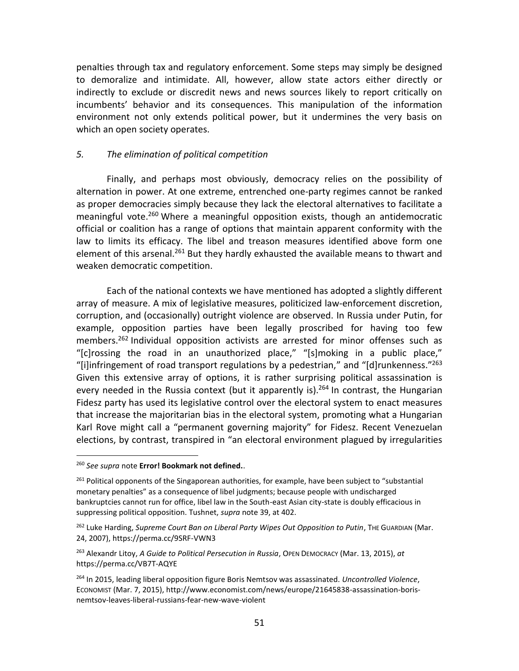penalties through tax and regulatory enforcement. Some steps may simply be designed to demoralize and intimidate. All, however, allow state actors either directly or indirectly to exclude or discredit news and news sources likely to report critically on incumbents' behavior and its consequences. This manipulation of the information environment not only extends political power, but it undermines the very basis on which an open society operates.

### *5. The elimination of political competition*

Finally, and perhaps most obviously, democracy relies on the possibility of alternation in power. At one extreme, entrenched one-party regimes cannot be ranked as proper democracies simply because they lack the electoral alternatives to facilitate a meaningful vote.<sup>260</sup> Where a meaningful opposition exists, though an antidemocratic official or coalition has a range of options that maintain apparent conformity with the law to limits its efficacy. The libel and treason measures identified above form one element of this arsenal.<sup>261</sup> But they hardly exhausted the available means to thwart and weaken democratic competition.

Each of the national contexts we have mentioned has adopted a slightly different array of measure. A mix of legislative measures, politicized law-enforcement discretion, corruption, and (occasionally) outright violence are observed. In Russia under Putin, for example, opposition parties have been legally proscribed for having too few members.<sup>262</sup> Individual opposition activists are arrested for minor offenses such as "[c]rossing the road in an unauthorized place," "[s]moking in a public place," "[i]infringement of road transport regulations by a pedestrian," and "[d]runkenness."<sup>263</sup> Given this extensive array of options, it is rather surprising political assassination is every needed in the Russia context (but it apparently is).<sup>264</sup> In contrast, the Hungarian Fidesz party has used its legislative control over the electoral system to enact measures that increase the majoritarian bias in the electoral system, promoting what a Hungarian Karl Rove might call a "permanent governing majority" for Fidesz. Recent Venezuelan elections, by contrast, transpired in "an electoral environment plagued by irregularities

<sup>260</sup> *See supra* note **Error! Bookmark not defined.**.

<sup>&</sup>lt;sup>261</sup> Political opponents of the Singaporean authorities, for example, have been subject to "substantial monetary penalties" as a consequence of libel judgments; because people with undischarged bankruptcies cannot run for office, libel law in the South-east Asian city-state is doubly efficacious in suppressing political opposition. Tushnet, *supra* note [39,](#page-9-0) at 402.

<sup>262</sup> Luke Harding, *Supreme Court Ban on Liberal Party Wipes Out Opposition to Putin*, THE GUARDIAN (Mar. 24, 2007), https://perma.cc/9SRF-VWN3

<sup>263</sup> Alexandr Litoy, *A Guide to Political Persecution in Russia*, OPEN DEMOCRACY (Mar. 13, 2015), *at* https://perma.cc/VB7T-AQYE

<sup>264</sup> In 2015, leading liberal opposition figure Boris Nemtsov was assassinated. *Uncontrolled Violence*, ECONOMIST (Mar. 7, 2015), http://www.economist.com/news/europe/21645838-assassination-borisnemtsov-leaves-liberal-russians-fear-new-wave-violent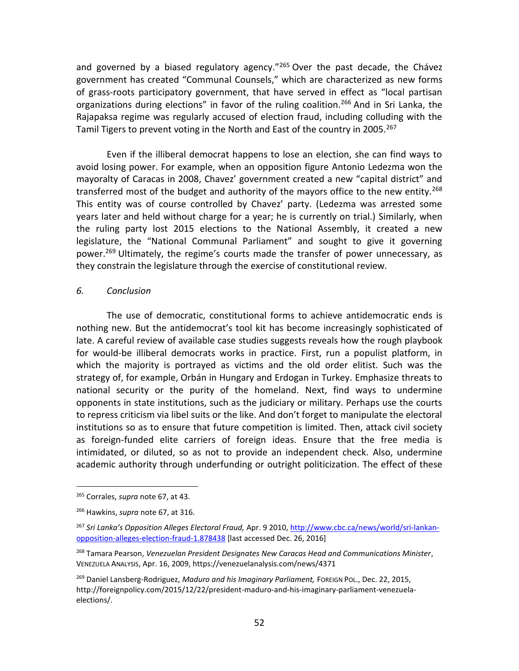and governed by a biased regulatory agency."<sup>265</sup> Over the past decade, the Chávez government has created "Communal Counsels," which are characterized as new forms of grass-roots participatory government, that have served in effect as "local partisan organizations during elections" in favor of the ruling coalition.<sup>266</sup> And in Sri Lanka, the Rajapaksa regime was regularly accused of election fraud, including colluding with the Tamil Tigers to prevent voting in the North and East of the country in 2005.<sup>267</sup>

<span id="page-51-0"></span>Even if the illiberal democrat happens to lose an election, she can find ways to avoid losing power. For example, when an opposition figure Antonio Ledezma won the mayoralty of Caracas in 2008, Chavez' government created a new "capital district" and transferred most of the budget and authority of the mayors office to the new entity.<sup>268</sup> This entity was of course controlled by Chavez' party. (Ledezma was arrested some years later and held without charge for a year; he is currently on trial.) Similarly, when the ruling party lost 2015 elections to the National Assembly, it created a new legislature, the "National Communal Parliament" and sought to give it governing power.<sup>269</sup> Ultimately, the regime's courts made the transfer of power unnecessary, as they constrain the legislature through the exercise of constitutional review.

### *6. Conclusion*

The use of democratic, constitutional forms to achieve antidemocratic ends is nothing new. But the antidemocrat's tool kit has become increasingly sophisticated of late. A careful review of available case studies suggests reveals how the rough playbook for would-be illiberal democrats works in practice. First, run a populist platform, in which the majority is portrayed as victims and the old order elitist. Such was the strategy of, for example, Orbán in Hungary and Erdogan in Turkey. Emphasize threats to national security or the purity of the homeland. Next, find ways to undermine opponents in state institutions, such as the judiciary or military. Perhaps use the courts to repress criticism via libel suits or the like. And don't forget to manipulate the electoral institutions so as to ensure that future competition is limited. Then, attack civil society as foreign-funded elite carriers of foreign ideas. Ensure that the free media is intimidated, or diluted, so as not to provide an independent check. Also, undermine academic authority through underfunding or outright politicization. The effect of these

<sup>265</sup> Corrales, *supra* not[e 67,](#page-14-2) at 43.

<sup>266</sup> Hawkins, *supra* note [67,](#page-14-2) at 316.

<sup>267</sup> *Sri Lanka's Opposition Alleges Electoral Fraud,* Apr. 9 2010[, http://www.cbc.ca/news/world/sri-lankan](http://www.cbc.ca/news/world/sri-lankan-opposition-alleges-election-fraud-1.878438)[opposition-alleges-election-fraud-1.878438](http://www.cbc.ca/news/world/sri-lankan-opposition-alleges-election-fraud-1.878438) [last accessed Dec. 26, 2016]

<sup>268</sup> Tamara Pearson, *Venezuelan President Designates New Caracas Head and Communications Minister*, VENEZUELA ANALYSIS, Apr. 16, 2009, https://venezuelanalysis.com/news/4371

<sup>269</sup> Daniel Lansberg-Rodriguez, *Maduro and his Imaginary Parliament,* FOREIGN POL., Dec. 22, 2015, http://foreignpolicy.com/2015/12/22/president-maduro-and-his-imaginary-parliament-venezuelaelections/.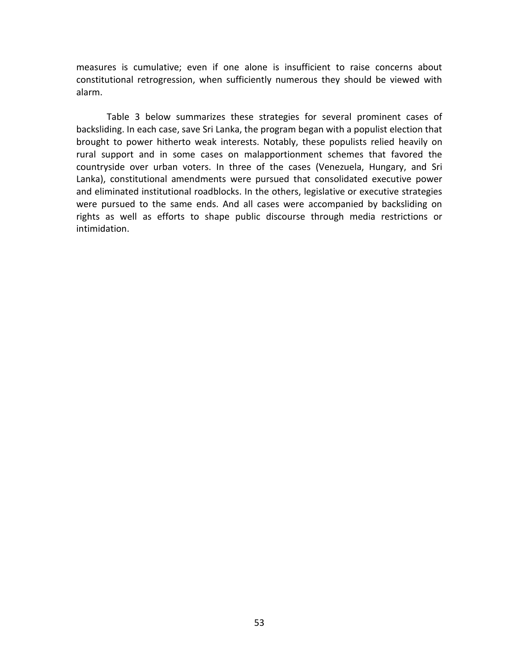measures is cumulative; even if one alone is insufficient to raise concerns about constitutional retrogression, when sufficiently numerous they should be viewed with alarm.

Table 3 below summarizes these strategies for several prominent cases of backsliding. In each case, save Sri Lanka, the program began with a populist election that brought to power hitherto weak interests. Notably, these populists relied heavily on rural support and in some cases on malapportionment schemes that favored the countryside over urban voters. In three of the cases (Venezuela, Hungary, and Sri Lanka), constitutional amendments were pursued that consolidated executive power and eliminated institutional roadblocks. In the others, legislative or executive strategies were pursued to the same ends. And all cases were accompanied by backsliding on rights as well as efforts to shape public discourse through media restrictions or intimidation.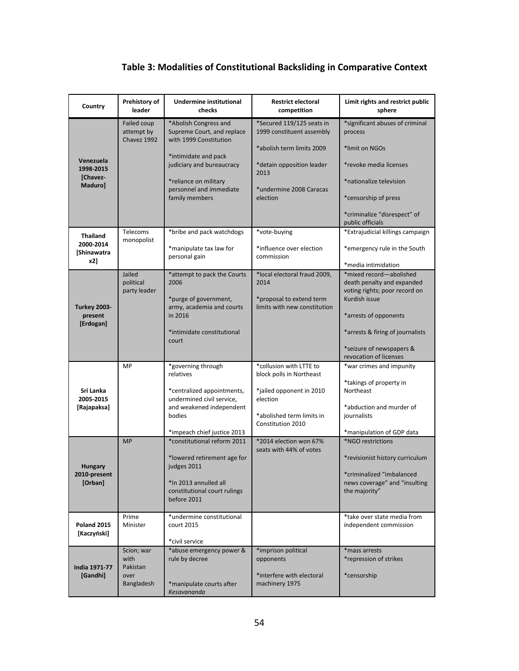# **Table 3: Modalities of Constitutional Backsliding in Comparative Context**

| Country                                            | Prehistory of<br>leader                              | Undermine institutional<br>checks                                                                                                                               | <b>Restrict electoral</b><br>competition                                                                                                      | Limit rights and restrict public<br>sphere                                                                                                                                                                                 |
|----------------------------------------------------|------------------------------------------------------|-----------------------------------------------------------------------------------------------------------------------------------------------------------------|-----------------------------------------------------------------------------------------------------------------------------------------------|----------------------------------------------------------------------------------------------------------------------------------------------------------------------------------------------------------------------------|
| Venezuela<br>1998-2015<br>[Chavez-<br>Maduro]      | Failed coup<br>attempt by<br>Chavez 1992             | *Abolish Congress and<br>Supreme Court, and replace<br>with 1999 Constitution<br>*intimidate and pack<br>judiciary and bureaucracy                              | *Secured 119/125 seats in<br>1999 constituent assembly<br>*abolish term limits 2009<br>*detain opposition leader                              | *significant abuses of criminal<br>process<br>*limit on NGOs<br>*revoke media licenses                                                                                                                                     |
|                                                    |                                                      | *reliance on military<br>personnel and immediate<br>family members                                                                                              | 2013<br>*undermine 2008 Caracas<br>election                                                                                                   | *nationalize television<br>*censorship of press<br>*criminalize "disrespect" of<br>public officials                                                                                                                        |
| <b>Thailand</b><br>2000-2014<br>[Shinawatra<br>x2] | Telecoms<br>monopolist                               | *bribe and pack watchdogs<br>*manipulate tax law for<br>personal gain                                                                                           | *vote-buying<br>*influence over election<br>commission                                                                                        | *Extrajudicial killings campaign<br>*emergency rule in the South<br>*media intimidation                                                                                                                                    |
| <b>Turkey 2003-</b><br>present<br>[Erdogan]        | Jailed<br>political<br>party leader                  | *attempt to pack the Courts<br>2006<br>*purge of government,<br>army, academia and courts<br>in 2016<br>*intimidate constitutional<br>court                     | *local electoral fraud 2009,<br>2014<br>*proposal to extend term<br>limits with new constitution                                              | *mixed record-abolished<br>death penalty and expanded<br>voting rights; poor record on<br>Kurdish issue<br>*arrests of opponents<br>*arrests & firing of journalists<br>*seizure of newspapers &<br>revocation of licenses |
| Sri Lanka<br>2005-2015<br>[Rajapaksa]              | <b>MP</b>                                            | *governing through<br>relatives<br>*centralized appointments,<br>undermined civil service,<br>and weakened independent<br>bodies<br>*impeach chief justice 2013 | *collusion with LTTE to<br>block polls in Northeast<br>*jailed opponent in 2010<br>election<br>*abolished term limits in<br>Constitution 2010 | *war crimes and impunity<br>*takings of property in<br>Northeast<br>*abduction and murder of<br>journalists<br>*manipulation of GDP data                                                                                   |
| Hungary<br>2010-present<br>[Orban]                 | <b>MP</b>                                            | *constitutional reform 2011<br>*lowered retirement age for<br>judges 2011<br>*In 2013 annulled all<br>constitutional court rulings<br>before 2011               | *2014 election won 67%<br>seats with 44% of votes                                                                                             | *NGO restrictions<br>*revisionist history curriculum<br>*criminalized "imbalanced<br>news coverage" and "insulting<br>the majority"                                                                                        |
| <b>Poland 2015</b><br>[Kaczyński]                  | Prime<br>Minister                                    | *undermine constitutional<br>court 2015<br>*civil service                                                                                                       |                                                                                                                                               | *take over state media from<br>independent commission                                                                                                                                                                      |
| <b>India 1971-77</b><br>[Gandhi]                   | Scion; war<br>with<br>Pakistan<br>over<br>Bangladesh | *abuse emergency power &<br>rule by decree<br>*manipulate courts after<br>Kesavananda                                                                           | *imprison political<br>opponents<br>*interfere with electoral<br>machinery 1975                                                               | *mass arrests<br>*repression of strikes<br>*censorship                                                                                                                                                                     |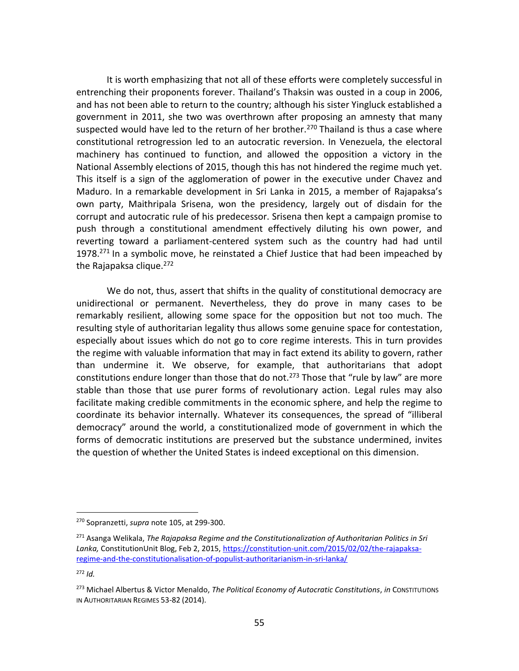It is worth emphasizing that not all of these efforts were completely successful in entrenching their proponents forever. Thailand's Thaksin was ousted in a coup in 2006, and has not been able to return to the country; although his sister Yingluck established a government in 2011, she two was overthrown after proposing an amnesty that many suspected would have led to the return of her brother.<sup>270</sup> Thailand is thus a case where constitutional retrogression led to an autocratic reversion. In Venezuela, the electoral machinery has continued to function, and allowed the opposition a victory in the National Assembly elections of 2015, though this has not hindered the regime much yet. This itself is a sign of the agglomeration of power in the executive under Chavez and Maduro. In a remarkable development in Sri Lanka in 2015, a member of Rajapaksa's own party, Maithripala Srisena, won the presidency, largely out of disdain for the corrupt and autocratic rule of his predecessor. Srisena then kept a campaign promise to push through a constitutional amendment effectively diluting his own power, and reverting toward a parliament-centered system such as the country had had until 1978. $271$  In a symbolic move, he reinstated a Chief Justice that had been impeached by the Rajapaksa clique.<sup>272</sup>

We do not, thus, assert that shifts in the quality of constitutional democracy are unidirectional or permanent. Nevertheless, they do prove in many cases to be remarkably resilient, allowing some space for the opposition but not too much. The resulting style of authoritarian legality thus allows some genuine space for contestation, especially about issues which do not go to core regime interests. This in turn provides the regime with valuable information that may in fact extend its ability to govern, rather than undermine it. We observe, for example, that authoritarians that adopt constitutions endure longer than those that do not.<sup>273</sup> Those that "rule by law" are more stable than those that use purer forms of revolutionary action. Legal rules may also facilitate making credible commitments in the economic sphere, and help the regime to coordinate its behavior internally. Whatever its consequences, the spread of "illiberal democracy" around the world, a constitutionalized mode of government in which the forms of democratic institutions are preserved but the substance undermined, invites the question of whether the United States is indeed exceptional on this dimension.

<sup>270</sup> Sopranzetti, *supra* not[e 105,](#page-21-1) at 299-300.

<sup>271</sup> Asanga Welikala, *The Rajapaksa Regime and the Constitutionalization of Authoritarian Politics in Sri Lanka,* ConstitutionUnit Blog, Feb 2, 2015, [https://constitution-unit.com/2015/02/02/the-rajapaksa](https://constitution-unit.com/2015/02/02/the-rajapaksa-regime-and-the-constitutionalisation-of-populist-authoritarianism-in-sri-lanka/)[regime-and-the-constitutionalisation-of-populist-authoritarianism-in-sri-lanka/](https://constitution-unit.com/2015/02/02/the-rajapaksa-regime-and-the-constitutionalisation-of-populist-authoritarianism-in-sri-lanka/)

<sup>272</sup> *Id.*

<sup>273</sup> Michael Albertus & Victor Menaldo, *The Political Economy of Autocratic Constitutions*, *in* CONSTITUTIONS IN AUTHORITARIAN REGIMES 53-82 (2014).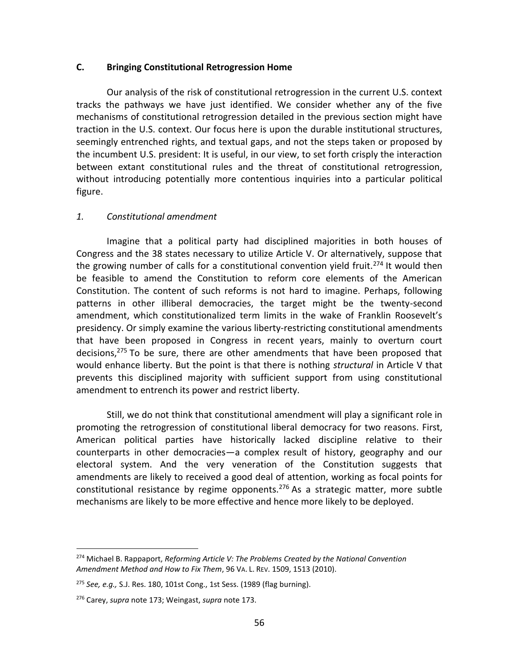## **C. Bringing Constitutional Retrogression Home**

Our analysis of the risk of constitutional retrogression in the current U.S. context tracks the pathways we have just identified. We consider whether any of the five mechanisms of constitutional retrogression detailed in the previous section might have traction in the U.S. context. Our focus here is upon the durable institutional structures, seemingly entrenched rights, and textual gaps, and not the steps taken or proposed by the incumbent U.S. president: It is useful, in our view, to set forth crisply the interaction between extant constitutional rules and the threat of constitutional retrogression, without introducing potentially more contentious inquiries into a particular political figure.

#### *1. Constitutional amendment*

Imagine that a political party had disciplined majorities in both houses of Congress and the 38 states necessary to utilize Article V. Or alternatively, suppose that the growing number of calls for a constitutional convention yield fruit.<sup>274</sup> It would then be feasible to amend the Constitution to reform core elements of the American Constitution. The content of such reforms is not hard to imagine. Perhaps, following patterns in other illiberal democracies, the target might be the twenty-second amendment, which constitutionalized term limits in the wake of Franklin Roosevelt's presidency. Or simply examine the various liberty-restricting constitutional amendments that have been proposed in Congress in recent years, mainly to overturn court decisions,<sup>275</sup> To be sure, there are other amendments that have been proposed that would enhance liberty. But the point is that there is nothing *structural* in Article V that prevents this disciplined majority with sufficient support from using constitutional amendment to entrench its power and restrict liberty.

Still, we do not think that constitutional amendment will play a significant role in promoting the retrogression of constitutional liberal democracy for two reasons. First, American political parties have historically lacked discipline relative to their counterparts in other democracies—a complex result of history, geography and our electoral system. And the very veneration of the Constitution suggests that amendments are likely to received a good deal of attention, working as focal points for constitutional resistance by regime opponents.<sup>276</sup> As a strategic matter, more subtle mechanisms are likely to be more effective and hence more likely to be deployed.

<sup>274</sup> Michael B. Rappaport, *Reforming Article V: The Problems Created by the National Convention Amendment Method and How to Fix Them*, 96 VA. L. REV. 1509, 1513 (2010).

<sup>275</sup> *See, e.g.,* S.J. Res. 180, 101st Cong., 1st Sess. (1989 (flag burning).

<sup>276</sup> Carey, *supra* note [173;](#page-35-0) Weingast, *supra* note [173.](#page-35-0)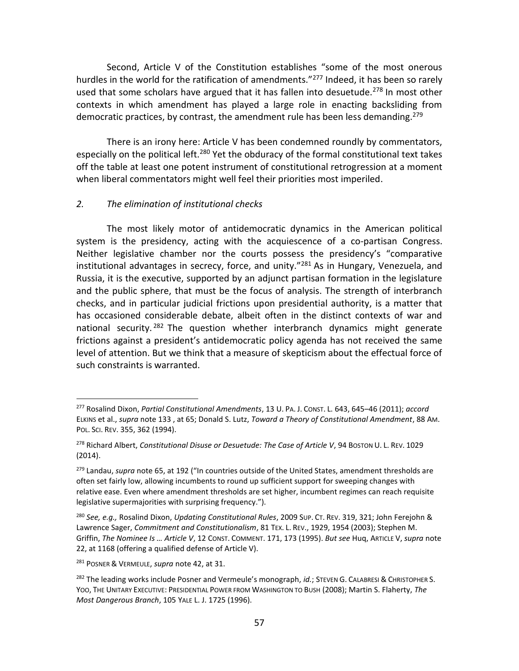Second, Article V of the Constitution establishes "some of the most onerous hurdles in the world for the ratification of amendments."<sup>277</sup> Indeed, it has been so rarely used that some scholars have argued that it has fallen into desuetude.<sup>278</sup> In most other contexts in which amendment has played a large role in enacting backsliding from democratic practices, by contrast, the amendment rule has been less demanding.<sup>279</sup>

There is an irony here: Article V has been condemned roundly by commentators, especially on the political left.<sup>280</sup> Yet the obduracy of the formal constitutional text takes off the table at least one potent instrument of constitutional retrogression at a moment when liberal commentators might well feel their priorities most imperiled.

#### *2. The elimination of institutional checks*

The most likely motor of antidemocratic dynamics in the American political system is the presidency, acting with the acquiescence of a co-partisan Congress. Neither legislative chamber nor the courts possess the presidency's "comparative institutional advantages in secrecy, force, and unity."<sup>281</sup> As in Hungary, Venezuela, and Russia, it is the executive, supported by an adjunct partisan formation in the legislature and the public sphere, that must be the focus of analysis. The strength of interbranch checks, and in particular judicial frictions upon presidential authority, is a matter that has occasioned considerable debate, albeit often in the distinct contexts of war and national security.<sup>282</sup> The question whether interbranch dynamics might generate frictions against a president's antidemocratic policy agenda has not received the same level of attention. But we think that a measure of skepticism about the effectual force of such constraints is warranted.

<sup>277</sup> Rosalind Dixon, *Partial Constitutional Amendments*, 13 U. PA. J. CONST. L. 643, 645–46 (2011); *accord* ELKINS et al., *supra* not[e 133](#page-27-0) , at 65; Donald S. Lutz, *Toward a Theory of Constitutional Amendment*, 88 AM. POL. SCI. REV. 355, 362 (1994).

<sup>278</sup> Richard Albert, *Constitutional Disuse or Desuetude: The Case of Article V*, 94 BOSTON U. L. REV. 1029 (2014).

<sup>279</sup> Landau, *supra* not[e 65](#page-13-0), at 192 ("In countries outside of the United States, amendment thresholds are often set fairly low, allowing incumbents to round up sufficient support for sweeping changes with relative ease. Even where amendment thresholds are set higher, incumbent regimes can reach requisite legislative supermajorities with surprising frequency.").

<sup>280</sup> *See, e.g.,* Rosalind Dixon, *Updating Constitutional Rules*, 2009 SUP. CT. REV. 319, 321; John Ferejohn & Lawrence Sager, *Commitment and Constitutionalism*, 81 TEX. L. REV., 1929, 1954 (2003); Stephen M. Griffin, *The Nominee Is … Article V*, 12 CONST. COMMENT. 171, 173 (1995). *But see* Huq, ARTICLE V, *supra* note [22,](#page-6-0) at 1168 (offering a qualified defense of Article V).

<sup>281</sup> POSNER & VERMEULE, *supra* note [42,](#page-10-0) at 31.

<sup>&</sup>lt;sup>282</sup> The leading works include Posner and Vermeule's monograph, *id.*; STEVEN G. CALABRESI & CHRISTOPHER S. YOO, THE UNITARY EXECUTIVE: PRESIDENTIAL POWER FROM WASHINGTON TO BUSH (2008); Martin S. Flaherty, *The Most Dangerous Branch*, 105 YALE L. J. 1725 (1996).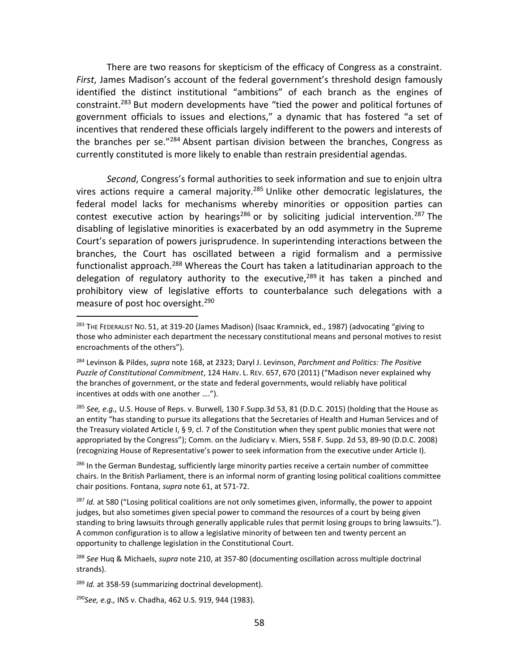There are two reasons for skepticism of the efficacy of Congress as a constraint. *First*, James Madison's account of the federal government's threshold design famously identified the distinct institutional "ambitions" of each branch as the engines of constraint.<sup>283</sup> But modern developments have "tied the power and political fortunes of government officials to issues and elections," a dynamic that has fostered "a set of incentives that rendered these officials largely indifferent to the powers and interests of the branches per se."<sup>284</sup> Absent partisan division between the branches, Congress as currently constituted is more likely to enable than restrain presidential agendas.

*Second*, Congress's formal authorities to seek information and sue to enjoin ultra vires actions require a cameral majority.<sup>285</sup> Unlike other democratic legislatures, the federal model lacks for mechanisms whereby minorities or opposition parties can contest executive action by hearings<sup>286</sup> or by soliciting judicial intervention.<sup>287</sup> The disabling of legislative minorities is exacerbated by an odd asymmetry in the Supreme Court's separation of powers jurisprudence. In superintending interactions between the branches, the Court has oscillated between a rigid formalism and a permissive functionalist approach.<sup>288</sup> Whereas the Court has taken a latitudinarian approach to the delegation of regulatory authority to the executive,<sup>289</sup> it has taken a pinched and prohibitory view of legislative efforts to counterbalance such delegations with a measure of post hoc oversight.<sup>290</sup>

<sup>285</sup> *See, e.g.,* U.S. House of Reps. v. Burwell*,* 130 F.Supp.3d 53, 81 (D.D.C. 2015) (holding that the House as an entity "has standing to pursue its allegations that the Secretaries of Health and Human Services and of the Treasury violated Article I, § 9, cl. 7 of the Constitution when they spent public monies that were not appropriated by the Congress"); Comm. on the Judiciary v. Miers, 558 F. Supp. 2d 53, 89-90 (D.D.C. 2008) (recognizing House of Representative's power to seek information from the executive under Article I).

<sup>286</sup> In the German Bundestag, sufficiently large minority parties receive a certain number of committee chairs. In the British Parliament, there is an informal norm of granting losing political coalitions committee chair positions. Fontana, *supra* note [61,](#page-12-0) at 571-72.

<sup>287</sup> *Id.* at 580 ("Losing political coalitions are not only sometimes given, informally, the power to appoint judges, but also sometimes given special power to command the resources of a court by being given standing to bring lawsuits through generally applicable rules that permit losing groups to bring lawsuits."). A common configuration is to allow a legislative minority of between ten and twenty percent an opportunity to challenge legislation in the Constitutional Court.

<sup>288</sup> *See* Huq & Michaels, *supra* not[e 210,](#page-43-0) at 357-80 (documenting oscillation across multiple doctrinal strands).

<sup>289</sup> *Id.* at 358-59 (summarizing doctrinal development).

<sup>290</sup>*See, e.g.,* INS v. Chadha, 462 U.S. 919, 944 (1983).

<sup>&</sup>lt;sup>283</sup> THE FEDERALIST NO. 51, at 319-20 (James Madison) (Isaac Kramnick, ed., 1987) (advocating "giving to those who administer each department the necessary constitutional means and personal motives to resist encroachments of the others").

<sup>284</sup> Levinson & Pildes, *supra* note [168,](#page-33-0) at 2323; Daryl J. Levinson, *Parchment and Politics: The Positive Puzzle of Constitutional Commitment*, 124 HARV. L. REV. 657, 670 (2011) ("Madison never explained why the branches of government, or the state and federal governments, would reliably have political incentives at odds with one another ….").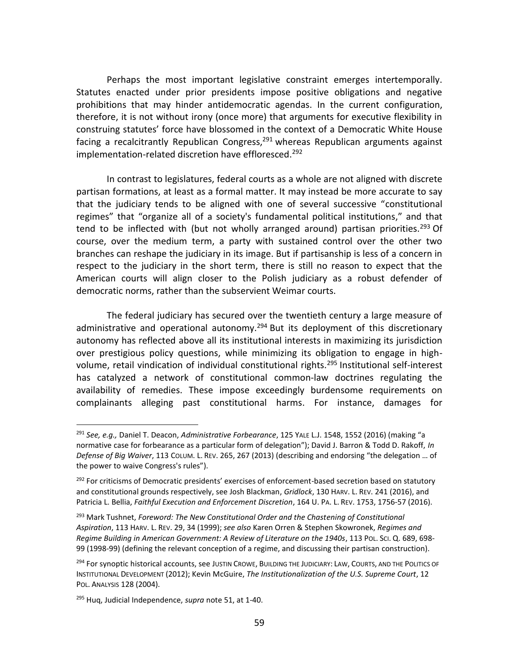Perhaps the most important legislative constraint emerges intertemporally. Statutes enacted under prior presidents impose positive obligations and negative prohibitions that may hinder antidemocratic agendas. In the current configuration, therefore, it is not without irony (once more) that arguments for executive flexibility in construing statutes' force have blossomed in the context of a Democratic White House facing a recalcitrantly Republican Congress,  $291$  whereas Republican arguments against implementation-related discretion have effloresced.<sup>292</sup>

In contrast to legislatures, federal courts as a whole are not aligned with discrete partisan formations, at least as a formal matter. It may instead be more accurate to say that the judiciary tends to be aligned with one of several successive "constitutional regimes" that "organize all of a society's fundamental political institutions," and that tend to be inflected with (but not wholly arranged around) partisan priorities.<sup>293</sup> Of course, over the medium term, a party with sustained control over the other two branches can reshape the judiciary in its image. But if partisanship is less of a concern in respect to the judiciary in the short term, there is still no reason to expect that the American courts will align closer to the Polish judiciary as a robust defender of democratic norms, rather than the subservient Weimar courts.

The federal judiciary has secured over the twentieth century a large measure of administrative and operational autonomy.<sup>294</sup> But its deployment of this discretionary autonomy has reflected above all its institutional interests in maximizing its jurisdiction over prestigious policy questions, while minimizing its obligation to engage in highvolume, retail vindication of individual constitutional rights.<sup>295</sup> Institutional self-interest has catalyzed a network of constitutional common-law doctrines regulating the availability of remedies. These impose exceedingly burdensome requirements on complainants alleging past constitutional harms. For instance, damages for

<sup>291</sup> *See, e.g.,* Daniel T. Deacon, *Administrative Forbearance*, 125 YALE L.J. 1548, 1552 (2016) (making "a normative case for forbearance as a particular form of delegation"); David J. Barron & Todd D. Rakoff, *In Defense of Big Waiver*, 113 COLUM. L. REV. 265, 267 (2013) (describing and endorsing "the delegation … of the power to waive Congress's rules").

<sup>&</sup>lt;sup>292</sup> For criticisms of Democratic presidents' exercises of enforcement-based secretion based on statutory and constitutional grounds respectively, see Josh Blackman, *Gridlock*, 130 HARV. L. REV. 241 (2016), and Patricia L. Bellia, *Faithful Execution and Enforcement Discretion*, 164 U. PA. L. REV. 1753, 1756-57 (2016).

<sup>293</sup> Mark Tushnet, *Foreword: The New Constitutional Order and the Chastening of Constitutional Aspiration*, 113 HARV. L. REV. 29, 34 (1999); *see also* Karen Orren & Stephen Skowronek, *Regimes and Regime Building in American Government: A Review of Literature on the 1940s*, 113 POL. SCI. Q. 689, 698- 99 (1998-99) (defining the relevant conception of a regime, and discussing their partisan construction).

<sup>294</sup> For synoptic historical accounts, see JUSTIN CROWE, BUILDING THE JUDICIARY: LAW, COURTS, AND THE POLITICS OF INSTITUTIONAL DEVELOPMENT (2012); Kevin McGuire, *The Institutionalization of the U.S. Supreme Court*, 12 POL. ANALYSIS 128 (2004).

<sup>295</sup> Huq, Judicial Independence, *supra* not[e 51,](#page-11-0) at 1-40.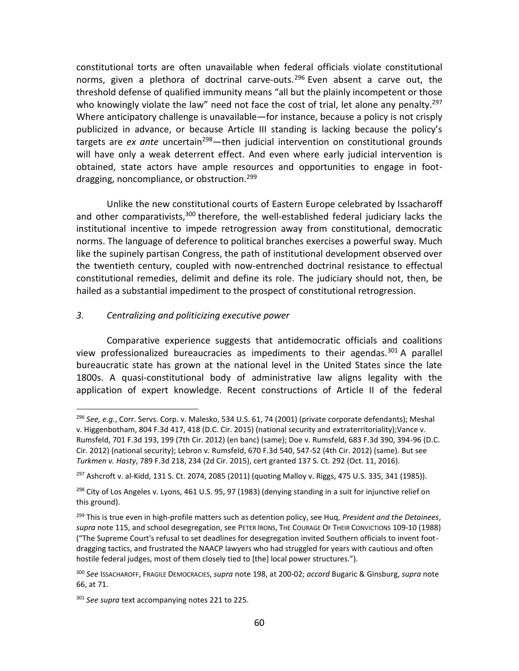constitutional torts are often unavailable when federal officials violate constitutional norms, given a plethora of doctrinal carve-outs.<sup>296</sup> Even absent a carve out, the threshold defense of qualified immunity means "all but the plainly incompetent or those who knowingly violate the law" need not face the cost of trial, let alone any penalty.<sup>297</sup> Where anticipatory challenge is unavailable—for instance, because a policy is not crisply publicized in advance, or because Article III standing is lacking because the policy's targets are *ex ante* uncertain<sup>298</sup>—then judicial intervention on constitutional grounds will have only a weak deterrent effect. And even where early judicial intervention is obtained, state actors have ample resources and opportunities to engage in footdragging, noncompliance, or obstruction.<sup>299</sup>

Unlike the new constitutional courts of Eastern Europe celebrated by Issacharoff and other comparativists,<sup>300</sup> therefore, the well-established federal judiciary lacks the institutional incentive to impede retrogression away from constitutional, democratic norms. The language of deference to political branches exercises a powerful sway. Much like the supinely partisan Congress, the path of institutional development observed over the twentieth century, coupled with now-entrenched doctrinal resistance to effectual constitutional remedies, delimit and define its role. The judiciary should not, then, be hailed as a substantial impediment to the prospect of constitutional retrogression.

### *3. Centralizing and politicizing executive power*

Comparative experience suggests that antidemocratic officials and coalitions view professionalized bureaucracies as impediments to their agendas. $301$  A parallel bureaucratic state has grown at the national level in the United States since the late 1800s. A quasi-constitutional body of administrative law aligns legality with the application of expert knowledge. Recent constructions of Article II of the federal

<sup>296</sup> *See, e.g.*, Corr. Servs. Corp. v. Malesko, 534 U.S. 61, 74 (2001) (private corporate defendants); Meshal v. Higgenbotham, 804 F.3d 417, 418 (D.C. Cir. 2015) (national security and extraterritoriality);Vance v. Rumsfeld, 701 F.3d 193, 199 (7th Cir. 2012) (en banc) (same); Doe v. Rumsfeld, 683 F.3d 390, 394-96 (D.C. Cir. 2012) (national security); Lebron v. Rumsfeld, 670 F.3d 540, 547-52 (4th Cir. 2012) (same). But see *Turkmen v. Hasty*, 789 F.3d 218, 234 (2d Cir. 2015), cert granted 137 S. Ct. 292 (Oct. 11, 2016).

<sup>&</sup>lt;sup>297</sup> Ashcroft v. al-Kidd, 131 S. Ct. 2074, 2085 (2011) (quoting Malloy v. Riggs, 475 U.S. 335, 341 (1985)).

<sup>&</sup>lt;sup>298</sup> City of Los Angeles v. Lyons, 461 U.S. 95, 97 (1983) (denying standing in a suit for injunctive relief on this ground).

<sup>299</sup> This is true even in high-profile matters such as detention policy, see Huq, *President and the Detainees*, *supra* note [115,](#page-24-0) and school desegregation, see PETER IRONS, THE COURAGE OF THEIR CONVICTIONS 109-10 (1988) ("The Supreme Court's refusal to set deadlines for desegregation invited Southern officials to invent footdragging tactics, and frustrated the NAACP lawyers who had struggled for years with cautious and often hostile federal judges, most of them closely tied to [the] local power structures.").

<sup>300</sup> *See* ISSACHAROFF, FRAGILE DEMOCRACIES, *supra* not[e 198,](#page-41-0) at 200-02; *accord* Bugaric & Ginsburg, *supra* note [66,](#page-13-1) at 71.

<sup>301</sup> *See supra* text accompanying note[s 221](#page-44-2) to [225.](#page-45-1)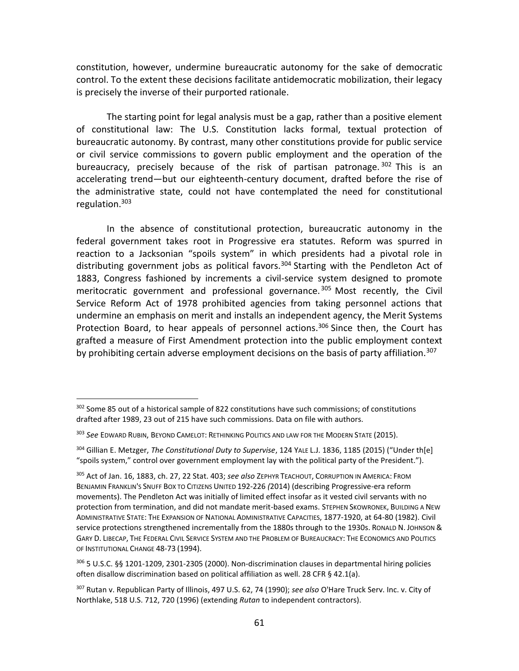constitution, however, undermine bureaucratic autonomy for the sake of democratic control. To the extent these decisions facilitate antidemocratic mobilization, their legacy is precisely the inverse of their purported rationale.

The starting point for legal analysis must be a gap, rather than a positive element of constitutional law: The U.S. Constitution lacks formal, textual protection of bureaucratic autonomy. By contrast, many other constitutions provide for public service or civil service commissions to govern public employment and the operation of the bureaucracy, precisely because of the risk of partisan patronage.<sup>302</sup> This is an accelerating trend—but our eighteenth-century document, drafted before the rise of the administrative state, could not have contemplated the need for constitutional regulation.<sup>303</sup>

In the absence of constitutional protection, bureaucratic autonomy in the federal government takes root in Progressive era statutes. Reform was spurred in reaction to a Jacksonian "spoils system" in which presidents had a pivotal role in distributing government jobs as political favors.<sup>304</sup> Starting with the Pendleton Act of 1883, Congress fashioned by increments a civil-service system designed to promote meritocratic government and professional governance.<sup>305</sup> Most recently, the Civil Service Reform Act of 1978 prohibited agencies from taking personnel actions that undermine an emphasis on merit and installs an independent agency, the Merit Systems Protection Board, to hear appeals of personnel actions.<sup>306</sup> Since then, the Court has grafted a measure of First Amendment protection into the public employment context by prohibiting certain adverse employment decisions on the basis of party affiliation.<sup>307</sup>

<sup>&</sup>lt;sup>302</sup> Some 85 out of a historical sample of 822 constitutions have such commissions; of constitutions drafted after 1989, 23 out of 215 have such commissions. Data on file with authors.

<sup>303</sup> *See* EDWARD RUBIN, BEYOND CAMELOT: RETHINKING POLITICS AND LAW FOR THE MODERN STATE (2015).

<sup>304</sup> Gillian E. Metzger, *The Constitutional Duty to Supervise*, 124 YALE L.J. 1836, 1185 (2015) ("Under th[e] "spoils system," control over government employment lay with the political party of the President.").

<sup>305</sup> Act of Jan. 16, 1883, ch. 27, 22 Stat. 403; *see also* ZEPHYR TEACHOUT, CORRUPTION IN AMERICA: FROM BENJAMIN FRANKLIN'S SNUFF BOX TO CITIZENS UNITED 192-226 *(*2014) (describing Progressive-era reform movements). The Pendleton Act was initially of limited effect insofar as it vested civil servants with no protection from termination, and did not mandate merit-based exams. STEPHEN SKOWRONEK, BUILDING A NEW ADMINISTRATIVE STATE: THE EXPANSION OF NATIONAL ADMINISTRATIVE CAPACITIES, 1877-1920, at 64-80 (1982). Civil service protections strengthened incrementally from the 1880s through to the 1930s. RONALD N. JOHNSON & GARY D. LIBECAP, THE FEDERAL CIVIL SERVICE SYSTEM AND THE PROBLEM OF BUREAUCRACY: THE ECONOMICS AND POLITICS OF INSTITUTIONAL CHANGE 48-73 (1994).

<sup>306</sup> 5 U.S.C. §§ 1201-1209, 2301-2305 (2000). Non-discrimination clauses in departmental hiring policies often disallow discrimination based on political affiliation as well. 28 CFR § 42.1(a).

<sup>307</sup> Rutan v. Republican Party of Illinois, 497 U.S. 62, 74 (1990); *see also* O'Hare Truck Serv. Inc. v. City of Northlake, 518 U.S. 712, 720 (1996) (extending *Rutan* to independent contractors).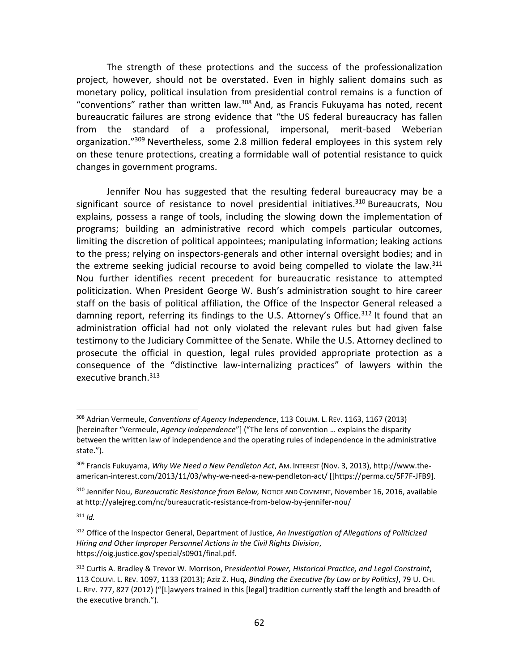<span id="page-61-0"></span>The strength of these protections and the success of the professionalization project, however, should not be overstated. Even in highly salient domains such as monetary policy, political insulation from presidential control remains is a function of "conventions" rather than written law. $308$  And, as Francis Fukuyama has noted, recent bureaucratic failures are strong evidence that "the US federal bureaucracy has fallen from the standard of a professional, impersonal, merit-based Weberian organization."<sup>309</sup> Nevertheless, some 2.8 million federal employees in this system rely on these tenure protections, creating a formidable wall of potential resistance to quick changes in government programs.

Jennifer Nou has suggested that the resulting federal bureaucracy may be a significant source of resistance to novel presidential initiatives. <sup>310</sup> Bureaucrats, Nou explains, possess a range of tools, including the slowing down the implementation of programs; building an administrative record which compels particular outcomes, limiting the discretion of political appointees; manipulating information; leaking actions to the press; relying on inspectors-generals and other internal oversight bodies; and in the extreme seeking judicial recourse to avoid being compelled to violate the law.<sup>311</sup> Nou further identifies recent precedent for bureaucratic resistance to attempted politicization. When President George W. Bush's administration sought to hire career staff on the basis of political affiliation, the Office of the Inspector General released a damning report, referring its findings to the U.S. Attorney's Office.<sup>312</sup> It found that an administration official had not only violated the relevant rules but had given false testimony to the Judiciary Committee of the Senate. While the U.S. Attorney declined to prosecute the official in question, legal rules provided appropriate protection as a consequence of the "distinctive law-internalizing practices" of lawyers within the executive branch.<sup>313</sup>

<sup>308</sup> Adrian Vermeule, *Conventions of Agency Independence*, 113 COLUM. L. REV. 1163, 1167 (2013) [hereinafter "Vermeule, *Agency Independence*"] ("The lens of convention … explains the disparity between the written law of independence and the operating rules of independence in the administrative state.").

<sup>309</sup> Francis Fukuyama, *Why We Need a New Pendleton Act*, AM. INTEREST (Nov. 3, 2013), http://www.theamerican-interest.com/2013/11/03/why-we-need-a-new-pendleton-act/ [[https://perma.cc/5F7F-JFB9].

<sup>310</sup> Jennifer Nou, *Bureaucratic Resistance from Below,* NOTICE AND COMMENT, November 16, 2016, available a[t http://yalejreg.com/nc/bureaucratic-resistance-from-below-by-jennifer-nou/](http://yalejreg.com/nc/bureaucratic-resistance-from-below-by-jennifer-nou/)

<sup>311</sup> *Id.*

<sup>312</sup> Office of the Inspector General, Department of Justice, *An Investigation of Allegations of Politicized Hiring and Other Improper Personnel Actions in the Civil Rights Division*, [https://oig.justice.gov/special/s0901/final.pdf.](https://oig.justice.gov/special/s0901/final.pdf)

<sup>313</sup> Curtis A. Bradley & Trevor W. Morrison, Pr*esidential Power, Historical Practice, and Legal Constraint*, 113 COLUM. L. REV. 1097, 1133 (2013); Aziz Z. Huq, *Binding the Executive (by Law or by Politics)*, 79 U. CHI. L. REV. 777, 827 (2012) ("[L]awyers trained in this [legal] tradition currently staff the length and breadth of the executive branch.").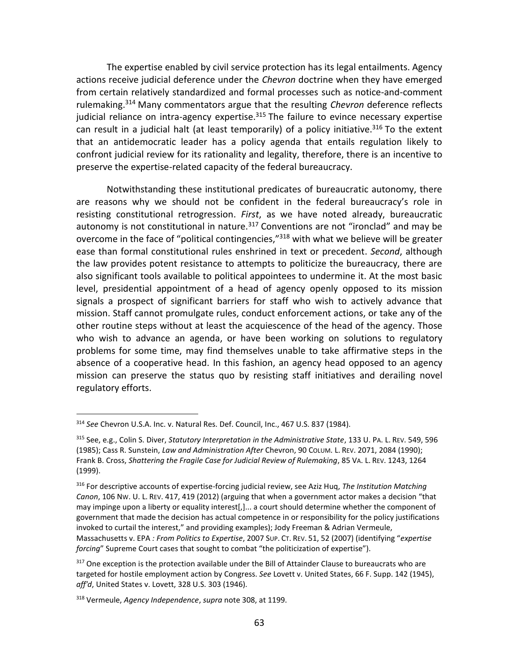The expertise enabled by civil service protection has its legal entailments. Agency actions receive judicial deference under the *Chevron* doctrine when they have emerged from certain relatively standardized and formal processes such as notice-and-comment rulemaking. <sup>314</sup> Many commentators argue that the resulting *Chevron* deference reflects judicial reliance on intra-agency expertise. $315$  The failure to evince necessary expertise can result in a judicial halt (at least temporarily) of a policy initiative.<sup>316</sup> To the extent that an antidemocratic leader has a policy agenda that entails regulation likely to confront judicial review for its rationality and legality, therefore, there is an incentive to preserve the expertise-related capacity of the federal bureaucracy.

Notwithstanding these institutional predicates of bureaucratic autonomy, there are reasons why we should not be confident in the federal bureaucracy's role in resisting constitutional retrogression. *First*, as we have noted already, bureaucratic autonomy is not constitutional in nature. $317$  Conventions are not "ironclad" and may be overcome in the face of "political contingencies,"<sup>318</sup> with what we believe will be greater ease than formal constitutional rules enshrined in text or precedent. *Second*, although the law provides potent resistance to attempts to politicize the bureaucracy, there are also significant tools available to political appointees to undermine it. At the most basic level, presidential appointment of a head of agency openly opposed to its mission signals a prospect of significant barriers for staff who wish to actively advance that mission. Staff cannot promulgate rules, conduct enforcement actions, or take any of the other routine steps without at least the acquiescence of the head of the agency. Those who wish to advance an agenda, or have been working on solutions to regulatory problems for some time, may find themselves unable to take affirmative steps in the absence of a cooperative head. In this fashion, an agency head opposed to an agency mission can preserve the status quo by resisting staff initiatives and derailing novel regulatory efforts.

<sup>314</sup> *See* Chevron U.S.A. Inc. v. Natural Res. Def. Council, Inc., 467 U.S. 837 (1984).

<sup>315</sup> See, e.g., Colin S. Diver, *Statutory Interpretation in the Administrative State*, 133 U. PA. L. REV. 549, 596 (1985); Cass R. Sunstein, *Law and Administration After* Chevron, 90 COLUM. L. REV. 2071, 2084 (1990); Frank B. Cross, *Shattering the Fragile Case for Judicial Review of Rulemaking*, 85 VA. L. REV. 1243, 1264 (1999).

<sup>316</sup> For descriptive accounts of expertise-forcing judicial review, see Aziz Huq, *The Institution Matching Canon*, 106 NW. U. L. REV. 417, 419 (2012) (arguing that when a government actor makes a decision "that may impinge upon a liberty or equality interest[,]... a court should determine whether the component of government that made the decision has actual competence in or responsibility for the policy justifications invoked to curtail the interest," and providing examples); Jody Freeman & Adrian Vermeule, Massachusetts v. EPA *: From Politics to Expertise*, 2007 SUP. CT. REV. 51, 52 (2007) (identifying "*expertise forcing*" Supreme Court cases that sought to combat "the politicization of expertise").

<sup>&</sup>lt;sup>317</sup> One exception is the protection available under the Bill of Attainder Clause to bureaucrats who are targeted for hostile employment action by Congress. *See* Lovett v. United States, 66 F. Supp. 142 (1945), *aff'd*, United States v. Lovett, 328 U.S. 303 (1946).

<sup>318</sup> Vermeule, *Agency Independence*, *supra* note [308,](#page-61-0) at 1199.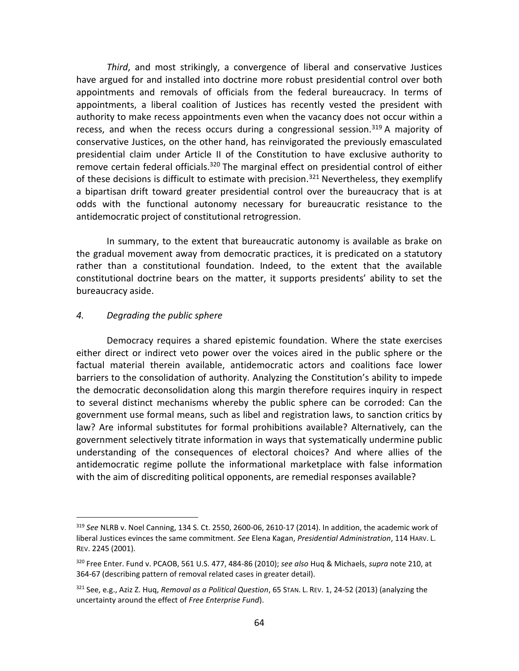*Third*, and most strikingly, a convergence of liberal and conservative Justices have argued for and installed into doctrine more robust presidential control over both appointments and removals of officials from the federal bureaucracy. In terms of appointments, a liberal coalition of Justices has recently vested the president with authority to make recess appointments even when the vacancy does not occur within a recess, and when the recess occurs during a congressional session.<sup>319</sup> A majority of conservative Justices, on the other hand, has reinvigorated the previously emasculated presidential claim under Article II of the Constitution to have exclusive authority to remove certain federal officials.<sup>320</sup> The marginal effect on presidential control of either of these decisions is difficult to estimate with precision.<sup>321</sup> Nevertheless, they exemplify a bipartisan drift toward greater presidential control over the bureaucracy that is at odds with the functional autonomy necessary for bureaucratic resistance to the antidemocratic project of constitutional retrogression.

In summary, to the extent that bureaucratic autonomy is available as brake on the gradual movement away from democratic practices, it is predicated on a statutory rather than a constitutional foundation. Indeed, to the extent that the available constitutional doctrine bears on the matter, it supports presidents' ability to set the bureaucracy aside.

#### *4. Degrading the public sphere*

 $\overline{a}$ 

Democracy requires a shared epistemic foundation. Where the state exercises either direct or indirect veto power over the voices aired in the public sphere or the factual material therein available, antidemocratic actors and coalitions face lower barriers to the consolidation of authority. Analyzing the Constitution's ability to impede the democratic deconsolidation along this margin therefore requires inquiry in respect to several distinct mechanisms whereby the public sphere can be corroded: Can the government use formal means, such as libel and registration laws, to sanction critics by law? Are informal substitutes for formal prohibitions available? Alternatively, can the government selectively titrate information in ways that systematically undermine public understanding of the consequences of electoral choices? And where allies of the antidemocratic regime pollute the informational marketplace with false information with the aim of discrediting political opponents, are remedial responses available?

<sup>319</sup> *See* NLRB v. Noel Canning, 134 S. Ct. 2550, 2600-06, 2610-17 (2014). In addition, the academic work of liberal Justices evinces the same commitment. *See* Elena Kagan, *Presidential Administration*, 114 HARV. L. REV. 2245 (2001).

<sup>320</sup> Free Enter. Fund v. PCAOB, 561 U.S. 477, 484-86 (2010); *see also* Huq & Michaels, *supra* not[e 210,](#page-43-0) at 364-67 (describing pattern of removal related cases in greater detail).

<sup>321</sup> See, e.g., Aziz Z. Huq, *Removal as a Political Question*, 65 STAN. L. REV. 1, 24-52 (2013) (analyzing the uncertainty around the effect of *Free Enterprise Fund*).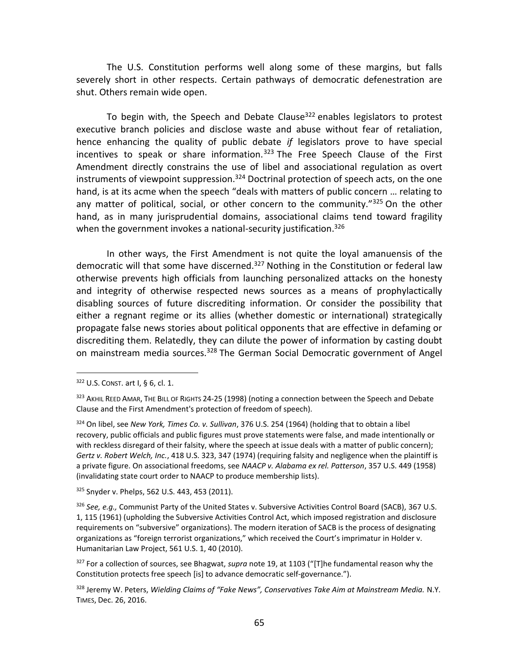The U.S. Constitution performs well along some of these margins, but falls severely short in other respects. Certain pathways of democratic defenestration are shut. Others remain wide open.

To begin with, the Speech and Debate Clause<sup>322</sup> enables legislators to protest executive branch policies and disclose waste and abuse without fear of retaliation, hence enhancing the quality of public debate *if* legislators prove to have special incentives to speak or share information.<sup>323</sup> The Free Speech Clause of the First Amendment directly constrains the use of libel and associational regulation as overt instruments of viewpoint suppression.<sup>324</sup> Doctrinal protection of speech acts, on the one hand, is at its acme when the speech "deals with matters of public concern … relating to any matter of political, social, or other concern to the community."<sup>325</sup> On the other hand, as in many jurisprudential domains, associational claims tend toward fragility when the government invokes a national-security justification.<sup>326</sup>

In other ways, the First Amendment is not quite the loyal amanuensis of the democratic will that some have discerned.<sup>327</sup> Nothing in the Constitution or federal law otherwise prevents high officials from launching personalized attacks on the honesty and integrity of otherwise respected news sources as a means of prophylactically disabling sources of future discrediting information. Or consider the possibility that either a regnant regime or its allies (whether domestic or international) strategically propagate false news stories about political opponents that are effective in defaming or discrediting them. Relatedly, they can dilute the power of information by casting doubt on mainstream media sources.<sup>328</sup> The German Social Democratic government of Angel

 $\overline{a}$ 

325 Snyder v. Phelps, 562 U.S. 443, 453 (2011).

<sup>322</sup> U.S. CONST. art I, § 6, cl. 1.

<sup>&</sup>lt;sup>323</sup> AKHIL REED AMAR, THE BILL OF RIGHTS 24-25 (1998) (noting a connection between the Speech and Debate Clause and the First Amendment's protection of freedom of speech).

<sup>324</sup> On libel, see *New York, Times Co. v. Sullivan*, 376 U.S. 254 (1964) (holding that to obtain a libel recovery, public officials and public figures must prove statements were false, and made intentionally or with reckless disregard of their falsity, where the speech at issue deals with a matter of public concern); *Gertz v. Robert Welch, Inc.*, 418 U.S. 323, 347 (1974) (requiring falsity and negligence when the plaintiff is a private figure. On associational freedoms, see *NAACP v. Alabama ex rel. Patterson*, 357 U.S. 449 (1958) (invalidating state court order to NAACP to produce membership lists).

<sup>326</sup> *See, e.g.,* Communist Party of the United States v. Subversive Activities Control Board (SACB), 367 U.S. 1, 115 (1961) (upholding the Subversive Activities Control Act, which imposed registration and disclosure requirements on "subversive" organizations). The modern iteration of SACB is the process of designating organizations as "foreign terrorist organizations," which received the Court's imprimatur in Holder v. Humanitarian Law Project, 561 U.S. 1, 40 (2010).

<sup>327</sup> For a collection of sources, see Bhagwat, *supra* note [19](#page-4-0), at 1103 ("[T]he fundamental reason why the Constitution protects free speech [is] to advance democratic self-governance.").

<sup>&</sup>lt;sup>328</sup> Jeremy W. Peters, Wielding Claims of "Fake News", Conservatives Take Aim at Mainstream Media. N.Y. TIMES, Dec. 26, 2016.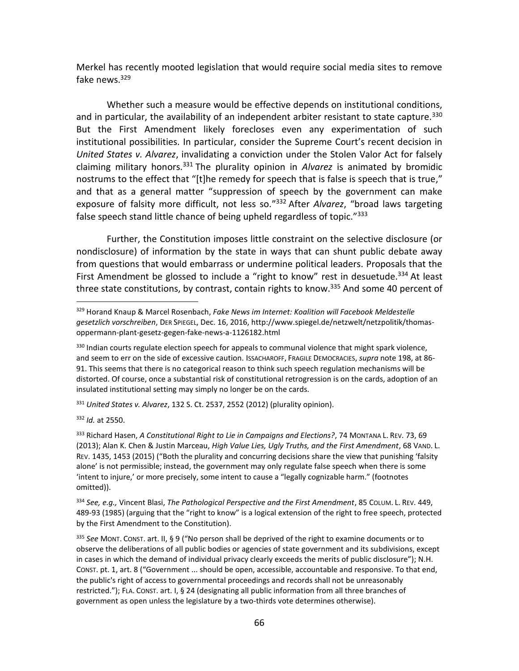Merkel has recently mooted legislation that would require social media sites to remove fake news.<sup>329</sup>

Whether such a measure would be effective depends on institutional conditions, and in particular, the availability of an independent arbiter resistant to state capture.<sup>330</sup> But the First Amendment likely forecloses even any experimentation of such institutional possibilities. In particular, consider the Supreme Court's recent decision in *United States v. Alvarez*, invalidating a conviction under the Stolen Valor Act for falsely claiming military honors.<sup>331</sup> The plurality opinion in *Alvarez* is animated by bromidic nostrums to the effect that "[t]he remedy for speech that is false is speech that is true," and that as a general matter "suppression of speech by the government can make exposure of falsity more difficult, not less so." <sup>332</sup> After *Alvarez*, "broad laws targeting false speech stand little chance of being upheld regardless of topic."<sup>333</sup>

Further, the Constitution imposes little constraint on the selective disclosure (or nondisclosure) of information by the state in ways that can shunt public debate away from questions that would embarrass or undermine political leaders. Proposals that the First Amendment be glossed to include a "right to know" rest in desuetude.<sup>334</sup> At least three state constitutions, by contrast, contain rights to know.<sup>335</sup> And some 40 percent of

<sup>331</sup> *United States v. Alvarez*, 132 S. Ct. 2537, 2552 (2012) (plurality opinion).

<sup>332</sup> *Id.* at 2550.

 $\overline{a}$ 

<sup>333</sup> Richard Hasen, *A Constitutional Right to Lie in Campaigns and Elections?*, 74 MONTANA L. REV. 73, 69 (2013); Alan K. Chen & Justin Marceau, *High Value Lies, Ugly Truths, and the First Amendment*, 68 VAND. L. REV. 1435, 1453 (2015) ("Both the plurality and concurring decisions share the view that punishing 'falsity alone' is not permissible; instead, the government may only regulate false speech when there is some 'intent to injure,' or more precisely, some intent to cause a "legally cognizable harm." (footnotes omitted)).

<sup>334</sup> *See, e.g.,* Vincent Blasi, *The Pathological Perspective and the First Amendment*, 85 COLUM. L. REV. 449, 489-93 (1985) (arguing that the "right to know" is a logical extension of the right to free speech, protected by the First Amendment to the Constitution).

<sup>335</sup> *See* MONT. CONST. art. II, § 9 ("No person shall be deprived of the right to examine documents or to observe the deliberations of all public bodies or agencies of state government and its subdivisions, except in cases in which the demand of individual privacy clearly exceeds the merits of public disclosure"); N.H. CONST. pt. 1, art. 8 ("Government ... should be open, accessible, accountable and responsive. To that end, the public's right of access to governmental proceedings and records shall not be unreasonably restricted."); FLA. CONST. art. I, § 24 (designating all public information from all three branches of government as open unless the legislature by a two-thirds vote determines otherwise).

<sup>329</sup> Horand Knaup & Marcel Rosenbach, *Fake News im Internet: Koalition will Facebook Meldestelle gesetzlich vorschreiben*, DER SPIEGEL, Dec. 16, 2016, http://www.spiegel.de/netzwelt/netzpolitik/thomasoppermann-plant-gesetz-gegen-fake-news-a-1126182.html

<sup>330</sup> Indian courts regulate election speech for appeals to communal violence that might spark violence, and seem to err on the side of excessive caution. ISSACHAROFF, FRAGILE DEMOCRACIES, *supra* note [198,](#page-41-0) at 86- 91. This seems that there is no categorical reason to think such speech regulation mechanisms will be distorted. Of course, once a substantial risk of constitutional retrogression is on the cards, adoption of an insulated institutional setting may simply no longer be on the cards.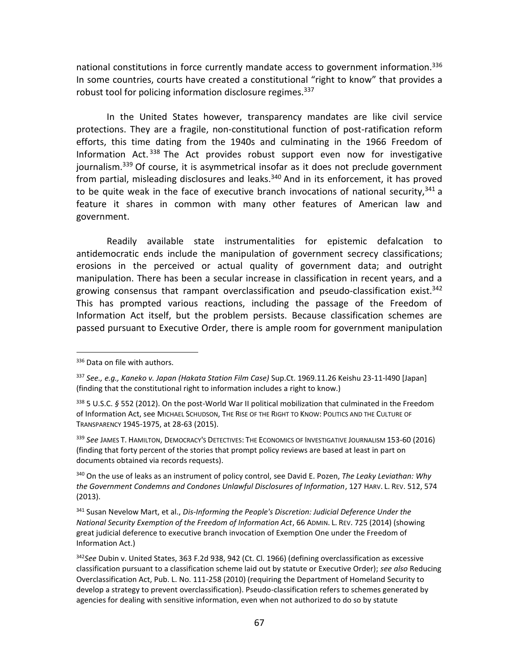national constitutions in force currently mandate access to government information.<sup>336</sup> In some countries, courts have created a constitutional "right to know" that provides a robust tool for policing information disclosure regimes.<sup>337</sup>

In the United States however, transparency mandates are like civil service protections. They are a fragile, non-constitutional function of post-ratification reform efforts, this time dating from the 1940s and culminating in the 1966 Freedom of Information Act. <sup>338</sup> The Act provides robust support even now for investigative journalism.<sup>339</sup> Of course, it is asymmetrical insofar as it does not preclude government from partial, misleading disclosures and leaks.<sup>340</sup> And in its enforcement, it has proved to be quite weak in the face of executive branch invocations of national security,  $341$  a feature it shares in common with many other features of American law and government.

Readily available state instrumentalities for epistemic defalcation to antidemocratic ends include the manipulation of government secrecy classifications; erosions in the perceived or actual quality of government data; and outright manipulation. There has been a secular increase in classification in recent years, and a growing consensus that rampant overclassification and pseudo-classification exist. 342 This has prompted various reactions, including the passage of the Freedom of Information Act itself, but the problem persists. Because classification schemes are passed pursuant to Executive Order, there is ample room for government manipulation

 $\overline{a}$ 

<sup>339</sup> *See* JAMES T. HAMILTON, DEMOCRACY'S DETECTIVES: THE ECONOMICS OF INVESTIGATIVE JOURNALISM 153-60 (2016) (finding that forty percent of the stories that prompt policy reviews are based at least in part on documents obtained via records requests).

<sup>340</sup> On the use of leaks as an instrument of policy control, see David E. Pozen, *The Leaky Leviathan: Why the Government Condemns and Condones Unlawful Disclosures of Information*, 127 HARV. L. REV. 512, 574 (2013).

<sup>341</sup> Susan Nevelow Mart, et al., *Dis-Informing the People's Discretion: Judicial Deference Under the National Security Exemption of the Freedom of Information Act*, 66 ADMIN. L. REV. 725 (2014) (showing great judicial deference to executive branch invocation of Exemption One under the Freedom of Information Act.)

<sup>342</sup>*See* Dubin v. United States, 363 F.2d 938, 942 (Ct. Cl. 1966) (defining overclassification as excessive classification pursuant to a classification scheme laid out by statute or Executive Order); *see also* Reducing Overclassification Act, Pub. L. No. 111-258 (2010) (requiring the Department of Homeland Security to develop a strategy to prevent overclassification). Pseudo-classification refers to schemes generated by agencies for dealing with sensitive information, even when not authorized to do so by statute

<sup>336</sup> Data on file with authors.

<sup>337</sup> *See., e.g., Kaneko v. Japan (Hakata Station Film Case)* Sup.Ct. 1969.11.26 Keishu 23-11-l490 [Japan] (finding that the constitutional right to information includes a right to know.)

<sup>338</sup> 5 U.S.C. *§* 552 (2012). On the post-World War II political mobilization that culminated in the Freedom of Information Act, see MICHAEL SCHUDSON, THE RISE OF THE RIGHT TO KNOW: POLITICS AND THE CULTURE OF TRANSPARENCY 1945-1975, at 28-63 (2015).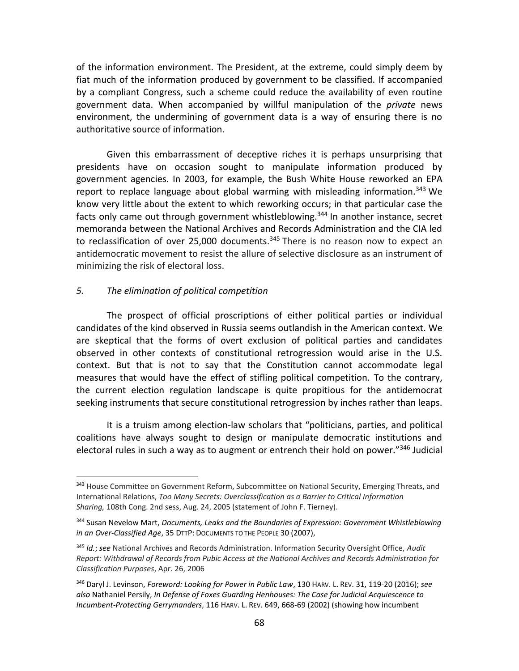of the information environment. The President, at the extreme, could simply deem by fiat much of the information produced by government to be classified. If accompanied by a compliant Congress, such a scheme could reduce the availability of even routine government data. When accompanied by willful manipulation of the *private* news environment, the undermining of government data is a way of ensuring there is no authoritative source of information.

Given this embarrassment of deceptive riches it is perhaps unsurprising that presidents have on occasion sought to manipulate information produced by government agencies. In 2003, for example, the Bush White House reworked an EPA report to replace language about global warming with misleading information.<sup>343</sup> We know very little about the extent to which reworking occurs; in that particular case the facts only came out through government whistleblowing.<sup>344</sup> In another instance, secret memoranda between the National Archives and Records Administration and the CIA led to reclassification of over 25,000 documents. <sup>345</sup> There is no reason now to expect an antidemocratic movement to resist the allure of selective disclosure as an instrument of minimizing the risk of electoral loss.

### *5. The elimination of political competition*

 $\overline{a}$ 

The prospect of official proscriptions of either political parties or individual candidates of the kind observed in Russia seems outlandish in the American context. We are skeptical that the forms of overt exclusion of political parties and candidates observed in other contexts of constitutional retrogression would arise in the U.S. context. But that is not to say that the Constitution cannot accommodate legal measures that would have the effect of stifling political competition. To the contrary, the current election regulation landscape is quite propitious for the antidemocrat seeking instruments that secure constitutional retrogression by inches rather than leaps.

It is a truism among election-law scholars that "politicians, parties, and political coalitions have always sought to design or manipulate democratic institutions and electoral rules in such a way as to augment or entrench their hold on power."<sup>346</sup> Judicial

<sup>&</sup>lt;sup>343</sup> House Committee on Government Reform, Subcommittee on National Security, Emerging Threats, and International Relations, *Too Many Secrets: Overclassification as a Barrier to Critical Information Sharing,* 108th Cong. 2nd sess, Aug. 24, 2005 (statement of John F. Tierney).

<sup>344</sup> Susan Nevelow Mart, *Documents, Leaks and the Boundaries of Expression: Government [Whistleblowing](http://www.llrx.com/features/whistleblowing.htm) in an [Over-Classified](http://www.llrx.com/features/whistleblowing.htm) Age*, 35 DTTP: DOCUMENTS TO THE PEOPLE 30 (2007),

<sup>345</sup> *Id.*; *see* National Archives and Records Administration. Information Security Oversight Office, *Audit Report: Withdrawal of Records from Pubic Access at the National Archives and Records Administration for Classification Purposes*, Apr. 26, 2006

<sup>346</sup> Daryl J. Levinson, *Foreword: Looking for Power in Public Law*, 130 HARV. L. REV. 31, 119-20 (2016); *see also* Nathaniel Persily, *In Defense of Foxes Guarding Henhouses: The Case for Judicial Acquiescence to Incumbent-Protecting Gerrymanders*, 116 HARV. L. REV. 649, 668-69 (2002) (showing how incumbent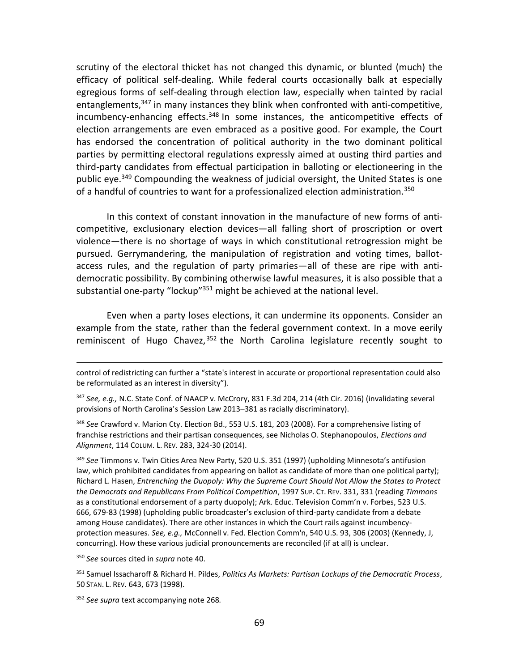scrutiny of the electoral thicket has not changed this dynamic, or blunted (much) the efficacy of political self-dealing. While federal courts occasionally balk at especially egregious forms of self-dealing through election law, especially when tainted by racial entanglements,<sup>347</sup> in many instances they blink when confronted with anti-competitive, incumbency-enhancing effects.<sup>348</sup> In some instances, the anticompetitive effects of election arrangements are even embraced as a positive good. For example, the Court has endorsed the concentration of political authority in the two dominant political parties by permitting electoral regulations expressly aimed at ousting third parties and third-party candidates from effectual participation in balloting or electioneering in the public eye.<sup>349</sup> Compounding the weakness of judicial oversight, the United States is one of a handful of countries to want for a professionalized election administration.<sup>350</sup>

In this context of constant innovation in the manufacture of new forms of anticompetitive, exclusionary election devices—all falling short of proscription or overt violence—there is no shortage of ways in which constitutional retrogression might be pursued. Gerrymandering, the manipulation of registration and voting times, ballotaccess rules, and the regulation of party primaries—all of these are ripe with antidemocratic possibility. By combining otherwise lawful measures, it is also possible that a substantial one-party "lockup" $351$  might be achieved at the national level.

Even when a party loses elections, it can undermine its opponents. Consider an example from the state, rather than the federal government context. In a move eerily reminiscent of Hugo Chavez,  $352$  the North Carolina legislature recently sought to

<sup>348</sup> *See* Crawford v. Marion Cty. Election Bd., 553 U.S. 181, 203 (2008). For a comprehensive listing of franchise restrictions and their partisan consequences, see Nicholas O. Stephanopoulos, *Elections and Alignment*, 114 COLUM. L. REV. 283, 324-30 (2014).

<sup>349</sup> *See* Timmons v. Twin Cities Area New Party, 520 U.S. 351 (1997) (upholding Minnesota's antifusion law, which prohibited candidates from appearing on ballot as candidate of more than one political party); Richard L. Hasen, *Entrenching the Duopoly: Why the Supreme Court Should Not Allow the States to Protect the Democrats and Republicans From Political Competition*, 1997 SUP. CT. REV. 331, 331 (reading *Timmons*  as a constitutional endorsement of a party duopoly); Ark. Educ. Television Comm'n v. Forbes, 523 U.S. 666, 679-83 (1998) (upholding public broadcaster's exclusion of third-party candidate from a debate among House candidates). There are other instances in which the Court rails against incumbencyprotection measures. *See, e.g.,* McConnell v. Fed. Election Comm'n, 540 U.S. 93, 306 (2003) (Kennedy, J, concurring). How these various judicial pronouncements are reconciled (if at all) is unclear.

<sup>350</sup> *See* sources cited in *supra* note [40.](#page-9-1)

 $\overline{a}$ 

<sup>351</sup> Samuel Issacharoff & Richard H. Pildes, *Politics As Markets: Partisan Lockups of the Democratic Process*, 50 STAN. L. REV. 643, 673 (1998).

<sup>352</sup> *See supra* text accompanying not[e 268](#page-51-0)*.*

control of redistricting can further a "state's interest in accurate or proportional representation could also be reformulated as an interest in diversity").

<sup>347</sup> *See, e.g.,* N.C. State Conf. of NAACP v. McCrory, 831 F.3d 204, 214 (4th Cir. 2016) (invalidating several provisions of North Carolina's Session Law 2013–381 as racially discriminatory).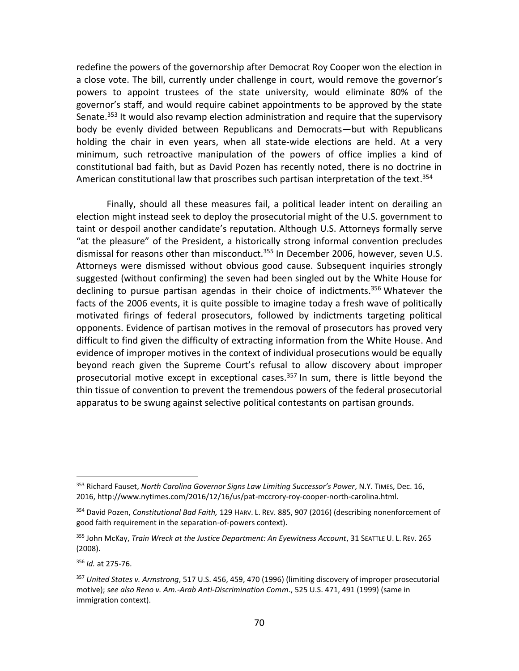<span id="page-69-0"></span>redefine the powers of the governorship after Democrat Roy Cooper won the election in a close vote. The bill, currently under challenge in court, would remove the governor's powers to appoint trustees of the state university, would eliminate 80% of the governor's staff, and would require cabinet appointments to be approved by the state Senate.<sup>353</sup> It would also revamp election administration and require that the supervisory body be evenly divided between Republicans and Democrats—but with Republicans holding the chair in even years, when all state-wide elections are held. At a very minimum, such retroactive manipulation of the powers of office implies a kind of constitutional bad faith, but as David Pozen has recently noted, there is no doctrine in American constitutional law that proscribes such partisan interpretation of the text.<sup>354</sup>

<span id="page-69-1"></span>Finally, should all these measures fail, a political leader intent on derailing an election might instead seek to deploy the prosecutorial might of the U.S. government to taint or despoil another candidate's reputation. Although U.S. Attorneys formally serve "at the pleasure" of the President, a historically strong informal convention precludes dismissal for reasons other than misconduct.<sup>355</sup> In December 2006, however, seven U.S. Attorneys were dismissed without obvious good cause. Subsequent inquiries strongly suggested (without confirming) the seven had been singled out by the White House for declining to pursue partisan agendas in their choice of indictments. <sup>356</sup> Whatever the facts of the 2006 events, it is quite possible to imagine today a fresh wave of politically motivated firings of federal prosecutors, followed by indictments targeting political opponents. Evidence of partisan motives in the removal of prosecutors has proved very difficult to find given the difficulty of extracting information from the White House. And evidence of improper motives in the context of individual prosecutions would be equally beyond reach given the Supreme Court's refusal to allow discovery about improper prosecutorial motive except in exceptional cases. $357$  In sum, there is little beyond the thin tissue of convention to prevent the tremendous powers of the federal prosecutorial apparatus to be swung against selective political contestants on partisan grounds.

<sup>353</sup> Richard Fauset, *North Carolina Governor Signs Law Limiting Successor's Power*, N.Y. TIMES, Dec. 16, 2016, http://www.nytimes.com/2016/12/16/us/pat-mccrory-roy-cooper-north-carolina.html.

<sup>354</sup> David Pozen, *Constitutional Bad Faith,* 129 HARV. L. REV. 885, 907 (2016) (describing nonenforcement of good faith requirement in the separation-of-powers context).

<sup>355</sup> John McKay, *Train Wreck at the Justice Department: An Eyewitness Account*, 31 SEATTLE U. L. REV. 265 (2008).

<sup>356</sup> *Id.* at 275-76.

<sup>357</sup> *United States v. Armstrong*, 517 U.S. 456, 459, 470 (1996) (limiting discovery of improper prosecutorial motive); *see also Reno v. Am.-Arab Anti-Discrimination Comm*., 525 U.S. 471, 491 (1999) (same in immigration context).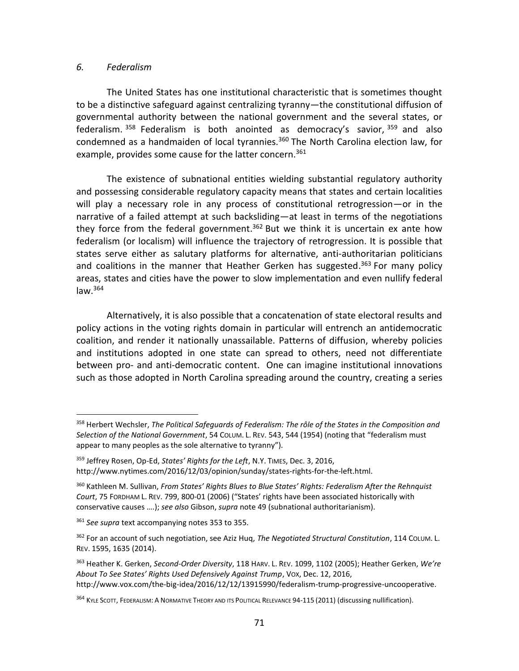#### *6. Federalism*

 $\overline{a}$ 

The United States has one institutional characteristic that is sometimes thought to be a distinctive safeguard against centralizing tyranny—the constitutional diffusion of governmental authority between the national government and the several states, or federalism. <sup>358</sup> Federalism is both anointed as democracy's savior, <sup>359</sup> and also condemned as a handmaiden of local tyrannies. $360$  The North Carolina election law, for example, provides some cause for the latter concern.<sup>361</sup>

The existence of subnational entities wielding substantial regulatory authority and possessing considerable regulatory capacity means that states and certain localities will play a necessary role in any process of constitutional retrogression—or in the narrative of a failed attempt at such backsliding—at least in terms of the negotiations they force from the federal government.<sup>362</sup> But we think it is uncertain ex ante how federalism (or localism) will influence the trajectory of retrogression. It is possible that states serve either as salutary platforms for alternative, anti-authoritarian politicians and coalitions in the manner that Heather Gerken has suggested.<sup>363</sup> For many policy areas, states and cities have the power to slow implementation and even nullify federal  $law.<sup>364</sup>$ 

Alternatively, it is also possible that a concatenation of state electoral results and policy actions in the voting rights domain in particular will entrench an antidemocratic coalition, and render it nationally unassailable. Patterns of diffusion, whereby policies and institutions adopted in one state can spread to others, need not differentiate between pro- and anti-democratic content. One can imagine institutional innovations such as those adopted in North Carolina spreading around the country, creating a series

<sup>358</sup> Herbert Wechsler, *The Political Safeguards of Federalism: The rôle of the States in the Composition and Selection of the National Government*, 54 COLUM. L. REV. 543, 544 (1954) (noting that "federalism must appear to many peoples as the sole alternative to tyranny").

<sup>359</sup> Jeffrey Rosen, Op-Ed, *States' Rights for the Left*, N.Y. TIMES, Dec. 3, 2016, http://www.nytimes.com/2016/12/03/opinion/sunday/states-rights-for-the-left.html.

<sup>360</sup> Kathleen M. Sullivan, *From States' Rights Blues to Blue States' Rights: Federalism After the Rehnquist Court*, 75 FORDHAM L. REV. 799, 800-01 (2006) ("States' rights have been associated historically with conservative causes ….); *see also* Gibson, *supra* note [49](#page-10-1) (subnational authoritarianism).

<sup>361</sup> *See supra* text accompanying note[s 353](#page-69-0) to [355.](#page-69-1)

<sup>362</sup> For an account of such negotiation, see Aziz Huq, *The Negotiated Structural Constitution*, 114 COLUM. L. REV. 1595, 1635 (2014).

<sup>363</sup> Heather K. Gerken, *Second-Order Diversity*, 118 HARV. L. REV. 1099, 1102 (2005); Heather Gerken, *We're About To See States' Rights Used Defensively Against Trump*, VOX, Dec. 12, 2016, http://www.vox.com/the-big-idea/2016/12/12/13915990/federalism-trump-progressive-uncooperative.

<sup>364</sup> KYLE SCOTT, FEDERALISM: A NORMATIVE THEORY AND ITS POLITICAL RELEVANCE 94-115 (2011) (discussing nullification).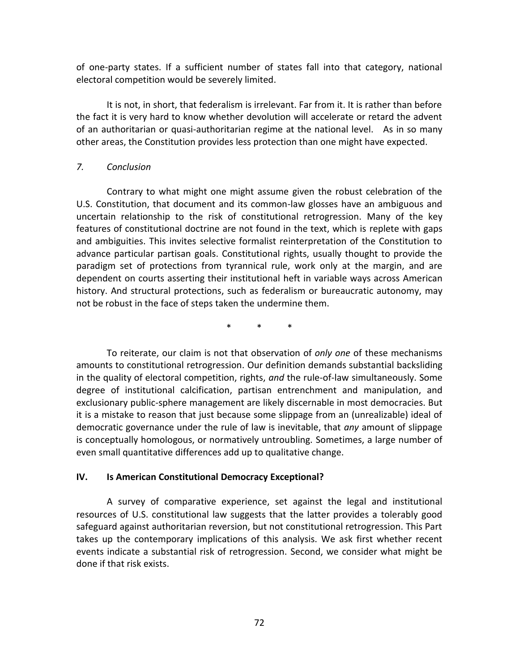of one-party states. If a sufficient number of states fall into that category, national electoral competition would be severely limited.

It is not, in short, that federalism is irrelevant. Far from it. It is rather than before the fact it is very hard to know whether devolution will accelerate or retard the advent of an authoritarian or quasi-authoritarian regime at the national level. As in so many other areas, the Constitution provides less protection than one might have expected.

# *7. Conclusion*

Contrary to what might one might assume given the robust celebration of the U.S. Constitution, that document and its common-law glosses have an ambiguous and uncertain relationship to the risk of constitutional retrogression. Many of the key features of constitutional doctrine are not found in the text, which is replete with gaps and ambiguities. This invites selective formalist reinterpretation of the Constitution to advance particular partisan goals. Constitutional rights, usually thought to provide the paradigm set of protections from tyrannical rule, work only at the margin, and are dependent on courts asserting their institutional heft in variable ways across American history. And structural protections, such as federalism or bureaucratic autonomy, may not be robust in the face of steps taken the undermine them.

\* \* \*

To reiterate, our claim is not that observation of *only one* of these mechanisms amounts to constitutional retrogression. Our definition demands substantial backsliding in the quality of electoral competition, rights, *and* the rule-of-law simultaneously. Some degree of institutional calcification, partisan entrenchment and manipulation, and exclusionary public-sphere management are likely discernable in most democracies. But it is a mistake to reason that just because some slippage from an (unrealizable) ideal of democratic governance under the rule of law is inevitable, that *any* amount of slippage is conceptually homologous, or normatively untroubling. Sometimes, a large number of even small quantitative differences add up to qualitative change.

# **IV. Is American Constitutional Democracy Exceptional?**

A survey of comparative experience, set against the legal and institutional resources of U.S. constitutional law suggests that the latter provides a tolerably good safeguard against authoritarian reversion, but not constitutional retrogression. This Part takes up the contemporary implications of this analysis. We ask first whether recent events indicate a substantial risk of retrogression. Second, we consider what might be done if that risk exists.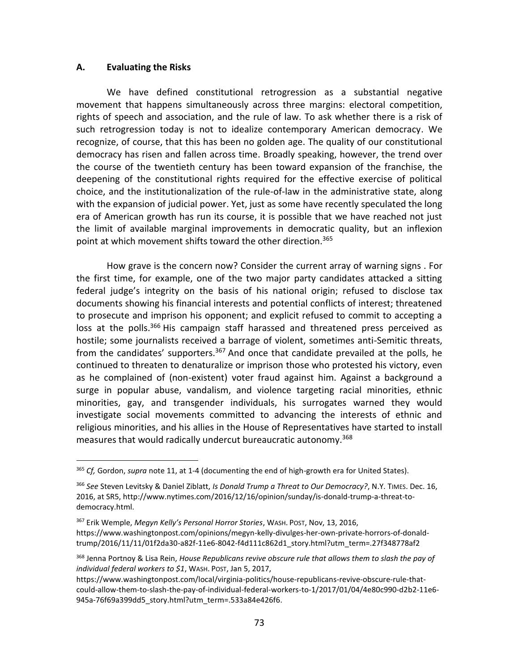## **A. Evaluating the Risks**

 $\overline{a}$ 

We have defined constitutional retrogression as a substantial negative movement that happens simultaneously across three margins: electoral competition, rights of speech and association, and the rule of law. To ask whether there is a risk of such retrogression today is not to idealize contemporary American democracy. We recognize, of course, that this has been no golden age. The quality of our constitutional democracy has risen and fallen across time. Broadly speaking, however, the trend over the course of the twentieth century has been toward expansion of the franchise, the deepening of the constitutional rights required for the effective exercise of political choice, and the institutionalization of the rule-of-law in the administrative state, along with the expansion of judicial power. Yet, just as some have recently speculated the long era of American growth has run its course, it is possible that we have reached not just the limit of available marginal improvements in democratic quality, but an inflexion point at which movement shifts toward the other direction.<sup>365</sup>

How grave is the concern now? Consider the current array of warning signs . For the first time, for example, one of the two major party candidates attacked a sitting federal judge's integrity on the basis of his national origin; refused to disclose tax documents showing his financial interests and potential conflicts of interest; threatened to prosecute and imprison his opponent; and explicit refused to commit to accepting a loss at the polls.<sup>366</sup> His campaign staff harassed and threatened press perceived as hostile; some journalists received a barrage of violent, sometimes anti-Semitic threats, from the candidates' supporters.  $367$  And once that candidate prevailed at the polls, he continued to threaten to denaturalize or imprison those who protested his victory, even as he complained of (non-existent) voter fraud against him. Against a background a surge in popular abuse, vandalism, and violence targeting racial minorities, ethnic minorities, gay, and transgender individuals, his surrogates warned they would investigate social movements committed to advancing the interests of ethnic and religious minorities, and his allies in the House of Representatives have started to install measures that would radically undercut bureaucratic autonomy.<sup>368</sup>

<sup>365</sup> *Cf,* Gordon, *supra* note [11,](#page-3-0) at 1-4 (documenting the end of high-growth era for United States).

<sup>366</sup> *See* Steven Levitsky & Daniel Ziblatt, *Is Donald Trump a Threat to Our Democracy?*, N.Y. TIMES. Dec. 16, 2016, at SR5, http://www.nytimes.com/2016/12/16/opinion/sunday/is-donald-trump-a-threat-todemocracy.html.

<sup>367</sup> Erik Wemple, *Megyn Kelly's Personal Horror Stories*, WASH. POST, Nov, 13, 2016, https://www.washingtonpost.com/opinions/megyn-kelly-divulges-her-own-private-horrors-of-donaldtrump/2016/11/11/01f2da30-a82f-11e6-8042-f4d111c862d1\_story.html?utm\_term=.27f348778af2

<sup>368</sup> Jenna Portnoy & Lisa Rein, *House Republicans revive obscure rule that allows them to slash the pay of individual federal workers to \$1*, WASH. POST, Jan 5, 2017,

https://www.washingtonpost.com/local/virginia-politics/house-republicans-revive-obscure-rule-thatcould-allow-them-to-slash-the-pay-of-individual-federal-workers-to-1/2017/01/04/4e80c990-d2b2-11e6- 945a-76f69a399dd5\_story.html?utm\_term=.533a84e426f6.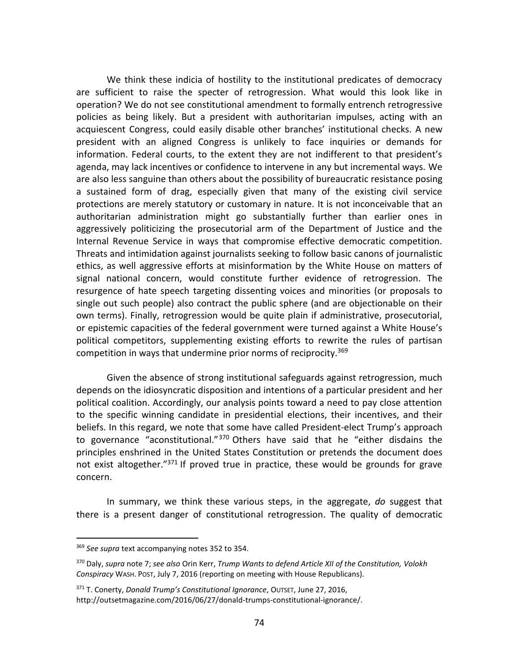We think these indicia of hostility to the institutional predicates of democracy are sufficient to raise the specter of retrogression. What would this look like in operation? We do not see constitutional amendment to formally entrench retrogressive policies as being likely. But a president with authoritarian impulses, acting with an acquiescent Congress, could easily disable other branches' institutional checks. A new president with an aligned Congress is unlikely to face inquiries or demands for information. Federal courts, to the extent they are not indifferent to that president's agenda, may lack incentives or confidence to intervene in any but incremental ways. We are also less sanguine than others about the possibility of bureaucratic resistance posing a sustained form of drag, especially given that many of the existing civil service protections are merely statutory or customary in nature. It is not inconceivable that an authoritarian administration might go substantially further than earlier ones in aggressively politicizing the prosecutorial arm of the Department of Justice and the Internal Revenue Service in ways that compromise effective democratic competition. Threats and intimidation against journalists seeking to follow basic canons of journalistic ethics, as well aggressive efforts at misinformation by the White House on matters of signal national concern, would constitute further evidence of retrogression. The resurgence of hate speech targeting dissenting voices and minorities (or proposals to single out such people) also contract the public sphere (and are objectionable on their own terms). Finally, retrogression would be quite plain if administrative, prosecutorial, or epistemic capacities of the federal government were turned against a White House's political competitors, supplementing existing efforts to rewrite the rules of partisan competition in ways that undermine prior norms of reciprocity.<sup>369</sup>

Given the absence of strong institutional safeguards against retrogression, much depends on the idiosyncratic disposition and intentions of a particular president and her political coalition. Accordingly, our analysis points toward a need to pay close attention to the specific winning candidate in presidential elections, their incentives, and their beliefs. In this regard, we note that some have called President-elect Trump's approach to governance "aconstitutional."<sup>370</sup> Others have said that he "either disdains the principles enshrined in the United States Constitution or pretends the document does not exist altogether."<sup>371</sup> If proved true in practice, these would be grounds for grave concern.

In summary, we think these various steps, in the aggregate, *do* suggest that there is a present danger of constitutional retrogression. The quality of democratic

<sup>369</sup> *See supra* text accompanying note[s 352](#page-68-0) to [354.](#page-69-0)

<sup>370</sup> Daly, *supra* note [7;](#page-3-1) *see also* Orin Kerr, *Trump Wants to defend Article XII of the Constitution, Volokh Conspiracy* WASH. POST, July 7, 2016 (reporting on meeting with House Republicans).

<sup>371</sup> T. Conerty, *Donald Trump's Constitutional Ignorance*, OUTSET, June 27, 2016, [http://outsetmagazine.com/2016/06/27/donald-trumps-constitutional-ignorance/.](http://outsetmagazine.com/2016/06/27/donald-trumps-constitutional-ignorance/)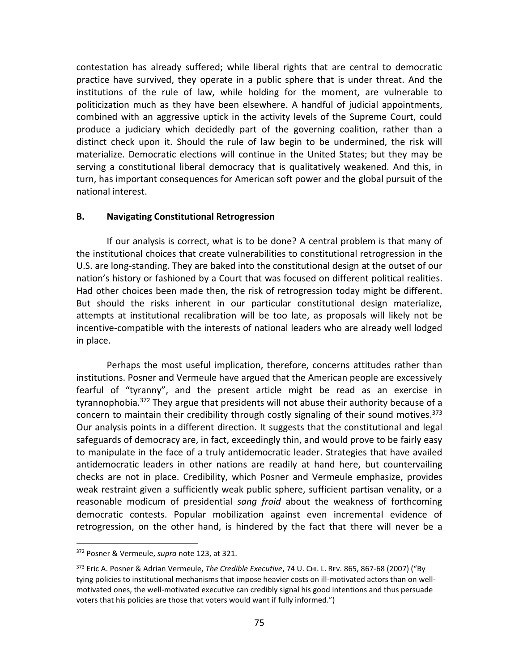contestation has already suffered; while liberal rights that are central to democratic practice have survived, they operate in a public sphere that is under threat. And the institutions of the rule of law, while holding for the moment, are vulnerable to politicization much as they have been elsewhere. A handful of judicial appointments, combined with an aggressive uptick in the activity levels of the Supreme Court, could produce a judiciary which decidedly part of the governing coalition, rather than a distinct check upon it. Should the rule of law begin to be undermined, the risk will materialize. Democratic elections will continue in the United States; but they may be serving a constitutional liberal democracy that is qualitatively weakened. And this, in turn, has important consequences for American soft power and the global pursuit of the national interest.

## **B. Navigating Constitutional Retrogression**

If our analysis is correct, what is to be done? A central problem is that many of the institutional choices that create vulnerabilities to constitutional retrogression in the U.S. are long-standing. They are baked into the constitutional design at the outset of our nation's history or fashioned by a Court that was focused on different political realities. Had other choices been made then, the risk of retrogression today might be different. But should the risks inherent in our particular constitutional design materialize, attempts at institutional recalibration will be too late, as proposals will likely not be incentive-compatible with the interests of national leaders who are already well lodged in place.

Perhaps the most useful implication, therefore, concerns attitudes rather than institutions. Posner and Vermeule have argued that the American people are excessively fearful of "tyranny", and the present article might be read as an exercise in tyrannophobia.<sup>372</sup> They argue that presidents will not abuse their authority because of a concern to maintain their credibility through costly signaling of their sound motives. 373 Our analysis points in a different direction. It suggests that the constitutional and legal safeguards of democracy are, in fact, exceedingly thin, and would prove to be fairly easy to manipulate in the face of a truly antidemocratic leader. Strategies that have availed antidemocratic leaders in other nations are readily at hand here, but countervailing checks are not in place. Credibility, which Posner and Vermeule emphasize, provides weak restraint given a sufficiently weak public sphere, sufficient partisan venality, or a reasonable modicum of presidential *sang froid* about the weakness of forthcoming democratic contests. Popular mobilization against even incremental evidence of retrogression, on the other hand, is hindered by the fact that there will never be a

<sup>372</sup> Posner & Vermeule, *supra* note [123,](#page-25-0) at 321.

<sup>373</sup> Eric A. Posner & Adrian Vermeule, *The Credible Executive*, 74 U. CHI. L. REV. 865, 867-68 (2007) ("By tying policies to institutional mechanisms that impose heavier costs on ill-motivated actors than on wellmotivated ones, the well-motivated executive can credibly signal his good intentions and thus persuade voters that his policies are those that voters would want if fully informed.")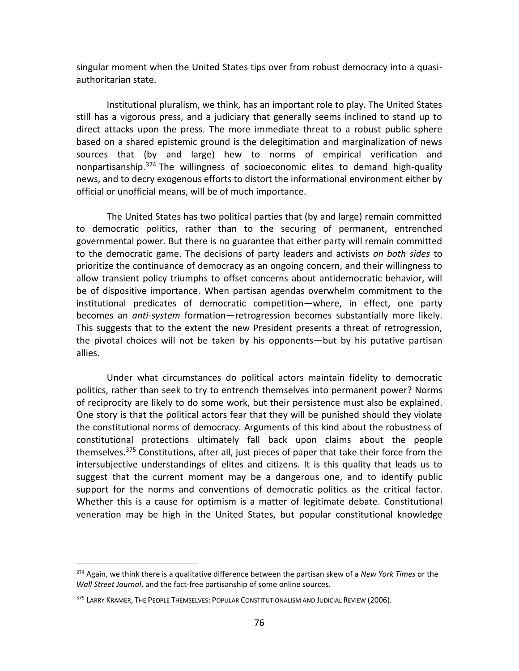singular moment when the United States tips over from robust democracy into a quasiauthoritarian state.

Institutional pluralism, we think, has an important role to play. The United States still has a vigorous press, and a judiciary that generally seems inclined to stand up to direct attacks upon the press. The more immediate threat to a robust public sphere based on a shared epistemic ground is the delegitimation and marginalization of news sources that (by and large) hew to norms of empirical verification and nonpartisanship.<sup>374</sup> The willingness of socioeconomic elites to demand high-quality news, and to decry exogenous efforts to distort the informational environment either by official or unofficial means, will be of much importance.

The United States has two political parties that (by and large) remain committed to democratic politics, rather than to the securing of permanent, entrenched governmental power. But there is no guarantee that either party will remain committed to the democratic game. The decisions of party leaders and activists *on both sides* to prioritize the continuance of democracy as an ongoing concern, and their willingness to allow transient policy triumphs to offset concerns about antidemocratic behavior, will be of dispositive importance. When partisan agendas overwhelm commitment to the institutional predicates of democratic competition—where, in effect, one party becomes an *anti-system* formation—retrogression becomes substantially more likely. This suggests that to the extent the new President presents a threat of retrogression, the pivotal choices will not be taken by his opponents—but by his putative partisan allies.

Under what circumstances do political actors maintain fidelity to democratic politics, rather than seek to try to entrench themselves into permanent power? Norms of reciprocity are likely to do some work, but their persistence must also be explained. One story is that the political actors fear that they will be punished should they violate the constitutional norms of democracy. Arguments of this kind about the robustness of constitutional protections ultimately fall back upon claims about the people themselves.<sup>375</sup> Constitutions, after all, just pieces of paper that take their force from the intersubjective understandings of elites and citizens. It is this quality that leads us to suggest that the current moment may be a dangerous one, and to identify public support for the norms and conventions of democratic politics as the critical factor. Whether this is a cause for optimism is a matter of legitimate debate. Constitutional veneration may be high in the United States, but popular constitutional knowledge

<sup>374</sup> Again, we think there is a qualitative difference between the partisan skew of a *New York Times* or the *Wall Street Journal*, and the fact-free partisanship of some online sources.

<sup>&</sup>lt;sup>375</sup> LARRY KRAMER, THE PEOPLE THEMSELVES: POPULAR CONSTITUTIONALISM AND JUDICIAL REVIEW (2006).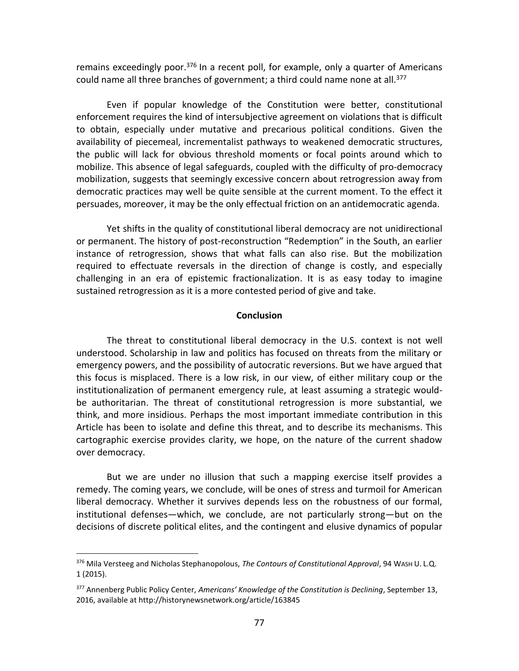remains exceedingly poor.<sup>376</sup> In a recent poll, for example, only a quarter of Americans could name all three branches of government; a third could name none at all.<sup>377</sup>

Even if popular knowledge of the Constitution were better, constitutional enforcement requires the kind of intersubjective agreement on violations that is difficult to obtain, especially under mutative and precarious political conditions. Given the availability of piecemeal, incrementalist pathways to weakened democratic structures, the public will lack for obvious threshold moments or focal points around which to mobilize. This absence of legal safeguards, coupled with the difficulty of pro-democracy mobilization, suggests that seemingly excessive concern about retrogression away from democratic practices may well be quite sensible at the current moment. To the effect it persuades, moreover, it may be the only effectual friction on an antidemocratic agenda.

Yet shifts in the quality of constitutional liberal democracy are not unidirectional or permanent. The history of post-reconstruction "Redemption" in the South, an earlier instance of retrogression, shows that what falls can also rise. But the mobilization required to effectuate reversals in the direction of change is costly, and especially challenging in an era of epistemic fractionalization. It is as easy today to imagine sustained retrogression as it is a more contested period of give and take.

## **Conclusion**

The threat to constitutional liberal democracy in the U.S. context is not well understood. Scholarship in law and politics has focused on threats from the military or emergency powers, and the possibility of autocratic reversions. But we have argued that this focus is misplaced. There is a low risk, in our view, of either military coup or the institutionalization of permanent emergency rule, at least assuming a strategic wouldbe authoritarian. The threat of constitutional retrogression is more substantial, we think, and more insidious. Perhaps the most important immediate contribution in this Article has been to isolate and define this threat, and to describe its mechanisms. This cartographic exercise provides clarity, we hope, on the nature of the current shadow over democracy.

But we are under no illusion that such a mapping exercise itself provides a remedy. The coming years, we conclude, will be ones of stress and turmoil for American liberal democracy. Whether it survives depends less on the robustness of our formal, institutional defenses—which, we conclude, are not particularly strong—but on the decisions of discrete political elites, and the contingent and elusive dynamics of popular

<sup>376</sup> Mila Versteeg and Nicholas Stephanopolous, *The Contours of Constitutional Approval*, 94 WASH U. L.Q. 1 (2015).

<sup>377</sup> Annenberg Public Policy Center, *Americans' Knowledge of the Constitution is Declining*, September 13, 2016, available at http://historynewsnetwork.org/article/163845